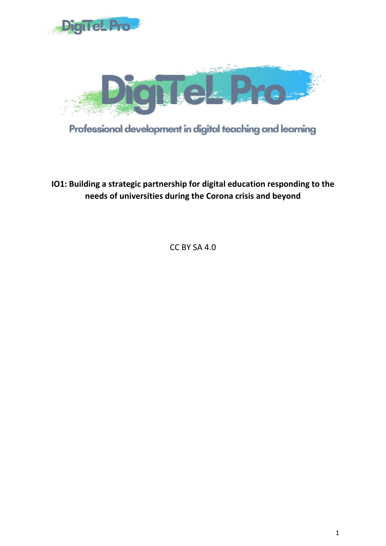



Professional development in digital teaching and learning

**IO1: Building a strategic partnership for digital education responding to the needs of universities during the Corona crisis and beyond**

CC BY SA 4.0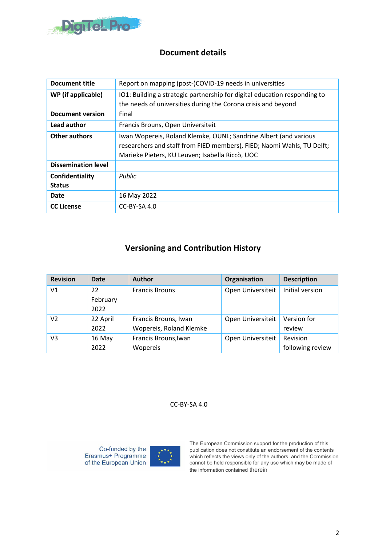

### **Document details**

| <b>Document title</b>            | Report on mapping (post-)COVID-19 needs in universities                                                                                                                                       |
|----------------------------------|-----------------------------------------------------------------------------------------------------------------------------------------------------------------------------------------------|
| WP (if applicable)               | IO1: Building a strategic partnership for digital education responding to<br>the needs of universities during the Corona crisis and beyond                                                    |
| <b>Document version</b>          | Final                                                                                                                                                                                         |
| Lead author                      | Francis Brouns, Open Universiteit                                                                                                                                                             |
| <b>Other authors</b>             | Iwan Wopereis, Roland Klemke, OUNL; Sandrine Albert (and various<br>researchers and staff from FIED members), FIED; Naomi Wahls, TU Delft;<br>Marieke Pieters, KU Leuven; Isabella Riccò, UOC |
| <b>Dissemination level</b>       |                                                                                                                                                                                               |
| Confidentiality<br><b>Status</b> | Public                                                                                                                                                                                        |
| Date                             | 16 May 2022                                                                                                                                                                                   |
| <b>CC License</b>                | $CC-BY-SA 4.0$                                                                                                                                                                                |

### **Versioning and Contribution History**

| <b>Revision</b> | Date     | <b>Author</b>           | Organisation      | <b>Description</b> |
|-----------------|----------|-------------------------|-------------------|--------------------|
| V1              | 22       | <b>Francis Brouns</b>   | Open Universiteit | Initial version    |
|                 | February |                         |                   |                    |
|                 | 2022     |                         |                   |                    |
| V <sub>2</sub>  | 22 April | Francis Brouns, Iwan    | Open Universiteit | Version for        |
|                 | 2022     | Wopereis, Roland Klemke |                   | review             |
| V3              | 16 May   | Francis Brouns, Iwan    | Open Universiteit | Revision           |
|                 | 2022     | Wopereis                |                   | following review   |

CC-BY-SA 4.0

Co-funded by the Erasmus+ Programme of the European Union



The European Commission support for the production of this publication does not constitute an endorsement of the contents which reflects the views only of the authors, and the Commission cannot be held responsible for any use which may be made of the information contained therein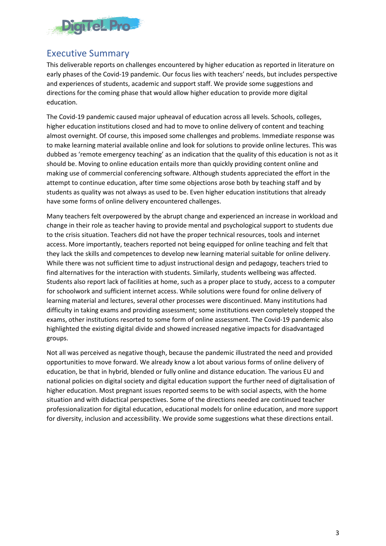

## <span id="page-2-0"></span>Executive Summary

This deliverable reports on challenges encountered by higher education as reported in literature on early phases of the Covid-19 pandemic. Our focus lies with teachers' needs, but includes perspective and experiences of students, academic and support staff. We provide some suggestions and directions for the coming phase that would allow higher education to provide more digital education.

The Covid-19 pandemic caused major upheaval of education across all levels. Schools, colleges, higher education institutions closed and had to move to online delivery of content and teaching almost overnight. Of course, this imposed some challenges and problems. Immediate response was to make learning material available online and look for solutions to provide online lectures. This was dubbed as 'remote emergency teaching' as an indication that the quality of this education is not as it should be. Moving to online education entails more than quickly providing content online and making use of commercial conferencing software. Although students appreciated the effort in the attempt to continue education, after time some objections arose both by teaching staff and by students as quality was not always as used to be. Even higher education institutions that already have some forms of online delivery encountered challenges.

Many teachers felt overpowered by the abrupt change and experienced an increase in workload and change in their role as teacher having to provide mental and psychological support to students due to the crisis situation. Teachers did not have the proper technical resources, tools and internet access. More importantly, teachers reported not being equipped for online teaching and felt that they lack the skills and competences to develop new learning material suitable for online delivery. While there was not sufficient time to adjust instructional design and pedagogy, teachers tried to find alternatives for the interaction with students. Similarly, students wellbeing was affected. Students also report lack of facilities at home, such as a proper place to study, access to a computer for schoolwork and sufficient internet access. While solutions were found for online delivery of learning material and lectures, several other processes were discontinued. Many institutions had difficulty in taking exams and providing assessment; some institutions even completely stopped the exams, other institutions resorted to some form of online assessment. The Covid-19 pandemic also highlighted the existing digital divide and showed increased negative impacts for disadvantaged groups.

Not all was perceived as negative though, because the pandemic illustrated the need and provided opportunities to move forward. We already know a lot about various forms of online delivery of education, be that in hybrid, blended or fully online and distance education. The various EU and national policies on digital society and digital education support the further need of digitalisation of higher education. Most pregnant issues reported seems to be with social aspects, with the home situation and with didactical perspectives. Some of the directions needed are continued teacher professionalization for digital education, educational models for online education, and more support for diversity, inclusion and accessibility. We provide some suggestions what these directions entail.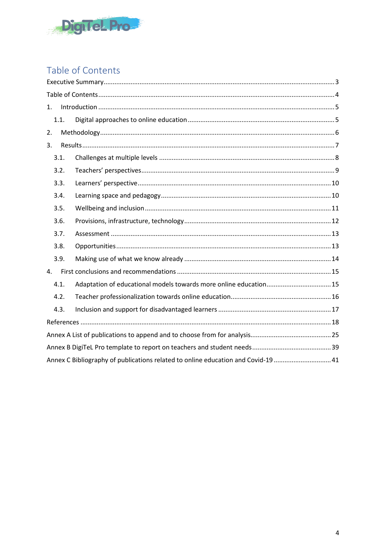

# <span id="page-3-0"></span>Table of Contents

| 1.   |                                                                                  |  |
|------|----------------------------------------------------------------------------------|--|
| 1.1. |                                                                                  |  |
| 2.   |                                                                                  |  |
| 3.   |                                                                                  |  |
| 3.1. |                                                                                  |  |
| 3.2. |                                                                                  |  |
| 3.3. |                                                                                  |  |
| 3.4. |                                                                                  |  |
| 3.5. |                                                                                  |  |
| 3.6. |                                                                                  |  |
| 3.7. |                                                                                  |  |
| 3.8. |                                                                                  |  |
| 3.9. |                                                                                  |  |
| 4.   |                                                                                  |  |
| 4.1. | Adaptation of educational models towards more online education 15                |  |
| 4.2. |                                                                                  |  |
| 4.3. |                                                                                  |  |
|      |                                                                                  |  |
|      |                                                                                  |  |
|      |                                                                                  |  |
|      | Annex C Bibliography of publications related to online education and Covid-19 41 |  |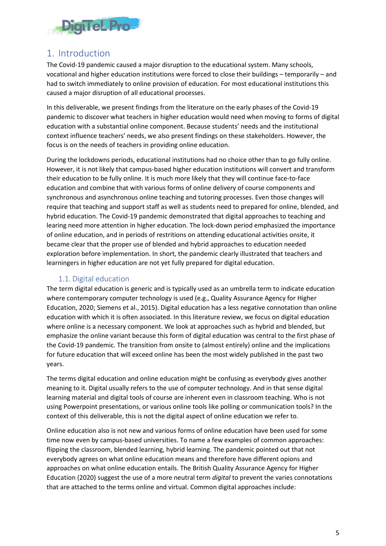

## <span id="page-4-0"></span>1. Introduction

The Covid-19 pandemic caused a major disruption to the educational system. Many schools, vocational and higher education institutions were forced to close their buildings – temporarily – and had to switch immediately to online provision of education. For most educational institutions this caused a major disruption of all educational processes.

In this deliverable, we present findings from the literature on the early phases of the Covid-19 pandemic to discover what teachers in higher education would need when moving to forms of digital education with a substantial online component. Because students' needs and the institutional context influence teachers' needs, we also present findings on these stakeholders. However, the focus is on the needs of teachers in providing online education.

During the lockdowns periods, educational institutions had no choice other than to go fully online. However, it is not likely that campus-based higher education institutions will convert and transform their education to be fully online. It is much more likely that they will continue face-to-face education and combine that with various forms of online delivery of course components and synchronous and asynchronous online teaching and tutoring processes. Even those changes will require that teaching and support staff as well as students need to prepared for online, blended, and hybrid education. The Covid-19 pandemic demonstrated that digital approaches to teaching and learing need more attention in higher education. The lock-down period emphasized the importance of online education, and in periods of restritions on attending educational activities onsite, it became clear that the proper use of blended and hybrid approaches to education needed exploration before implementation. In short, the pandemic clearly illustrated that teachers and learningers in higher education are not yet fully prepared for digital education.

### 1.1. Digital education

<span id="page-4-1"></span>The term digital education is generic and is typically used as an umbrella term to indicate education where contemporary computer technology is used (e.g., Quality Assurance Agency for Higher Education, 2020; Siemens et al., 2015). Digital education has a less negative connotation than online education with which it is often associated. In this literature review, we focus on digital education where online is a necessary component. We look at approaches such as hybrid and blended, but emphasize the online variant because this form of digital education was central to the first phase of the Covid-19 pandemic. The transition from onsite to (almost entirely) online and the implications for future education that will exceed online has been the most widely published in the past two years.

The terms digital education and online education might be confusing as everybody gives another meaning to it. Digital usually refers to the use of computer technology. And in that sense digital learning material and digital tools of course are inherent even in classroom teaching. Who is not using Powerpoint presentations, or various online tools like polling or communication tools? In the context of this deliverable, this is not the digital aspect of online education we refer to.

Online education also is not new and various forms of online education have been used for some time now even by campus-based universities. To name a few examples of common approaches: flipping the classroom, blended learning, hybrid learning. The pandemic pointed out that not everybody agrees on what online education means and therefore have different opions and approaches on what online education entails. The British Quality Assurance Agency for Higher Education (2020) suggest the use of a more neutral term *digital* to prevent the varies connotations that are attached to the terms online and virtual. Common digital approaches include: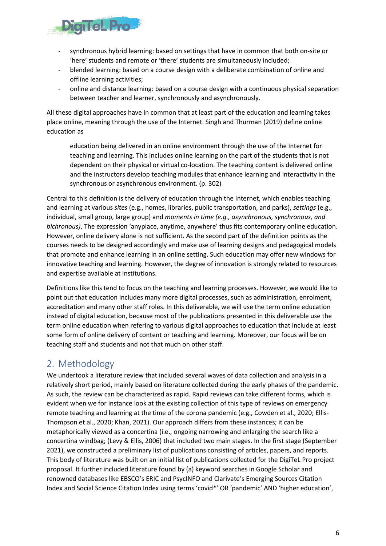

- synchronous hybrid learning: based on settings that have in common that both on-site or 'here' students and remote or 'there' students are simultaneously included;
- blended learning: based on a course design with a deliberate combination of online and offline learning activities;
- online and distance learning: based on a course design with a continuous physical separation between teacher and learner, synchronously and asynchronously.

All these digital approaches have in common that at least part of the education and learning takes place online, meaning through the use of the Internet. Singh and Thurman (2019) define online education as

education being delivered in an online environment through the use of the Internet for teaching and learning. This includes online learning on the part of the students that is not dependent on their physical or virtual co-location. The teaching content is delivered online and the instructors develop teaching modules that enhance learning and interactivity in the synchronous or asynchronous environment. (p. 302)

Central to this definition is the delivery of education through the Internet, which enables teaching and learning at various *sites* (e.g., homes, libraries, public transportation, and parks), *settings* (e.g., individual, small group, large group) and *moments in time (e.g., asynchronous, synchronous, and bichronous)*. The expression 'anyplace, anytime, anywhere' thus fits contemporary online education. However, online delivery alone is not sufficient. As the second part of the definition points as the courses needs to be designed accordingly and make use of learning designs and pedagogical models that promote and enhance learning in an online setting. Such education may offer new windows for innovative teaching and learning. However, the degree of innovation is strongly related to resources and expertise available at institutions.

Definitions like this tend to focus on the teaching and learning processes. However, we would like to point out that education includes many more digital processes, such as administration, enrolment, accreditation and many other staff roles. In this deliverable, we will use the term online education instead of digital education, because most of the publications presented in this deliverable use the term online education when refering to various digital approaches to education that include at least some form of online delivery of content or teaching and learning. Moreover, our focus will be on teaching staff and students and not that much on other staff.

## <span id="page-5-0"></span>2. Methodology

We undertook a literature review that included several waves of data collection and analysis in a relatively short period, mainly based on literature collected during the early phases of the pandemic. As such, the review can be characterized as rapid. Rapid reviews can take different forms, which is evident when we for instance look at the existing collection of this type of reviews on emergency remote teaching and learning at the time of the corona pandemic (e.g., Cowden et al., 2020; Ellis-Thompson et al., 2020; Khan, 2021). Our approach differs from these instances; it can be metaphorically viewed as a concertina (i.e., ongoing narrowing and enlarging the search like a concertina windbag; (Levy & Ellis, 2006) that included two main stages. In the first stage (September 2021), we constructed a preliminary list of publications consisting of articles, papers, and reports. This body of literature was built on an initial list of publications collected for the DigiTeL Pro project proposal. It further included literature found by (a) keyword searches in Google Scholar and renowned databases like EBSCO's ERIC and PsycINFO and Clarivate's Emerging Sources Citation Index and Social Science Citation Index using terms 'covid\*' OR 'pandemic' AND 'higher education',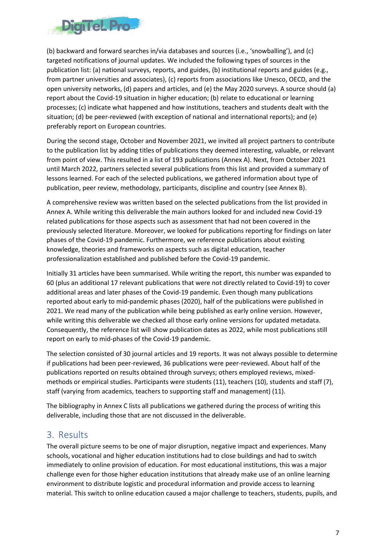

(b) backward and forward searches in/via databases and sources (i.e., 'snowballing'), and (c) targeted notifications of journal updates. We included the following types of sources in the publication list: (a) national surveys, reports, and guides, (b) institutional reports and guides (e.g., from partner universities and associates), (c) reports from associations like Unesco, OECD, and the open university networks, (d) papers and articles, and (e) the May 2020 surveys. A source should (a) report about the Covid-19 situation in higher education; (b) relate to educational or learning processes; (c) indicate what happened and how institutions, teachers and students dealt with the situation; (d) be peer-reviewed (with exception of national and international reports); and (e) preferably report on European countries.

During the second stage, October and November 2021, we invited all project partners to contribute to the publication list by adding titles of publications they deemed interesting, valuable, or relevant from point of view. This resulted in a list of 193 publications (Annex A). Next, from October 2021 until March 2022, partners selected several publications from this list and provided a summary of lessons learned. For each of the selected publications, we gathered information about type of publication, peer review, methodology, participants, discipline and country (see Annex B).

A comprehensive review was written based on the selected publications from the list provided in Annex A. While writing this deliverable the main authors looked for and included new Covid-19 related publications for those aspects such as assessment that had not been covered in the previously selected literature. Moreover, we looked for publications reporting for findings on later phases of the Covid-19 pandemic. Furthermore, we reference publications about existing knowledge, theories and frameworks on aspects such as digital education, teacher professionalization established and published before the Covid-19 pandemic.

Initially 31 articles have been summarised. While writing the report, this number was expanded to 60 (plus an additional 17 relevant publications that were not directly related to Covid-19) to cover additional areas and later phases of the Covid-19 pandemic. Even though many publications reported about early to mid-pandemic phases (2020), half of the publications were published in 2021. We read many of the publication while being published as early online version. However, while writing this deliverable we checked all those early online versions for updated metadata. Consequently, the reference list will show publication dates as 2022, while most publications still report on early to mid-phases of the Covid-19 pandemic.

The selection consisted of 30 journal articles and 19 reports. It was not always possible to determine if publications had been peer-reviewed, 36 publications were peer-reviewed. About half of the publications reported on results obtained through surveys; others employed reviews, mixedmethods or empirical studies. Participants were students (11), teachers (10), students and staff (7), staff (varying from academics, teachers to supporting staff and management) (11).

The bibliography in Annex C lists all publications we gathered during the process of writing this deliverable, including those that are not discussed in the deliverable.

### <span id="page-6-0"></span>3. Results

The overall picture seems to be one of major disruption, negative impact and experiences. Many schools, vocational and higher education institutions had to close buildings and had to switch immediately to online provision of education. For most educational institutions, this was a major challenge even for those higher education institutions that already make use of an online learning environment to distribute logistic and procedural information and provide access to learning material. This switch to online education caused a major challenge to teachers, students, pupils, and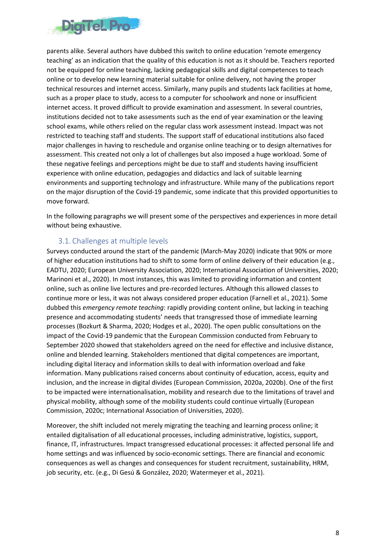

parents alike. Several authors have dubbed this switch to online education 'remote emergency teaching' as an indication that the quality of this education is not as it should be. Teachers reported not be equipped for online teaching, lacking pedagogical skills and digital competences to teach online or to develop new learning material suitable for online delivery, not having the proper technical resources and internet access. Similarly, many pupils and students lack facilities at home, such as a proper place to study, access to a computer for schoolwork and none or insufficient internet access. It proved difficult to provide examination and assessment. In several countries, institutions decided not to take assessments such as the end of year examination or the leaving school exams, while others relied on the regular class work assessment instead. Impact was not restricted to teaching staff and students. The support staff of educational institutions also faced major challenges in having to reschedule and organise online teaching or to design alternatives for assessment. This created not only a lot of challenges but also imposed a huge workload. Some of these negative feelings and perceptions might be due to staff and students having insufficient experience with online education, pedagogies and didactics and lack of suitable learning environments and supporting technology and infrastructure. While many of the publications report on the major disruption of the Covid-19 pandemic, some indicate that this provided opportunities to move forward.

In the following paragraphs we will present some of the perspectives and experiences in more detail without being exhaustive.

### 3.1. Challenges at multiple levels

<span id="page-7-0"></span>Surveys conducted around the start of the pandemic (March-May 2020) indicate that 90% or more of higher education institutions had to shift to some form of online delivery of their education (e.g., EADTU, 2020; European University Association, 2020; International Association of Universities, 2020; Marinoni et al., 2020). In most instances, this was limited to providing information and content online, such as online live lectures and pre-recorded lectures. Although this allowed classes to continue more or less, it was not always considered proper education (Farnell et al., 2021). Some dubbed this *emergency remote teaching*: rapidly providing content online, but lacking in teaching presence and accommodating students' needs that transgressed those of immediate learning processes (Bozkurt & Sharma, 2020; Hodges et al., 2020). The open public consultations on the impact of the Covid-19 pandemic that the European Commission conducted from February to September 2020 showed that stakeholders agreed on the need for effective and inclusive distance, online and blended learning. Stakeholders mentioned that digital competences are important, including digital literacy and information skills to deal with information overload and fake information. Many publications raised concerns about continuity of education, access, equity and inclusion, and the increase in digital divides (European Commission, 2020a, 2020b). One of the first to be impacted were internationalisation, mobility and research due to the limitations of travel and physical mobility, although some of the mobility students could continue virtually (European Commission, 2020c; International Association of Universities, 2020).

Moreover, the shift included not merely migrating the teaching and learning process online; it entailed digitalisation of all educational processes, including administrative, logistics, support, finance, IT, infrastructures. Impact transgressed educational processes: it affected personal life and home settings and was influenced by socio-economic settings. There are financial and economic consequences as well as changes and consequences for student recruitment, sustainability, HRM, job security, etc. (e.g., Di Gesú & González, 2020; Watermeyer et al., 2021).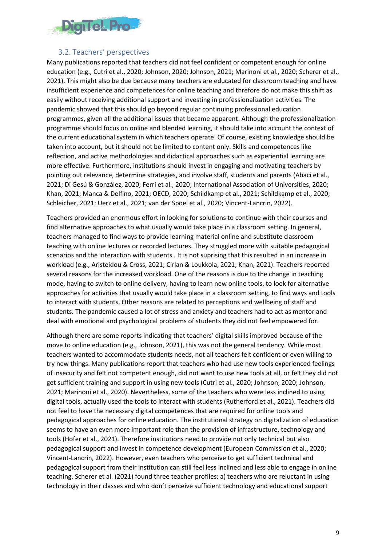

#### 3.2. Teachers' perspectives

<span id="page-8-0"></span>Many publications reported that teachers did not feel confident or competent enough for online education (e.g., Cutri et al., 2020; Johnson, 2020; Johnson, 2021; Marinoni et al., 2020; Scherer et al., 2021). This might also be due because many teachers are educated for classroom teaching and have insufficient experience and competences for online teaching and threfore do not make this shift as easily without receiving additional support and investing in professionalization activities. The pandemic showed that this should go beyond regular continuing professional education programmes, given all the additional issues that became apparent. Although the professionalization programme should focus on online and blended learning, it should take into account the context of the current educational system in which teachers operate. Of course, existing knowledge should be taken into account, but it should not be limited to content only. Skills and competences like reflection, and active methodologies and didactical approaches such as experiential learning are more effective. Furthermore, institutions should invest in engaging and motivating teachers by pointing out relevance, determine strategies, and involve staff, students and parents (Abaci et al., 2021; Di Gesú & González, 2020; Ferri et al., 2020; International Association of Universities, 2020; Khan, 2021; Manca & Delfino, 2021; OECD, 2020; Schildkamp et al., 2021; Schildkamp et al., 2020; Schleicher, 2021; Uerz et al., 2021; van der Spoel et al., 2020; Vincent-Lancrin, 2022).

Teachers provided an enormous effort in looking for solutions to continue with their courses and find alternative approaches to what usually would take place in a classroom setting. In general, teachers managed to find ways to provide learning material online and substitute classroom teaching with online lectures or recorded lectures. They struggled more with suitable pedagogical scenarios and the interaction with students . It is not suprising that this resulted in an increase in workload (e.g., Aristeidou & Cross, 2021; Cirlan & Loukkola, 2021; Khan, 2021). Teachers reported several reasons for the increased workload. One of the reasons is due to the change in teaching mode, having to switch to online delivery, having to learn new online tools, to look for alternative approaches for activities that usually would take place in a classroom setting, to find ways and tools to interact with students. Other reasons are related to perceptions and wellbeing of staff and students. The pandemic caused a lot of stress and anxiety and teachers had to act as mentor and deal with emotional and psychological problems of students they did not feel empowered for.

Although there are some reports indicating that teachers' digital skills improved because of the move to online education (e.g., Johnson, 2021), this was not the general tendency. While most teachers wanted to accommodate students needs, not all teachers felt confident or even willing to try new things. Many publications report that teachers who had use new tools experienced feelings of insecurity and felt not competent enough, did not want to use new tools at all, or felt they did not get sufficient training and support in using new tools (Cutri et al., 2020; Johnson, 2020; Johnson, 2021; Marinoni et al., 2020). Nevertheless, some of the teachers who were less inclined to using digital tools, actually used the tools to interact with students (Rutherford et al., 2021). Teachers did not feel to have the necessary digital competences that are required for online tools and pedagogical approaches for online education. The institutional strategy on digitalization of education seems to have an even more important role than the provision of infrastructure, technology and tools (Hofer et al., 2021). Therefore institutions need to provide not only technical but also pedagogical support and invest in competence development (European Commission et al., 2020; Vincent-Lancrin, 2022). However, even teachers who perceive to get sufficient technical and pedagogical support from their institution can still feel less inclined and less able to engage in online teaching. Scherer et al. (2021) found three teacher profiles: a) teachers who are reluctant in using technology in their classes and who don't perceive sufficient technology and educational support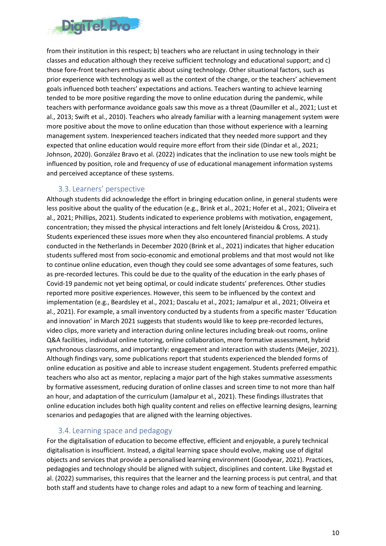

from their institution in this respect; b) teachers who are reluctant in using technology in their classes and education although they receive sufficient technology and educational support; and c) those fore-front teachers enthusiastic about using technology. Other situational factors, such as prior experience with technology as well as the context of the change, or the teachers' achievement goals influenced both teachers' expectations and actions. Teachers wanting to achieve learning tended to be more positive regarding the move to online education during the pandemic, while teachers with performance avoidance goals saw this move as a threat (Daumiller et al., 2021; Lust et al., 2013; Swift et al., 2010). Teachers who already familiar with a learning management system were more positive about the move to online education than those without experience with a learning management system. Inexperienced teachers indicated that they needed more support and they expected that online education would require more effort from their side (Dindar et al., 2021; Johnson, 2020). González Bravo et al. (2022) indicates that the inclination to use new tools might be influenced by position, role and frequency of use of educational management information systems and perceived acceptance of these systems.

#### 3.3. Learners' perspective

<span id="page-9-0"></span>Although students did acknowledge the effort in bringing education online, in general students were less positive about the quality of the education (e.g., Brink et al., 2021; Hofer et al., 2021; Oliveira et al., 2021; Phillips, 2021). Students indicated to experience problems with motivation, engagement, concentration; they missed the physical interactions and felt lonely (Aristeidou & Cross, 2021). Students experienced these issues more when they also encountered financial problems. A study conducted in the Netherlands in December 2020 (Brink et al., 2021) indicates that higher education students suffered most from socio-economic and emotional problems and that most would not like to continue online education, even though they could see some advantages of some features, such as pre-recorded lectures. This could be due to the quality of the education in the early phases of Covid-19 pandemic not yet being optimal, or could indicate students' preferences. Other studies reported more positive experiences. However, this seem to be influenced by the context and implementation (e.g., Beardsley et al., 2021; Dascalu et al., 2021; Jamalpur et al., 2021; Oliveira et al., 2021). For example, a small inventory conducted by a students from a specific master 'Education and innovation' in March 2021 suggests that students would like to keep pre-recorded lectures, video clips, more variety and interaction during online lectures including break-out rooms, online Q&A facilities, individual online tutoring, online collaboration, more formative assessment, hybrid synchronous classrooms, and importantly: engagement and interaction with students (Meijer, 2021). Although findings vary, some publications report that students experienced the blended forms of online education as positive and able to increase student engagement. Students preferred empathic teachers who also act as mentor, replacing a major part of the high stakes summative assessments by formative assessment, reducing duration of online classes and screen time to not more than half an hour, and adaptation of the curriculum (Jamalpur et al., 2021). These findings illustrates that online education includes both high quality content and relies on effective learning designs, learning scenarios and pedagogies that are aligned with the learning objectives.

### 3.4. Learning space and pedagogy

<span id="page-9-1"></span>For the digitalisation of education to become effective, efficient and enjoyable, a purely technical digitalisation is insufficient. Instead, a digital learning space should evolve, making use of digital objects and services that provide a personalised learning environment (Goodyear, 2021). Practices, pedagogies and technology should be aligned with subject, disciplines and content. Like Bygstad et al. (2022) summarises, this requires that the learner and the learning process is put central, and that both staff and students have to change roles and adapt to a new form of teaching and learning.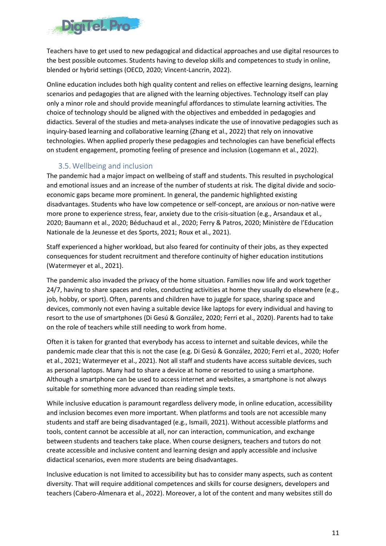

Teachers have to get used to new pedagogical and didactical approaches and use digital resources to the best possible outcomes. Students having to develop skills and competences to study in online, blended or hybrid settings (OECD, 2020; Vincent-Lancrin, 2022).

Online education includes both high quality content and relies on effective learning designs, learning scenarios and pedagogies that are aligned with the learning objectives. Technology itself can play only a minor role and should provide meaningful affordances to stimulate learning activities. The choice of technology should be aligned with the objectives and embedded in pedagogies and didactics. Several of the studies and meta-analyses indicate the use of innovative pedagogies such as inquiry-based learning and collaborative learning (Zhang et al., 2022) that rely on innovative technologies. When applied properly these pedagogies and technologies can have beneficial effects on student engagement, promoting feeling of presence and inclusion (Logemann et al., 2022).

### 3.5. Wellbeing and inclusion

<span id="page-10-0"></span>The pandemic had a major impact on wellbeing of staff and students. This resulted in psychological and emotional issues and an increase of the number of students at risk. The digital divide and socioeconomic gaps became more prominent. In general, the pandemic highlighted existing disadvantages. Students who have low competence or self-concept, are anxious or non-native were more prone to experience stress, fear, anxiety due to the crisis-situation (e.g., Arsandaux et al., 2020; Baumann et al., 2020; Béduchaud et al., 2020; Ferry & Patros, 2020; Ministère de l'Education Nationale de la Jeunesse et des Sports, 2021; Roux et al., 2021).

Staff experienced a higher workload, but also feared for continuity of their jobs, as they expected consequences for student recruitment and therefore continuity of higher education institutions (Watermeyer et al., 2021).

The pandemic also invaded the privacy of the home situation. Families now life and work together 24/7, having to share spaces and roles, conducting activities at home they usually do elsewhere (e.g., job, hobby, or sport). Often, parents and children have to juggle for space, sharing space and devices, commonly not even having a suitable device like laptops for every individual and having to resort to the use of smartphones (Di Gesú & González, 2020; Ferri et al., 2020). Parents had to take on the role of teachers while still needing to work from home.

Often it is taken for granted that everybody has access to internet and suitable devices, while the pandemic made clear that this is not the case (e.g. Di Gesú & González, 2020; Ferri et al., 2020; Hofer et al., 2021; Watermeyer et al., 2021). Not all staff and students have access suitable devices, such as personal laptops. Many had to share a device at home or resorted to using a smartphone. Although a smartphone can be used to access internet and websites, a smartphone is not always suitable for something more advanced than reading simple texts.

While inclusive education is paramount regardless delivery mode, in online education, accessibility and inclusion becomes even more important. When platforms and tools are not accessible many students and staff are being disadvantaged (e.g., Ismaili, 2021). Without accessible platforms and tools, content cannot be accessible at all, nor can interaction, communication, and exchange between students and teachers take place. When course designers, teachers and tutors do not create accessible and inclusive content and learning design and apply accessible and inclusive didactical scenarios, even more students are being disadvantages.

Inclusive education is not limited to accessibility but has to consider many aspects, such as content diversity. That will require additional competences and skills for course designers, developers and teachers (Cabero-Almenara et al., 2022). Moreover, a lot of the content and many websites still do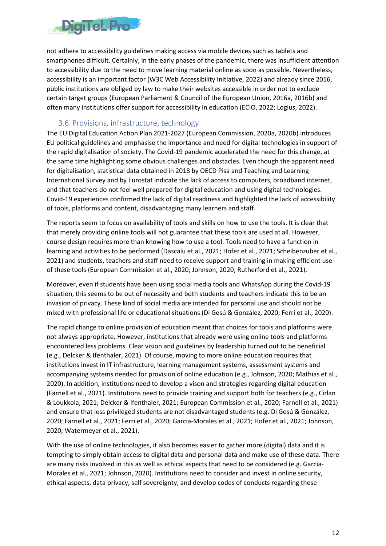

not adhere to accessibility guidelines making access via mobile devices such as tablets and smartphones difficult. Certainly, in the early phases of the pandemic, there was insufficient attention to accessibility due to the need to move learning material online as soon as possible. Nevertheless, accessibility is an important factor (W3C Web Accessibility Initiative, 2022) and already since 2016, public institutions are obliged by law to make their websites accessible in order not to exclude certain target groups (European Parliament & Council of the European Union, 2016a, 2016b) and often many institutions offer support for accessibility in education (ECIO, 2022; Logius, 2022).

#### 3.6. Provisions, infrastructure, technology

<span id="page-11-0"></span>The EU Digital Education Action Plan 2021-2027 (European Commission, 2020a, 2020b) introduces EU political guidelines and emphasise the importance and need for digital technologies in support of the rapid digitalisation of society. The Covid-19 pandemic accelerated the need for this change, at the same time highlighting some obvious challenges and obstacles. Even though the apparent need for digitalisation, statistical data obtained in 2018 by OECD Pisa and Teaching and Learning International Survey and by Eurostat indicate the lack of access to computers, broadband internet, and that teachers do not feel well prepared for digital education and using digital technologies. Covid-19 experiences confirmed the lack of digital readiness and highlighted the lack of accessibility of tools, platforms and content, disadvantaging many learners and staff.

The reports seem to focus on availability of tools and skills on how to use the tools. It is clear that that merely providing online tools will not guarantee that these tools are used at all. However, course design requires more than knowing how to use a tool. Tools need to have a function in learning and activities to be performed (Dascalu et al., 2021; Hofer et al., 2021; Scheibenzuber et al., 2021) and students, teachers and staff need to receive support and training in making efficient use of these tools (European Commission et al., 2020; Johnson, 2020; Rutherford et al., 2021).

Moreover, even if students have been using social media tools and WhatsApp during the Covid-19 situation, this seems to be out of necessity and both students and teachers indicate this to be an invasion of privacy. These kind of social media are intended for personal use and should not be mixed with professional life or educational situations (Di Gesú & González, 2020; Ferri et al., 2020).

The rapid change to online provision of education meant that choices for tools and platforms were not always appropriate. However, institutions that already were using online tools and platforms encountered less problems. Clear vision and guidelines by leadership turned out to be beneficial (e.g., Delcker & Ifenthaler, 2021). Of course, moving to more online education requires that institutions invest in IT infrastructure, learning management systems, assessment systems and accompanying systems needed for provision of online education (e.g., Johnson, 2020; Mathias et al., 2020). In addition, institutions need to develop a vison and strategies regarding digital education (Farnell et al., 2021). Institutions need to provide training and support both for teachers (e.g., Cirlan & Loukkola, 2021; Delcker & Ifenthaler, 2021; European Commission et al., 2020; Farnell et al., 2021) and ensure that less privileged students are not disadvantaged students (e.g. Di Gesú & González, 2020; Farnell et al., 2021; Ferri et al., 2020; Garcia-Morales et al., 2021; Hofer et al., 2021; Johnson, 2020; Watermeyer et al., 2021).

With the use of online technologies, it also becomes easier to gather more (digital) data and it is tempting to simply obtain access to digital data and personal data and make use of these data. There are many risks involved in this as well as ethical aspects that need to be considered (e.g. Garcia-Morales et al., 2021; Johnson, 2020). Institutions need to consider and invest in online security, ethical aspects, data privacy, self sovereignty, and develop codes of conducts regarding these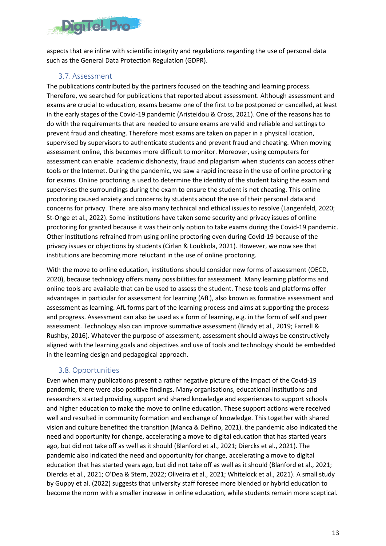

aspects that are inline with scientific integrity and regulations regarding the use of personal data such as the General Data Protection Regulation (GDPR).

### 3.7. Assessment

<span id="page-12-0"></span>The publications contributed by the partners focused on the teaching and learning process. Therefore, we searched for publications that reported about assessment. Although assessment and exams are crucial to education, exams became one of the first to be postponed or cancelled, at least in the early stages of the Covid-19 pandemic (Aristeidou & Cross, 2021). One of the reasons has to do with the requirements that are needed to ensure exams are valid and reliable and settings to prevent fraud and cheating. Therefore most exams are taken on paper in a physical location, supervised by supervisors to authenticate students and prevent fraud and cheating. When moving assessment online, this becomes more difficult to monitor. Moreover, using computers for assessment can enable academic dishonesty, fraud and plagiarism when students can access other tools or the Internet. During the pandemic, we saw a rapid increase in the use of online proctoring for exams. Online proctoring is used to determine the identity of the student taking the exam and supervises the surroundings during the exam to ensure the student is not cheating. This online proctoring caused anxiety and concerns by students about the use of their personal data and concerns for privacy. There are also many technical and ethical issues to resolve (Langenfeld, 2020; St-Onge et al., 2022). Some institutions have taken some security and privacy issues of online proctoring for granted because it was their only option to take exams during the Covid-19 pandemic. Other institutions refrained from using online proctoring even during Covid-19 because of the privacy issues or objections by students (Cirlan & Loukkola, 2021). However, we now see that institutions are becoming more reluctant in the use of online proctoring.

With the move to online education, institutions should consider new forms of assessment (OECD, 2020), because technology offers many possibilities for assessment. Many learning platforms and online tools are available that can be used to assess the student. These tools and platforms offer advantages in particular for assessment for learning (AfL), also known as formative assessment and assessment as learning. AfL forms part of the learning process and aims at supporting the process and progress. Assessment can also be used as a form of learning, e.g. in the form of self and peer assessment. Technology also can improve summative assessment (Brady et al., 2019; Farrell & Rushby, 2016). Whatever the purpose of assessment, assessment should always be constructively aligned with the learning goals and objectives and use of tools and technology should be embedded in the learning design and pedagogical approach.

### 3.8.Opportunities

<span id="page-12-1"></span>Even when many publications present a rather negative picture of the impact of the Covid-19 pandemic, there were also positive findings. Many organisations, educational institutions and researchers started providing support and shared knowledge and experiences to support schools and higher education to make the move to online education. These support actions were received well and resulted in community formation and exchange of knowledge. This together with shared vision and culture benefited the transition (Manca & Delfino, 2021). the pandemic also indicated the need and opportunity for change, accelerating a move to digital education that has started years ago, but did not take off as well as it should (Blanford et al., 2021; Diercks et al., 2021). The pandemic also indicated the need and opportunity for change, accelerating a move to digital education that has started years ago, but did not take off as well as it should (Blanford et al., 2021; Diercks et al., 2021; O'Dea & Stern, 2022; Oliveira et al., 2021; Whitelock et al., 2021). A small study by Guppy et al. (2022) suggests that university staff foresee more blended or hybrid education to become the norm with a smaller increase in online education, while students remain more sceptical.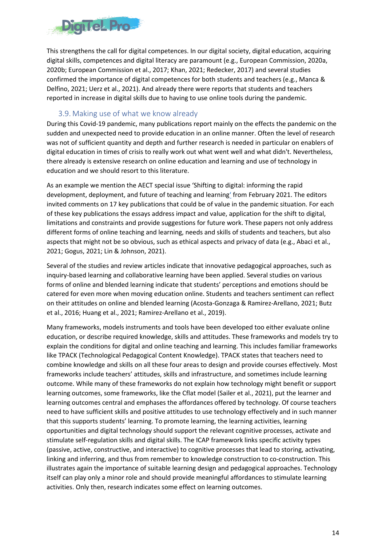

This strengthens the call for digital competences. In our digital society, digital education, acquiring digital skills, competences and digital literacy are paramount (e.g., European Commission, 2020a, 2020b; European Commission et al., 2017; Khan, 2021; Redecker, 2017) and several studies confirmed the importance of digital competences for both students and teachers (e.g., Manca & Delfino, 2021; Uerz et al., 2021). And already there were reports that students and teachers reported in increase in digital skills due to having to use online tools during the pandemic.

### 3.9. Making use of what we know already

<span id="page-13-0"></span>During this Covid-19 pandemic, many publications report mainly on the effects the pandemic on the sudden and unexpected need to provide education in an online manner. Often the level of research was not of sufficient quantity and depth and further research is needed in particular on enablers of digital education in times of crisis to really work out what went well and what didn't. Nevertheless, there already is extensive research on online education and learning and use of technology in education and we should resort to this literature.

As an example we mention the AECT special issue 'Shifting to digital: informing the rapid development, deployment, and future of teaching and learning' from February 2021. The editors invited comments on 17 key publications that could be of value in the pandemic situation. For each of these key publications the essays address impact and value, application for the shift to digital, limitations and constraints and provide suggestions for future work. These papers not only address different forms of online teaching and learning, needs and skills of students and teachers, but also aspects that might not be so obvious, such as ethical aspects and privacy of data (e.g., Abaci et al., 2021; Gogus, 2021; Lin & Johnson, 2021).

Several of the studies and review articles indicate that innovative pedagogical approaches, such as inquiry-based learning and collaborative learning have been applied. Several studies on various forms of online and blended learning indicate that students' perceptions and emotions should be catered for even more when moving education online. Students and teachers sentiment can reflect on their attitudes on online and blended learning (Acosta-Gonzaga & Ramirez-Arellano, 2021; Butz et al., 2016; Huang et al., 2021; Ramirez-Arellano et al., 2019).

Many frameworks, models instruments and tools have been developed too either evaluate online education, or describe required knowledge, skills and attitudes. These frameworks and models try to explain the conditions for digital and online teaching and learning. This includes familiar frameworks like TPACK (Technological Pedagogical Content Knowledge). TPACK states that teachers need to combine knowledge and skills on all these four areas to design and provide courses effectively. Most frameworks include teachers' attitudes, skills and infrastructure, and sometimes include learning outcome. While many of these frameworks do not explain how technology might benefit or support learning outcomes, some frameworks, like the Cflat model (Sailer et al., 2021), put the learner and learning outcomes central and emphases the affordances offered by technology. Of course teachers need to have sufficient skills and positive attitudes to use technology effectively and in such manner that this supports students' learning. To promote learning, the learning activities, learning opportunities and digital technology should support the relevant cognitive processes, activate and stimulate self-regulation skills and digital skills. The ICAP framework links specific activity types (passive, active, constructive, and interactive) to cognitive processes that lead to storing, activating, linking and inferring, and thus from remember to knowledge construction to co-construction. This illustrates again the importance of suitable learning design and pedagogical approaches. Technology itself can play only a minor role and should provide meaningful affordances to stimulate learning activities. Only then, research indicates some effect on learning outcomes.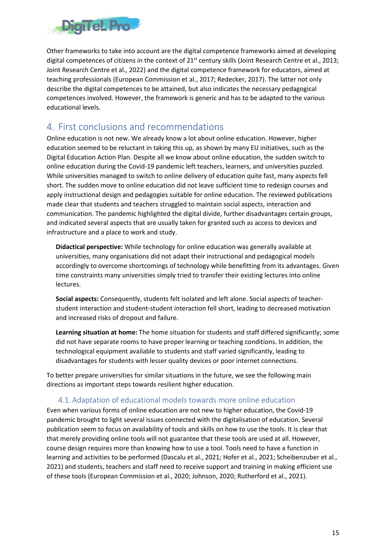

Other frameworks to take into account are the digital competence frameworks aimed at developing digital competences of citizens in the context of 21<sup>st</sup> century skills (Joint Research Centre et al., 2013; Joint Research Centre et al., 2022) and the digital competence framework for educators, aimed at teaching professionals (European Commission et al., 2017; Redecker, 2017). The latter not only describe the digital competences to be attained, but also indicates the necessary pedagogical competences involved. However, the framework is generic and has to be adapted to the various educational levels.

## <span id="page-14-0"></span>4. First conclusions and recommendations

Online education is not new. We already know a lot about online education. However, higher education seemed to be reluctant in taking this up, as shown by many EU initiatives, such as the Digital Education Action Plan. Despite all we know about online education, the sudden switch to online education during the Covid-19 pandemic left teachers, learners, and universities puzzled. While universities managed to switch to online delivery of education quite fast, many aspects fell short. The sudden move to online education did not leave sufficient time to redesign courses and apply instructional design and pedagogies suitable for online education. The reviewed publications made clear that students and teachers struggled to maintain social aspects, interaction and communication. The pandemic highlighted the digital divide, further disadvantages certain groups, and indicated several aspects that are usually taken for granted such as access to devices and infrastructure and a place to work and study.

**Didactical perspective:** While technology for online education was generally available at universities, many organisations did not adapt their instructional and pedagogical models accordingly to overcome shortcomings of technology while benefitting from its advantages. Given time constraints many universities simply tried to transfer their existing lectures into online lectures.

**Social aspects:** Consequently, students felt isolated and left alone. Social aspects of teacherstudent interaction and student-student interaction fell short, leading to decreased motivation and increased risks of dropout and failure.

**Learning situation at home:** The home situation for students and staff differed significantly; some did not have separate rooms to have proper learning or teaching conditions. In addition, the technological equipment available to students and staff varied significantly, leading to disadvantages for students with lesser quality devices or poor internet connections.

To better prepare universities for similar situations in the future, we see the following main directions as important steps towards resilient higher education.

### 4.1. Adaptation of educational models towards more online education

<span id="page-14-1"></span>Even when various forms of online education are not new to higher education, the Covid-19 pandemic brought to light several issues connected with the digitalisation of education. Several publication seem to focus on availability of tools and skills on how to use the tools. It is clear that that merely providing online tools will not guarantee that these tools are used at all. However, course design requires more than knowing how to use a tool. Tools need to have a function in learning and activities to be performed (Dascalu et al., 2021; Hofer et al., 2021; Scheibenzuber et al., 2021) and students, teachers and staff need to receive support and training in making efficient use of these tools (European Commission et al., 2020; Johnson, 2020; Rutherford et al., 2021).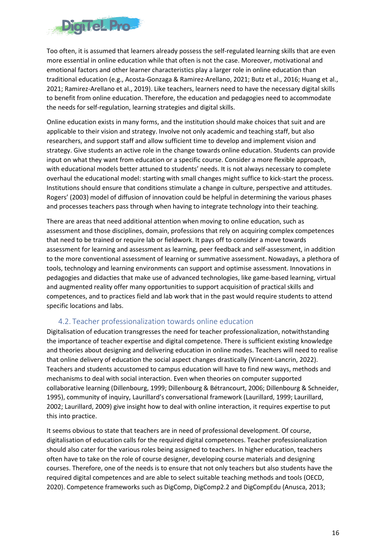

Too often, it is assumed that learners already possess the self-regulated learning skills that are even more essential in online education while that often is not the case. Moreover, motivational and emotional factors and other learner characteristics play a larger role in online education than traditional education (e.g., Acosta-Gonzaga & Ramirez-Arellano, 2021; Butz et al., 2016; Huang et al., 2021; Ramirez-Arellano et al., 2019). Like teachers, learners need to have the necessary digital skills to benefit from online education. Therefore, the education and pedagogies need to accommodate the needs for self-regulation, learning strategies and digital skills.

Online education exists in many forms, and the institution should make choices that suit and are applicable to their vision and strategy. Involve not only academic and teaching staff, but also researchers, and support staff and allow sufficient time to develop and implement vision and strategy. Give students an active role in the change towards online education. Students can provide input on what they want from education or a specific course. Consider a more flexible approach, with educational models better attuned to students' needs. It is not always necessary to complete overhaul the educational model: starting with small changes might suffice to kick-start the process. Institutions should ensure that conditions stimulate a change in culture, perspective and attitudes. Rogers' (2003) model of diffusion of innovation could be helpful in determining the various phases and processes teachers pass through when having to integrate technology into their teaching.

There are areas that need additional attention when moving to online education, such as assessment and those disciplines, domain, professions that rely on acquiring complex competences that need to be trained or require lab or fieldwork. It pays off to consider a move towards assessment for learning and assessment as learning, peer feedback and self-assessment, in addition to the more conventional assessment of learning or summative assessment. Nowadays, a plethora of tools, technology and learning environments can support and optimise assessment. Innovations in pedagogies and didacties that make use of advanced technologies, like game-based learning, virtual and augmented reality offer many opportunities to support acquisition of practical skills and competences, and to practices field and lab work that in the past would require students to attend specific locations and labs.

### <span id="page-15-0"></span>4.2. Teacher professionalization towards online education

Digitalisation of education transgresses the need for teacher professionalization, notwithstanding the importance of teacher expertise and digital competence. There is sufficient existing knowledge and theories about designing and delivering education in online modes. Teachers will need to realise that online delivery of education the social aspect changes drastically (Vincent-Lancrin, 2022). Teachers and students accustomed to campus education will have to find new ways, methods and mechanisms to deal with social interaction. Even when theories on computer supported collaborative learning (Dillenbourg, 1999; Dillenbourg & Bétrancourt, 2006; Dillenbourg & Schneider, 1995), community of inquiry, Laurillard's conversational framework (Laurillard, 1999; Laurillard, 2002; Laurillard, 2009) give insight how to deal with online interaction, it requires expertise to put this into practice.

It seems obvious to state that teachers are in need of professional development. Of course, digitalisation of education calls for the required digital competences. Teacher professionalization should also cater for the various roles being assigned to teachers. In higher education, teachers often have to take on the role of course designer, developing course materials and designing courses. Therefore, one of the needs is to ensure that not only teachers but also students have the required digital competences and are able to select suitable teaching methods and tools (OECD, 2020). Competence frameworks such as DigComp, DigComp2.2 and DigCompEdu (Anusca, 2013;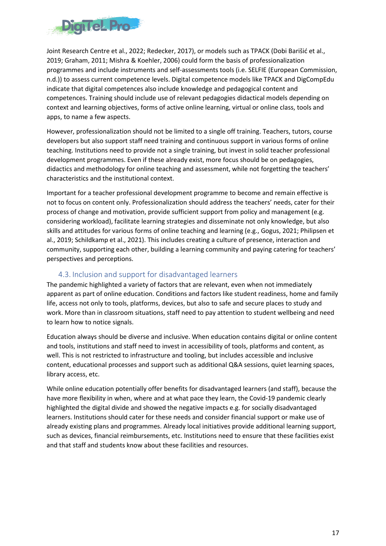

Joint Research Centre et al., 2022; Redecker, 2017), or models such as TPACK (Dobi Barišić et al., 2019; Graham, 2011; Mishra & Koehler, 2006) could form the basis of professionalization programmes and include instruments and self-assessments tools (i.e. SELFIE (European Commission, n.d.)) to assess current competence levels. Digital competence models like TPACK and DigCompEdu indicate that digital competences also include knowledge and pedagogical content and competences. Training should include use of relevant pedagogies didactical models depending on context and learning objectives, forms of active online learning, virtual or online class, tools and apps, to name a few aspects.

However, professionalization should not be limited to a single off training. Teachers, tutors, course developers but also support staff need training and continuous support in various forms of online teaching. Institutions need to provide not a single training, but invest in solid teacher professional development programmes. Even if these already exist, more focus should be on pedagogies, didactics and methodology for online teaching and assessment, while not forgetting the teachers' characteristics and the institutional context.

Important for a teacher professional development programme to become and remain effective is not to focus on content only. Professionalization should address the teachers' needs, cater for their process of change and motivation, provide sufficient support from policy and management (e.g. considering workload), facilitate learning strategies and disseminate not only knowledge, but also skills and attitudes for various forms of online teaching and learning (e.g., Gogus, 2021; Philipsen et al., 2019; Schildkamp et al., 2021). This includes creating a culture of presence, interaction and community, supporting each other, building a learning community and paying catering for teachers' perspectives and perceptions.

### 4.3. Inclusion and support for disadvantaged learners

<span id="page-16-0"></span>The pandemic highlighted a variety of factors that are relevant, even when not immediately apparent as part of online education. Conditions and factors like student readiness, home and family life, access not only to tools, platforms, devices, but also to safe and secure places to study and work. More than in classroom situations, staff need to pay attention to student wellbeing and need to learn how to notice signals.

Education always should be diverse and inclusive. When education contains digital or online content and tools, institutions and staff need to invest in accessibility of tools, platforms and content, as well. This is not restricted to infrastructure and tooling, but includes accessible and inclusive content, educational processes and support such as additional Q&A sessions, quiet learning spaces, library access, etc.

While online education potentially offer benefits for disadvantaged learners (and staff), because the have more flexibility in when, where and at what pace they learn, the Covid-19 pandemic clearly highlighted the digital divide and showed the negative impacts e.g. for socially disadvantaged learners. Institutions should cater for these needs and consider financial support or make use of already existing plans and programmes. Already local initiatives provide additional learning support, such as devices, financial reimbursements, etc. Institutions need to ensure that these facilities exist and that staff and students know about these facilities and resources.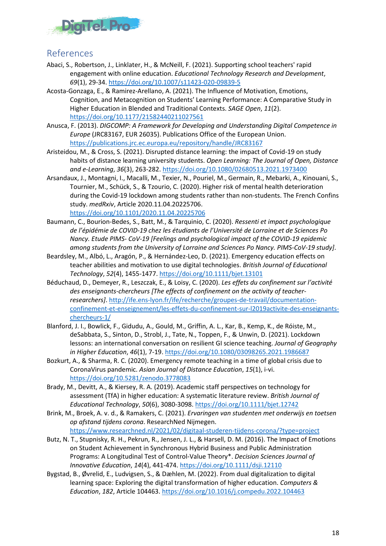

## <span id="page-17-0"></span>References

- Abaci, S., Robertson, J., Linklater, H., & McNeill, F. (2021). Supporting school teachers' rapid engagement with online education. *Educational Technology Research and Development*, *69*(1), 29-34[. https://doi.org/10.1007/s11423-020-09839-5](https://doi.org/10.1007/s11423-020-09839-5)
- Acosta-Gonzaga, E., & Ramirez-Arellano, A. (2021). The Influence of Motivation, Emotions, Cognition, and Metacognition on Students' Learning Performance: A Comparative Study in Higher Education in Blended and Traditional Contexts. *SAGE Open*, *11*(2). <https://doi.org/10.1177/21582440211027561>
- Anusca, F. (2013). *DIGCOMP: A Framework for Developing and Understanding Digital Competence in Europe* (JRC83167, EUR 26035). Publications Office of the European Union. <https://publications.jrc.ec.europa.eu/repository/handle/JRC83167>
- Aristeidou, M., & Cross, S. (2021). Disrupted distance learning: the impact of Covid-19 on study habits of distance learning university students. *Open Learning: The Journal of Open, Distance and e-Learning*, *36*(3), 263-282.<https://doi.org/10.1080/02680513.2021.1973400>
- Arsandaux, J., Montagni, I., Macalli, M., Texier, N., Pouriel, M., Germain, R., Mebarki, A., Kinouani, S., Tournier, M., Schück, S., & Tzourio, C. (2020). Higher risk of mental health deterioration during the Covid-19 lockdown among students rather than non-students. The French Confins study. *medRxiv*, Article 2020.11.04.20225706. <https://doi.org/10.1101/2020.11.04.20225706>
- Baumann, C., Bourion-Bedes, S., Batt, M., & Tarquinio, C. (2020). *Ressenti et impact psychologique de l'épidémie de COVID-19 chez les étudiants de l'Université de Lorraine et de Sciences Po Nancy. Etude PIMS- CoV-19 [Feelings and psychological impact of the COVID-19 epidemic among students from the University of Lorraine and Sciences Po Nancy. PIMS-CoV-19 study]*.
- Beardsley, M., Albó, L., Aragón, P., & Hernández-Leo, D. (2021). Emergency education effects on teacher abilities and motivation to use digital technologies. *British Journal of Educational Technology*, *52*(4), 1455-1477.<https://doi.org/10.1111/bjet.13101>
- Béduchaud, D., Demeyer, R., Leszczak, E., & Loisy, C. (2020). *Les effets du confinement sur l'activité des enseignants-chercheurs [The effects of confinement on the activity of teacherresearchers]*. [http://ife.ens-lyon.fr/ife/recherche/groupes-de-travail/documentation](http://ife.ens-lyon.fr/ife/recherche/groupes-de-travail/documentation-confinement-et-enseignement/les-effets-du-confinement-sur-l2019activite-des-enseignants-chercheurs-1/)[confinement-et-enseignement/les-effets-du-confinement-sur-l2019activite-des-enseignants](http://ife.ens-lyon.fr/ife/recherche/groupes-de-travail/documentation-confinement-et-enseignement/les-effets-du-confinement-sur-l2019activite-des-enseignants-chercheurs-1/)[chercheurs-1/](http://ife.ens-lyon.fr/ife/recherche/groupes-de-travail/documentation-confinement-et-enseignement/les-effets-du-confinement-sur-l2019activite-des-enseignants-chercheurs-1/)
- Blanford, J. I., Bowlick, F., Gidudu, A., Gould, M., Griffin, A. L., Kar, B., Kemp, K., de Róiste, M., deSabbata, S., Sinton, D., Strobl, J., Tate, N., Toppen, F., & Unwin, D. (2021). Lockdown lessons: an international conversation on resilient GI science teaching. *Journal of Geography in Higher Education*, *46*(1), 7-19[. https://doi.org/10.1080/03098265.2021.1986687](https://doi.org/10.1080/03098265.2021.1986687)
- Bozkurt, A., & Sharma, R. C. (2020). Emergency remote teaching in a time of global crisis due to CoronaVirus pandemic. *Asian Journal of Distance Education*, *15*(1), i-vi. <https://doi.org/10.5281/zenodo.3778083>
- Brady, M., Devitt, A., & Kiersey, R. A. (2019). Academic staff perspectives on technology for assessment (TfA) in higher education: A systematic literature review. *British Journal of Educational Technology*, *50*(6), 3080-3098.<https://doi.org/10.1111/bjet.12742>
- Brink, M., Broek, A. v. d., & Ramakers, C. (2021). *Ervaringen van studenten met onderwijs en toetsen op afstand tijdens corona*. ResearchNed Nijmegen. <https://www.researchned.nl/2021/02/digitaal-studeren-tijdens-corona/?type=project>
- Butz, N. T., Stupnisky, R. H., Pekrun, R., Jensen, J. L., & Harsell, D. M. (2016). The Impact of Emotions on Student Achievement in Synchronous Hybrid Business and Public Administration Programs: A Longitudinal Test of Control-Value Theory\*. *Decision Sciences Journal of Innovative Education*, *14*(4), 441-474[. https://doi.org/10.1111/dsji.12110](https://doi.org/10.1111/dsji.12110)
- Bygstad, B., Øvrelid, E., Ludvigsen, S., & Dæhlen, M. (2022). From dual digitalization to digital learning space: Exploring the digital transformation of higher education. *Computers & Education*, *182*, Article 104463.<https://doi.org/10.1016/j.compedu.2022.104463>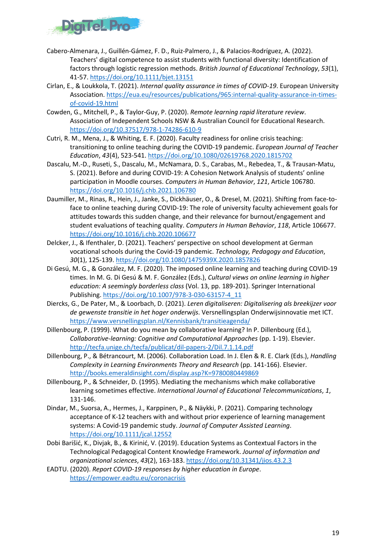

- Cabero-Almenara, J., Guillén-Gámez, F. D., Ruiz-Palmero, J., & Palacios-Rodríguez, A. (2022). Teachers' digital competence to assist students with functional diversity: Identification of factors through logistic regression methods. *British Journal of Educational Technology*, *53*(1), 41-57.<https://doi.org/10.1111/bjet.13151>
- Cirlan, E., & Loukkola, T. (2021). *Internal quality assurance in times of COVID-19*. European University Association. [https://eua.eu/resources/publications/965:internal-quality-assurance-in-times](https://eua.eu/resources/publications/965:internal-quality-assurance-in-times-of-covid-19.html)[of-covid-19.html](https://eua.eu/resources/publications/965:internal-quality-assurance-in-times-of-covid-19.html)
- Cowden, G., Mitchell, P., & Taylor-Guy, P. (2020). *Remote learning rapid literature review*. Association of Independent Schools NSW & Australian Council for Educational Research. <https://doi.org/10.37517/978-1-74286-610-9>
- Cutri, R. M., Mena, J., & Whiting, E. F. (2020). Faculty readiness for online crisis teaching: transitioning to online teaching during the COVID-19 pandemic. *European Journal of Teacher Education*, *43*(4), 523-541.<https://doi.org/10.1080/02619768.2020.1815702>
- Dascalu, M.-D., Ruseti, S., Dascalu, M., McNamara, D. S., Carabas, M., Rebedea, T., & Trausan-Matu, S. (2021). Before and during COVID-19: A Cohesion Network Analysis of students' online participation in Moodle courses. *Computers in Human Behavior*, *121*, Article 106780. <https://doi.org/10.1016/j.chb.2021.106780>
- Daumiller, M., Rinas, R., Hein, J., Janke, S., Dickhäuser, O., & Dresel, M. (2021). Shifting from face-toface to online teaching during COVID-19: The role of university faculty achievement goals for attitudes towards this sudden change, and their relevance for burnout/engagement and student evaluations of teaching quality. *Computers in Human Behavior*, *118*, Article 106677. <https://doi.org/10.1016/j.chb.2020.106677>
- Delcker, J., & Ifenthaler, D. (2021). Teachers' perspective on school development at German vocational schools during the Covid-19 pandemic. *Technology, Pedagogy and Education*, *30*(1), 125-139[. https://doi.org/10.1080/1475939X.2020.1857826](https://doi.org/10.1080/1475939X.2020.1857826)
- Di Gesú, M. G., & González, M. F. (2020). The imposed online learning and teaching during COVID-19 times. In M. G. Di Gesú & M. F. González (Eds.), *Cultural views on online learning in higher education: A seemingly borderless class* (Vol. 13, pp. 189-201). Springer International Publishing. [https://doi.org/10.1007/978-3-030-63157-4\\_11](https://doi.org/10.1007/978-3-030-63157-4_11)
- Diercks, G., De Pater, M., & Loorbach, D. (2021). *Leren digitaliseren: Digitalisering als breekijzer voor de gewenste transitie in het hoger onderwijs*. Versnellingsplan Onderwijsinnovatie met ICT. <https://www.versnellingsplan.nl/Kennisbank/transitieagenda/>
- Dillenbourg, P. (1999). What do you mean by collaborative learning? In P. Dillenbourg (Ed.), *Collaborative-learning: Cognitive and Computational Approaches* (pp. 1-19). Elsevier. <http://tecfa.unige.ch/tecfa/publicat/dil-papers-2/Dil.7.1.14.pdf>
- Dillenbourg, P., & Bétrancourt, M. (2006). Collaboration Load. In J. Elen & R. E. Clark (Eds.), *Handling Complexity in Learning Environments Theory and Research* (pp. 141-166). Elsevier. <http://books.emeraldinsight.com/display.asp?K=9780080449869>
- Dillenbourg, P., & Schneider, D. (1995). Mediating the mechanisms which make collaborative learning sometimes effective. *International Journal of Educational Telecommunications*, *1*, 131-146.
- Dindar, M., Suorsa, A., Hermes, J., Karppinen, P., & Näykki, P. (2021). Comparing technology acceptance of K-12 teachers with and without prior experience of learning management systems: A Covid-19 pandemic study. *Journal of Computer Assisted Learning*. <https://doi.org/10.1111/jcal.12552>
- Dobi Barišić, K., Divjak, B., & Kirinić, V. (2019). Education Systems as Contextual Factors in the Technological Pedagogical Content Knowledge Framework. *Journal of information and organizational sciences*, *43*(2), 163-183[. https://doi.org/10.31341/jios.43.2.3](https://doi.org/10.31341/jios.43.2.3)
- EADTU. (2020). *Report COVID-19 responses by higher education in Europe*. <https://empower.eadtu.eu/coronacrisis>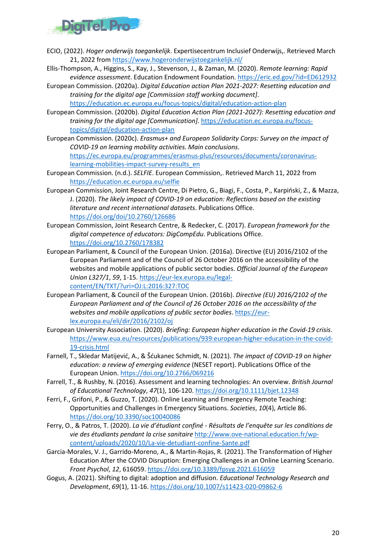

- ECIO, (2022). *Hoger onderwijs toegankelijk*. Expertisecentrum Inclusief Onderwijs,. Retrieved March 21, 2022 fro[m https://www.hogeronderwijstoegankelijk.nl/](https://www.hogeronderwijstoegankelijk.nl/)
- Ellis-Thompson, A., Higgins, S., Kay, J., Stevenson, J., & Zaman, M. (2020). *Remote learning: Rapid evidence assessment*. Education Endowment Foundation[. https://eric.ed.gov/?id=ED612932](https://eric.ed.gov/?id=ED612932)
- European Commission. (2020a). *Digital Education action Plan 2021-2027: Resetting education and training for the digital age [Commission staff working document]*. <https://education.ec.europa.eu/focus-topics/digital/education-action-plan>
- European Commission. (2020b). *Digital Education Action Plan (2021-2027): Resetting education and training for the digital age [Communication]*. [https://education.ec.europa.eu/focus](https://education.ec.europa.eu/focus-topics/digital/education-action-plan)[topics/digital/education-action-plan](https://education.ec.europa.eu/focus-topics/digital/education-action-plan)
- European Commission. (2020c). *Erasmus+ and European Solidarity Corps: Survey on the impact of COVID-19 on learning mobility activities. Main conclusions*. [https://ec.europa.eu/programmes/erasmus-plus/resources/documents/coronavirus](https://ec.europa.eu/programmes/erasmus-plus/resources/documents/coronavirus-learning-mobilities-impact-survey-results_en)[learning-mobilities-impact-survey-results\\_en](https://ec.europa.eu/programmes/erasmus-plus/resources/documents/coronavirus-learning-mobilities-impact-survey-results_en)
- European Commission. (n.d.). *SELFIE*. European Commission,. Retrieved March 11, 2022 from <https://education.ec.europa.eu/selfie>
- European Commission, Joint Research Centre, Di Pietro, G., Biagi, F., Costa, P., Karpiński, Z., & Mazza, J. (2020). *The likely impact of COVID-19 on education: Reflections based on the existing literature and recent international datasets*. Publications Office. <https://doi.org/doi/10.2760/126686>
- European Commission, Joint Research Centre, & Redecker, C. (2017). *European framework for the digital competence of educators: DigCompEdu*. Publications Office. <https://doi.org/10.2760/178382>
- European Parliament, & Council of the European Union. (2016a). Directive (EU) 2016/2102 of the European Parliament and of the Council of 26 October 2016 on the accessibility of the websites and mobile applications of public sector bodies. *Official Journal of the European Union L327/1*, *59*, 1-15. [https://eur-lex.europa.eu/legal](https://eur-lex.europa.eu/legal-content/EN/TXT/?uri=OJ:L:2016:327:TOC)[content/EN/TXT/?uri=OJ:L:2016:327:TOC](https://eur-lex.europa.eu/legal-content/EN/TXT/?uri=OJ:L:2016:327:TOC)
- European Parliament, & Council of the European Union. (2016b). *Directive (EU) 2016/2102 of the European Parliament and of the Council of 26 October 2016 on the accessibility of the websites and mobile applications of public sector bodies*[. https://eur](https://eur-lex.europa.eu/eli/dir/2016/2102/oj)[lex.europa.eu/eli/dir/2016/2102/oj](https://eur-lex.europa.eu/eli/dir/2016/2102/oj)
- European University Association. (2020). *Briefing: European higher education in the Covid-19 crisis*. [https://www.eua.eu/resources/publications/939:european-higher-education-in-the-covid-](https://www.eua.eu/resources/publications/939:european-higher-education-in-the-covid-19-crisis.html)[19-crisis.html](https://www.eua.eu/resources/publications/939:european-higher-education-in-the-covid-19-crisis.html)
- Farnell, T., Skledar Matijević, A., & Šćukanec Schmidt, N. (2021). *The impact of COVID-19 on higher education: a review of emerging evidence* (NESET report). Publications Office of the European Union.<https://doi.org/10.2766/069216>
- Farrell, T., & Rushby, N. (2016). Assessment and learning technologies: An overview. *British Journal of Educational Technology*, *47*(1), 106-120[. https://doi.org/10.1111/bjet.12348](https://doi.org/10.1111/bjet.12348)
- Ferri, F., Grifoni, P., & Guzzo, T. (2020). Online Learning and Emergency Remote Teaching: Opportunities and Challenges in Emergency Situations. *Societies*, *10*(4), Article 86. <https://doi.org/10.3390/soc10040086>
- Ferry, O., & Patros, T. (2020). *La vie d'étudiant confiné Résultats de l'enquête sur les conditions de vie des étudiants pendant la crise sanitaire* [http://www.ove-national.education.fr/wp](http://www.ove-national.education.fr/wp-content/uploads/2020/10/La-vie-detudiant-confine-Sante.pdf)[content/uploads/2020/10/La-vie-detudiant-confine-Sante.pdf](http://www.ove-national.education.fr/wp-content/uploads/2020/10/La-vie-detudiant-confine-Sante.pdf)
- Garcia-Morales, V. J., Garrido-Moreno, A., & Martin-Rojas, R. (2021). The Transformation of Higher Education After the COVID Disruption: Emerging Challenges in an Online Learning Scenario. *Front Psychol*, *12*, 616059.<https://doi.org/10.3389/fpsyg.2021.616059>
- Gogus, A. (2021). Shifting to digital: adoption and diffusion. *Educational Technology Research and Development*, *69*(1), 11-16.<https://doi.org/10.1007/s11423-020-09862-6>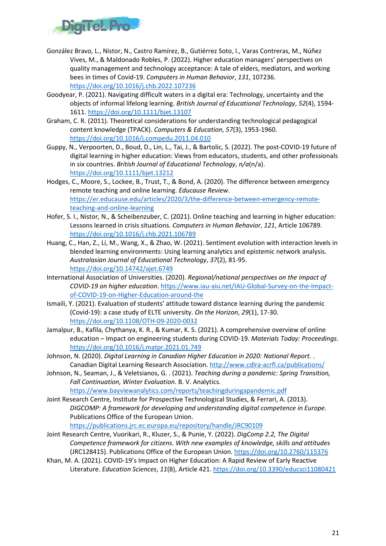

- González Bravo, L., Nistor, N., Castro Ramírez, B., Gutiérrez Soto, I., Varas Contreras, M., Núñez Vives, M., & Maldonado Robles, P. (2022). Higher education managers' perspectives on quality management and technology acceptance: A tale of elders, mediators, and working bees in times of Covid-19. *Computers in Human Behavior*, *131*, 107236. <https://doi.org/10.1016/j.chb.2022.107236>
- Goodyear, P. (2021). Navigating difficult waters in a digital era: Technology, uncertainty and the objects of informal lifelong learning. *British Journal of Educational Technology*, *52*(4), 1594- 1611[. https://doi.org/10.1111/bjet.13107](https://doi.org/10.1111/bjet.13107)
- Graham, C. R. (2011). Theoretical considerations for understanding technological pedagogical content knowledge (TPACK). *Computers & Education*, *57*(3), 1953-1960. <https://doi.org/10.1016/j.compedu.2011.04.010>
- Guppy, N., Verpoorten, D., Boud, D., Lin, L., Tai, J., & Bartolic, S. (2022). The post-COVID-19 future of digital learning in higher education: Views from educators, students, and other professionals in six countries. *British Journal of Educational Technology*, *n/a*(n/a). <https://doi.org/10.1111/bjet.13212>
- Hodges, C., Moore, S., Lockee, B., Trust, T., & Bond, A. (2020). The difference between emergency remote teaching and online learning. *Educause Review*. [https://er.educause.edu/articles/2020/3/the-difference-between-emergency-remote](https://er.educause.edu/articles/2020/3/the-difference-between-emergency-remote-teaching-and-online-learning)[teaching-and-online-learning](https://er.educause.edu/articles/2020/3/the-difference-between-emergency-remote-teaching-and-online-learning)
- Hofer, S. I., Nistor, N., & Scheibenzuber, C. (2021). Online teaching and learning in higher education: Lessons learned in crisis situations. *Computers in Human Behavior*, *121*, Article 106789. <https://doi.org/10.1016/j.chb.2021.106789>
- Huang, C., Han, Z., Li, M., Wang, X., & Zhao, W. (2021). Sentiment evolution with interaction levels in blended learning environments: Using learning analytics and epistemic network analysis. *Australasian Journal of Educational Technology*, *37*(2), 81-95. <https://doi.org/10.14742/ajet.6749>
- International Association of Universities. (2020). *Regional/national perspectives on the impact of COVID-19 on higher education*. [https://www.iau-aiu.net/IAU-Global-Survey-on-the-Impact](https://www.iau-aiu.net/IAU-Global-Survey-on-the-Impact-of-COVID-19-on-Higher-Education-around-the)[of-COVID-19-on-Higher-Education-around-the](https://www.iau-aiu.net/IAU-Global-Survey-on-the-Impact-of-COVID-19-on-Higher-Education-around-the)
- Ismaili, Y. (2021). Evaluation of students' attitude toward distance learning during the pandemic (Covid-19): a case study of ELTE university. *On the Horizon*, *29*(1), 17-30. <https://doi.org/10.1108/OTH-09-2020-0032>
- Jamalpur, B., Kafila, Chythanya, K. R., & Kumar, K. S. (2021). A comprehensive overview of online education – Impact on engineering students during COVID-19. *Materials Today: Proceedings*. <https://doi.org/10.1016/j.matpr.2021.01.749>
- Johnson, N. (2020). *Digital Learning in Canadian Higher Education in 2020: National Report.* . Canadian Digital Learning Research Association[. http://www.cdlra-acrfl.ca/publications/](http://www.cdlra-acrfl.ca/publications/)
- Johnson, N., Seaman, J., & Veletsianos, G. . (2021). *Teaching during a pandemic: Spring Transition, Fall Continuation, Winter Evaluation*. B. V. Analytics. <https://www.bayviewanalytics.com/reports/teachingduringapandemic.pdf>
- Joint Research Centre, Institute for Prospective Technological Studies, & Ferrari, A. (2013). *DIGCOMP: A framework for developing and understanding digital competence in Europe*. Publications Office of the European Union.

<https://publications.jrc.ec.europa.eu/repository/handle/JRC90109>

- Joint Research Centre, Vuorikari, R., Kluzer, S., & Punie, Y. (2022). *DigComp 2.2, The Digital Competence framework for citizens. With new examples of knowledge, skills and attitudes* (JRC128415). Publications Office of the European Union[. https://doi.org/10.2760/115376](https://doi.org/10.2760/115376)
- Khan, M. A. (2021). COVID-19's Impact on Higher Education: A Rapid Review of Early Reactive Literature. *Education Sciences*, *11*(8), Article 421.<https://doi.org/10.3390/educsci11080421>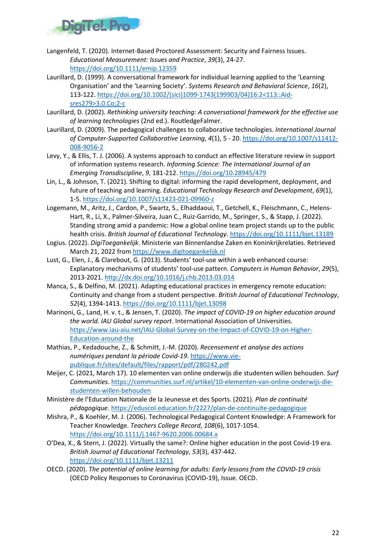

- Langenfeld, T. (2020). Internet-Based Proctored Assessment: Security and Fairness Issues. *Educational Measurement: Issues and Practice*, *39*(3), 24-27. <https://doi.org/10.1111/emip.12359>
- Laurillard, D. (1999). A conversational framework for individual learning applied to the 'Learning Organisation' and the 'Learning Society'. *Systems Research and Behavioral Science*, *16*(2), 113-122. [https://doi.org/10.1002/\(sici\)1099-1743\(199903/04\)16:2<113::Aid](https://doi.org/10.1002/(sici)1099-1743(199903/04)16:2%3c113::Aid-sres279%3e3.0.Co;2-c)[sres279>3.0.Co;2-c](https://doi.org/10.1002/(sici)1099-1743(199903/04)16:2%3c113::Aid-sres279%3e3.0.Co;2-c)
- Laurillard, D. (2002). *Rethinking university teaching: A conversational framework for the effective use of learning technologies* (2nd ed.). RoutledgeFalmer.
- Laurillard, D. (2009). The pedagogical challenges to collaborative technologies. *International Journal of Computer-Supported Collaborative Learning*, *4*(1), 5 - 20[. https://doi.org/10.1007/s11412-](https://doi.org/10.1007/s11412-008-9056-2) [008-9056-2](https://doi.org/10.1007/s11412-008-9056-2)
- Levy, Y., & Ellis, T. J. (2006). A systems approach to conduct an effective literature review in support of information systems research. *Informing Science: The International Journal of an Emerging Transdiscipline*, *9*, 181-212.<https://doi.org/10.28945/479>
- Lin, L., & Johnson, T. (2021). Shifting to digital: informing the rapid development, deployment, and future of teaching and learning. *Educational Technology Research and Development*, *69*(1), 1-5.<https://doi.org/10.1007/s11423-021-09960-z>
- Logemann, M., Aritz, J., Cardon, P., Swartz, S., Elhaddaoui, T., Getchell, K., Fleischmann, C., Helens-Hart, R., Li, X., Palmer-Silveira, Juan C., Ruiz-Garrido, M., Springer, S., & Stapp, J. (2022). Standing strong amid a pandemic: How a global online team project stands up to the public health crisis. *British Journal of Educational Technology*.<https://doi.org/10.1111/bjet.13189>
- Logius. (2022). *DigiToegankelijk*. Ministerie van Binnenlandse Zaken en Koninkrijkrelaties. Retrieved March 21, 2022 from [https://www.digitoegankelijk.nl](https://www.digitoegankelijk.nl/)
- Lust, G., Elen, J., & Clarebout, G. (2013). Students' tool-use within a web enhanced course: Explanatory mechanisms of students' tool-use pattern. *Computers in Human Behavior*, *29*(5), 2013-2021.<http://dx.doi.org/10.1016/j.chb.2013.03.014>
- Manca, S., & Delfino, M. (2021). Adapting educational practices in emergency remote education: Continuity and change from a student perspective. *British Journal of Educational Technology*, *52*(4), 1394-1413.<https://doi.org/10.1111/bjet.13098>
- Marinoni, G., Land, H. v. t., & Jensen, T. (2020). *The impact of COVID-19 on higher education around the world. IAU Global survey report*. International Association of Universities. [https://www.iau-aiu.net/IAU-Global-Survey-on-the-Impact-of-COVID-19-on-Higher-](https://www.iau-aiu.net/IAU-Global-Survey-on-the-Impact-of-COVID-19-on-Higher-Education-around-the)[Education-around-the](https://www.iau-aiu.net/IAU-Global-Survey-on-the-Impact-of-COVID-19-on-Higher-Education-around-the)
- Mathias, P., Kedadouche, Z., & Schmitt, J.-M. (2020). *Recensement et analyse des actions numériques pendant la période Covid-19*. [https://www.vie](https://www.vie-publique.fr/sites/default/files/rapport/pdf/280242.pdf)[publique.fr/sites/default/files/rapport/pdf/280242.pdf](https://www.vie-publique.fr/sites/default/files/rapport/pdf/280242.pdf)
- Meijer, C. (2021, March 17). 10 elementen van online onderwijs die studenten willen behouden. *Surf Communities*[. https://communities.surf.nl/artikel/10-elementen-van-online-onderwijs-die](https://communities.surf.nl/artikel/10-elementen-van-online-onderwijs-die-studenten-willen-behouden)[studenten-willen-behouden](https://communities.surf.nl/artikel/10-elementen-van-online-onderwijs-die-studenten-willen-behouden)
- Ministère de l'Education Nationale de la Jeunesse et des Sports. (2021). *Plan de continuité pédagogique*.<https://eduscol.education.fr/2227/plan-de-continuite-pedagogique>
- Mishra, P., & Koehler, M. J. (2006). Technological Pedagogical Content Knowledge: A Framework for Teacher Knowledge. *Teachers College Record*, *108*(6), 1017-1054. <https://doi.org/10.1111/j.1467-9620.2006.00684.x>
- O'Dea, X., & Stern, J. (2022). Virtually the same?: Online higher education in the post Covid-19 era. *British Journal of Educational Technology*, *53*(3), 437-442. <https://doi.org/10.1111/bjet.13211>
- OECD. (2020). *The potential of online learning for adults: Early lessons from the COVID-19 crisis* (OECD Policy Responses to Coronavirus (COVID-19), Issue. OECD.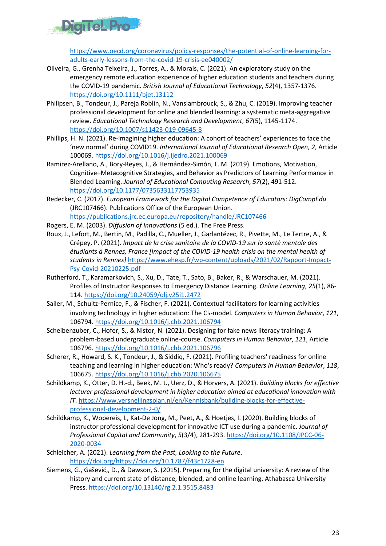

[https://www.oecd.org/coronavirus/policy-responses/the-potential-of-online-learning-for](https://www.oecd.org/coronavirus/policy-responses/the-potential-of-online-learning-for-adults-early-lessons-from-the-covid-19-crisis-ee040002/)[adults-early-lessons-from-the-covid-19-crisis-ee040002/](https://www.oecd.org/coronavirus/policy-responses/the-potential-of-online-learning-for-adults-early-lessons-from-the-covid-19-crisis-ee040002/) 

- Oliveira, G., Grenha Teixeira, J., Torres, A., & Morais, C. (2021). An exploratory study on the emergency remote education experience of higher education students and teachers during the COVID-19 pandemic. *British Journal of Educational Technology*, *52*(4), 1357-1376. <https://doi.org/10.1111/bjet.13112>
- Philipsen, B., Tondeur, J., Pareja Roblin, N., Vanslambrouck, S., & Zhu, C. (2019). Improving teacher professional development for online and blended learning: a systematic meta-aggregative review. *Educational Technology Research and Development*, *67*(5), 1145-1174. <https://doi.org/10.1007/s11423-019-09645-8>
- Phillips, H. N. (2021). Re-imagining higher education: A cohort of teachers' experiences to face the 'new normal' during COVID19. *International Journal of Educational Research Open*, *2*, Article 100069[. https://doi.org/10.1016/j.ijedro.2021.100069](https://doi.org/10.1016/j.ijedro.2021.100069)
- Ramirez-Arellano, A., Bory-Reyes, J., & Hernández-Simón, L. M. (2019). Emotions, Motivation, Cognitive–Metacognitive Strategies, and Behavior as Predictors of Learning Performance in Blended Learning. *Journal of Educational Computing Research*, *57*(2), 491-512. <https://doi.org/10.1177/0735633117753935>
- Redecker, C. (2017). *European Framework for the Digital Competence of Educators: DigCompEdu* (JRC107466). Publications Office of the European Union. <https://publications.jrc.ec.europa.eu/repository/handle/JRC107466>
- Rogers, E. M. (2003). *Diffusion of Innovations* (5 ed.). The Free Press.
- Roux, J., Lefort, M., Bertin, M., Padilla, C., Mueller, J., Garlantézec, R., Pivette, M., Le Tertre, A., & Crépey, P. (2021). *Impact de la crise sanitaire de la COVID-19 sur la santé mentale des étudiants à Rennes, France [Impact of the COVID-19 health crisis on the mental health of students in Rennes]* [https://www.ehesp.fr/wp-content/uploads/2021/02/Rapport-Impact-](https://www.ehesp.fr/wp-content/uploads/2021/02/Rapport-Impact-Psy-Covid-20210225.pdf)[Psy-Covid-20210225.pdf](https://www.ehesp.fr/wp-content/uploads/2021/02/Rapport-Impact-Psy-Covid-20210225.pdf)
- Rutherford, T., Karamarkovich, S., Xu, D., Tate, T., Sato, B., Baker, R., & Warschauer, M. (2021). Profiles of Instructor Responses to Emergency Distance Learning. *Online Learning*, *25*(1), 86- 114.<https://doi.org/10.24059/olj.v25i1.2472>
- Sailer, M., Schultz-Pernice, F., & Fischer, F. (2021). Contextual facilitators for learning activities involving technology in higher education: The C♭-model. *Computers in Human Behavior*, *121*, 106794[. https://doi.org/10.1016/j.chb.2021.106794](https://doi.org/10.1016/j.chb.2021.106794)
- Scheibenzuber, C., Hofer, S., & Nistor, N. (2021). Designing for fake news literacy training: A problem-based undergraduate online-course. *Computers in Human Behavior*, *121*, Article 106796[. https://doi.org/10.1016/j.chb.2021.106796](https://doi.org/10.1016/j.chb.2021.106796)
- Scherer, R., Howard, S. K., Tondeur, J., & Siddiq, F. (2021). Profiling teachers' readiness for online teaching and learning in higher education: Who's ready? *Computers in Human Behavior*, *118*, 106675[. https://doi.org/10.1016/j.chb.2020.106675](https://doi.org/10.1016/j.chb.2020.106675)
- Schildkamp, K., Otter, D. H.-d., Beek, M. t., Uerz, D., & Horvers, A. (2021). *Building blocks for effective lecturer professional development in higher education aimed at educational innovation with IT*. [https://www.versnellingsplan.nl/en/Kennisbank/building-blocks-for-effective](https://www.versnellingsplan.nl/en/Kennisbank/building-blocks-for-effective-professional-development-2-0/)[professional-development-2-0/](https://www.versnellingsplan.nl/en/Kennisbank/building-blocks-for-effective-professional-development-2-0/)
- Schildkamp, K., Wopereis, I., Kat-De Jong, M., Peet, A., & Hoetjes, I. (2020). Building blocks of instructor professional development for innovative ICT use during a pandemic. *Journal of Professional Capital and Community*, *5*(3/4), 281-293[. https://doi.org/10.1108/JPCC-06-](https://doi.org/10.1108/JPCC-06-2020-0034) [2020-0034](https://doi.org/10.1108/JPCC-06-2020-0034)
- Schleicher, A. (2021). *Learning from the Past, Looking to the Future*. [https://doi.org/https://doi.org/10.1787/f43c1728-en](https://doi.org/https:/doi.org/10.1787/f43c1728-en)
- Siemens, G., Gašević,, D., & Dawson, S. (2015). Preparing for the digital university: A review of the history and current state of distance, blended, and online learning. Athabasca University Press.<https://doi.org/10.13140/rg.2.1.3515.8483>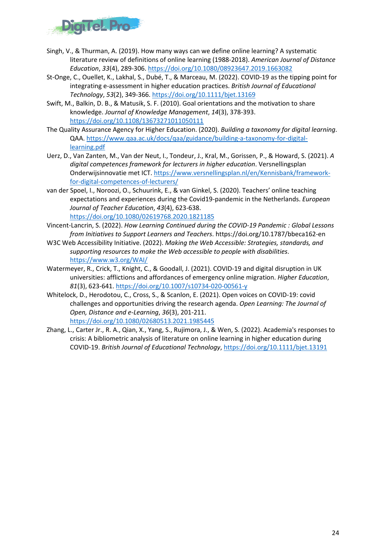

- Singh, V., & Thurman, A. (2019). How many ways can we define online learning? A systematic literature review of definitions of online learning (1988-2018). *American Journal of Distance Education*, *33*(4), 289-306.<https://doi.org/10.1080/08923647.2019.1663082>
- St-Onge, C., Ouellet, K., Lakhal, S., Dubé, T., & Marceau, M. (2022). COVID-19 as the tipping point for integrating e-assessment in higher education practices. *British Journal of Educational Technology*, *53*(2), 349-366.<https://doi.org/10.1111/bjet.13169>
- Swift, M., Balkin, D. B., & Matusik, S. F. (2010). Goal orientations and the motivation to share knowledge. *Journal of Knowledge Management*, *14*(3), 378-393. <https://doi.org/10.1108/13673271011050111>
- The Quality Assurance Agency for Higher Education. (2020). *Building a taxonomy for digital learning*. QAA. [https://www.qaa.ac.uk/docs/qaa/guidance/building-a-taxonomy-for-digital](https://www.qaa.ac.uk/docs/qaa/guidance/building-a-taxonomy-for-digital-learning.pdf)[learning.pdf](https://www.qaa.ac.uk/docs/qaa/guidance/building-a-taxonomy-for-digital-learning.pdf)
- Uerz, D., Van Zanten, M., Van der Neut, I., Tondeur, J., Kral, M., Gorissen, P., & Howard, S. (2021). *A digital competences framework for lecturers in higher education*. Versnellingsplan Onderwijsinnovatie met ICT. [https://www.versnellingsplan.nl/en/Kennisbank/framework](https://www.versnellingsplan.nl/en/Kennisbank/framework-for-digital-competences-of-lecturers/)[for-digital-competences-of-lecturers/](https://www.versnellingsplan.nl/en/Kennisbank/framework-for-digital-competences-of-lecturers/)
- van der Spoel, I., Noroozi, O., Schuurink, E., & van Ginkel, S. (2020). Teachers' online teaching expectations and experiences during the Covid19-pandemic in the Netherlands. *European Journal of Teacher Education*, *43*(4), 623-638. <https://doi.org/10.1080/02619768.2020.1821185>
- Vincent-Lancrin, S. (2022). *How Learning Continued during the COVID-19 Pandemic : Global Lessons from Initiatives to Support Learners and Teachers*. https://doi.org/10.1787/bbeca162-en
- W3C Web Accessibility Initiative. (2022). *Making the Web Accessible: Strategies, standards, and supporting resources to make the Web accessible to people with disabilities*. <https://www.w3.org/WAI/>
- Watermeyer, R., Crick, T., Knight, C., & Goodall, J. (2021). COVID-19 and digital disruption in UK universities: afflictions and affordances of emergency online migration. *Higher Education*, *81*(3), 623-641[. https://doi.org/10.1007/s10734-020-00561-y](https://doi.org/10.1007/s10734-020-00561-y)
- Whitelock, D., Herodotou, C., Cross, S., & Scanlon, E. (2021). Open voices on COVID-19: covid challenges and opportunities driving the research agenda. *Open Learning: The Journal of Open, Distance and e-Learning*, *36*(3), 201-211. <https://doi.org/10.1080/02680513.2021.1985445>
- Zhang, L., Carter Jr., R. A., Qian, X., Yang, S., Rujimora, J., & Wen, S. (2022). Academia's responses to crisis: A bibliometric analysis of literature on online learning in higher education during COVID-19. *British Journal of Educational Technology*, <https://doi.org/10.1111/bjet.13191>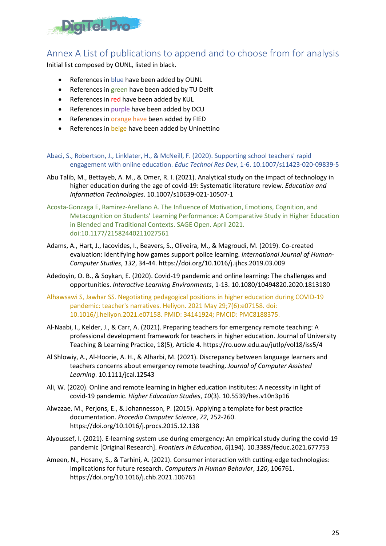

## <span id="page-24-0"></span>Annex A List of publications to append and to choose from for analysis

Initial list composed by OUNL, listed in black.

- References in blue have been added by OUNL
- References in green have been added by TU Delft
- References in red have been added by KUL
- References in purple have been added by DCU
- References in orange have been added by FIED
- References in beige have been added by Uninettino
- Abaci, S., Robertson, J., Linklater, H., & McNeill, F. (2020). Supporting school teachers' rapid engagement with online education. *Educ Technol Res Dev*, 1-6. 10.1007/s11423-020-09839-5
- Abu Talib, M., Bettayeb, A. M., & Omer, R. I. (2021). Analytical study on the impact of technology in higher education during the age of covid-19: Systematic literature review. *Education and Information Technologies*. 10.1007/s10639-021-10507-1
- Acosta-Gonzaga E, Ramirez-Arellano A. The Influence of Motivation, Emotions, Cognition, and Metacognition on Students' Learning Performance: A Comparative Study in Higher Education in Blended and Traditional Contexts. SAGE Open. April 2021. doi:10.1177/21582440211027561
- Adams, A., Hart, J., Iacovides, I., Beavers, S., Oliveira, M., & Magroudi, M. (2019). Co-created evaluation: Identifying how games support police learning. *International Journal of Human-Computer Studies*, *132*, 34-44. https://doi.org/10.1016/j.ijhcs.2019.03.009
- Adedoyin, O. B., & Soykan, E. (2020). Covid-19 pandemic and online learning: The challenges and opportunities. *Interactive Learning Environments*, 1-13. 10.1080/10494820.2020.1813180
- Alhawsawi S, Jawhar SS. Negotiating pedagogical positions in higher education during COVID-19 pandemic: teacher's narratives. Heliyon. 2021 May 29;7(6):e07158. doi: 10.1016/j.heliyon.2021.e07158. PMID: 34141924; PMCID: PMC8188375.
- Al-Naabi, I., Kelder, J., & Carr, A. (2021). Preparing teachers for emergency remote teaching: A professional development framework for teachers in higher education. Journal of University Teaching & Learning Practice, 18(5), Article 4. https://ro.uow.edu.au/jutlp/vol18/iss5/4
- Al Shlowiy, A., Al-Hoorie, A. H., & Alharbi, M. (2021). Discrepancy between language learners and teachers concerns about emergency remote teaching. *Journal of Computer Assisted Learning*. 10.1111/jcal.12543
- Ali, W. (2020). Online and remote learning in higher education institutes: A necessity in light of covid-19 pandemic. *Higher Education Studies*, *10*(3). 10.5539/hes.v10n3p16
- Alwazae, M., Perjons, E., & Johannesson, P. (2015). Applying a template for best practice documentation. *Procedia Computer Science*, *72*, 252-260. https://doi.org/10.1016/j.procs.2015.12.138
- Alyoussef, I. (2021). E-learning system use during emergency: An empirical study during the covid-19 pandemic [Original Research]. *Frontiers in Education*, *6*(194). 10.3389/feduc.2021.677753
- Ameen, N., Hosany, S., & Tarhini, A. (2021). Consumer interaction with cutting-edge technologies: Implications for future research. *Computers in Human Behavior*, *120*, 106761. https://doi.org/10.1016/j.chb.2021.106761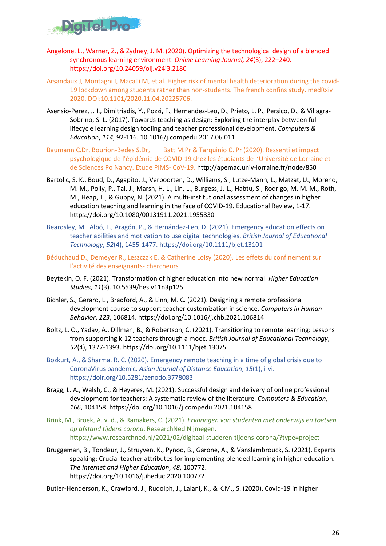

- Angelone, L., Warner, Z., & Zydney, J. M. (2020). Optimizing the technological design of a blended synchronous learning environment. *Online Learning Journal, 24*(3), 222–240. https://doi.org/10.24059/olj.v24i3.2180
- Arsandaux J, Montagni I, Macalli M, et al. Higher risk of mental health deterioration during the covid-19 lockdown among students rather than non-students. The french confins study. medRxiv 2020. DOI:10.1101/2020.11.04.20225706.
- Asensio-Perez, J. I., Dimitriadis, Y., Pozzi, F., Hernandez-Leo, D., Prieto, L. P., Persico, D., & Villagra-Sobrino, S. L. (2017). Towards teaching as design: Exploring the interplay between fulllifecycle learning design tooling and teacher professional development. *Computers & Education*, *114*, 92-116. 10.1016/j.compedu.2017.06.011
- Baumann C.Dr, Bourion-Bedes S.Dr, Batt M.Pr & Tarquinio C. Pr (2020). Ressenti et impact psychologique de l'épidémie de COVID-19 chez les étudiants de l'Université de Lorraine et de Sciences Po Nancy. Etude PIMS- CoV-19. http://apemac.univ-lorraine.fr/node/850
- Bartolic, S. K., Boud, D., Agapito, J., Verpoorten, D., Williams, S., Lutze-Mann, L., Matzat, U., Moreno, M. M., Polly, P., Tai, J., Marsh, H. L., Lin, L., Burgess, J.-L., Habtu, S., Rodrigo, M. M. M., Roth, M., Heap, T., & Guppy, N. (2021). A multi-institutional assessment of changes in higher education teaching and learning in the face of COVID-19. Educational Review, 1-17. https://doi.org/10.1080/00131911.2021.1955830
- Beardsley, M., Albó, L., Aragón, P., & Hernández-Leo, D. (2021). Emergency education effects on teacher abilities and motivation to use digital technologies. *British Journal of Educational Technology*, *52*(4), 1455-1477. https://doi.org/10.1111/bjet.13101
- Béduchaud D., Demeyer R., Leszczak E. & Catherine Loisy (2020). Les effets du confinement sur l'activité des enseignants- chercheurs
- Beytekin, O. F. (2021). Transformation of higher education into new normal. *Higher Education Studies*, *11*(3). 10.5539/hes.v11n3p125
- Bichler, S., Gerard, L., Bradford, A., & Linn, M. C. (2021). Designing a remote professional development course to support teacher customization in science. *Computers in Human Behavior*, *123*, 106814. https://doi.org/10.1016/j.chb.2021.106814
- Boltz, L. O., Yadav, A., Dillman, B., & Robertson, C. (2021). Transitioning to remote learning: Lessons from supporting k-12 teachers through a mooc. *British Journal of Educational Technology*, *52*(4), 1377-1393. https://doi.org/10.1111/bjet.13075
- Bozkurt, A., & Sharma, R. C. (2020). Emergency remote teaching in a time of global crisis due to CoronaVirus pandemic. *Asian Journal of Distance Education*, *15*(1), i-vi. https://doir.org/10.5281/zenodo.3778083
- Bragg, L. A., Walsh, C., & Heyeres, M. (2021). Successful design and delivery of online professional development for teachers: A systematic review of the literature. *Computers & Education*, *166*, 104158. https://doi.org/10.1016/j.compedu.2021.104158
- Brink, M., Broek, A. v. d., & Ramakers, C. (2021). *Ervaringen van studenten met onderwijs en toetsen op afstand tijdens corona*. ResearchNed Nijmegen. https://www.researchned.nl/2021/02/digitaal-studeren-tijdens-corona/?type=project
- Bruggeman, B., Tondeur, J., Struyven, K., Pynoo, B., Garone, A., & Vanslambrouck, S. (2021). Experts speaking: Crucial teacher attributes for implementing blended learning in higher education. *The Internet and Higher Education*, *48*, 100772. https://doi.org/10.1016/j.iheduc.2020.100772

Butler-Henderson, K., Crawford, J., Rudolph, J., Lalani, K., & K.M., S. (2020). Covid-19 in higher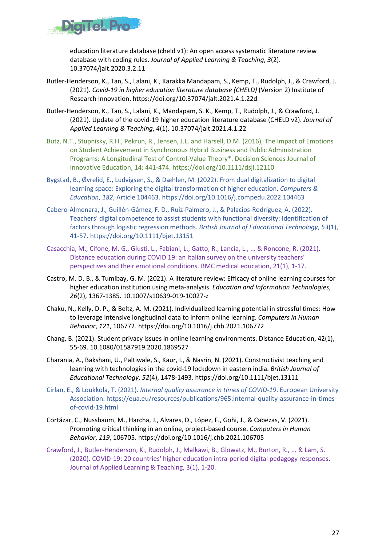

education literature database (cheld v1): An open access systematic literature review database with coding rules. *Journal of Applied Learning & Teaching*, *3*(2). 10.37074/jalt.2020.3.2.11

- Butler-Henderson, K., Tan, S., Lalani, K., Karakka Mandapam, S., Kemp, T., Rudolph, J., & Crawford, J. (2021). *Covid-19 in higher education literature database (CHELD)* (Version 2) Institute of Research Innovation. https://doi.org/10.37074/jalt.2021.4.1.22d
- Butler-Henderson, K., Tan, S., Lalani, K., Mandapam, S. K., Kemp, T., Rudolph, J., & Crawford, J. (2021). Update of the covid-19 higher education literature database (CHELD v2). *Journal of Applied Learning & Teaching*, *4*(1). 10.37074/jalt.2021.4.1.22
- Butz, N.T., Stupnisky, R.H., Pekrun, R., Jensen, J.L. and Harsell, D.M. (2016), The Impact of Emotions on Student Achievement in Synchronous Hybrid Business and Public Administration Programs: A Longitudinal Test of Control-Value Theory\*. Decision Sciences Journal of Innovative Education, 14: 441-474. https://doi.org/10.1111/dsji.12110
- Bygstad, B., Øvrelid, E., Ludvigsen, S., & Dæhlen, M. (2022). From dual digitalization to digital learning space: Exploring the digital transformation of higher education. *Computers & Education*, *182*, Article 104463. https://doi.org/10.1016/j.compedu.2022.104463
- Cabero-Almenara, J., Guillén-Gámez, F. D., Ruiz-Palmero, J., & Palacios-Rodríguez, A. (2022). Teachers' digital competence to assist students with functional diversity: Identification of factors through logistic regression methods. *British Journal of Educational Technology*, *53*(1), 41-57. https://doi.org/10.1111/bjet.13151
- Casacchia, M., Cifone, M. G., Giusti, L., Fabiani, L., Gatto, R., Lancia, L., ... & Roncone, R. (2021). Distance education during COVID 19: an Italian survey on the university teachers' perspectives and their emotional conditions. BMC medical education, 21(1), 1-17.
- Castro, M. D. B., & Tumibay, G. M. (2021). A literature review: Efficacy of online learning courses for higher education institution using meta-analysis. *Education and Information Technologies*, *26*(2), 1367-1385. 10.1007/s10639-019-10027-z
- Chaku, N., Kelly, D. P., & Beltz, A. M. (2021). Individualized learning potential in stressful times: How to leverage intensive longitudinal data to inform online learning. *Computers in Human Behavior*, *121*, 106772. https://doi.org/10.1016/j.chb.2021.106772
- Chang, B. (2021). Student privacy issues in online learning environments. Distance Education, 42(1), 55-69. 10.1080/01587919.2020.1869527
- Charania, A., Bakshani, U., Paltiwale, S., Kaur, I., & Nasrin, N. (2021). Constructivist teaching and learning with technologies in the covid-19 lockdown in eastern india. *British Journal of Educational Technology*, *52*(4), 1478-1493. https://doi.org/10.1111/bjet.13111
- Cirlan, E., & Loukkola, T. (2021). *Internal quality assurance in times of COVID-19*. European University Association. https://eua.eu/resources/publications/965:internal-quality-assurance-in-timesof-covid-19.html
- Cortázar, C., Nussbaum, M., Harcha, J., Alvares, D., López, F., Goñi, J., & Cabezas, V. (2021). Promoting critical thinking in an online, project-based course. *Computers in Human Behavior*, *119*, 106705. https://doi.org/10.1016/j.chb.2021.106705
- Crawford, J., Butler-Henderson, K., Rudolph, J., Malkawi, B., Glowatz, M., Burton, R., ... & Lam, S. (2020). COVID-19: 20 countries' higher education intra-period digital pedagogy responses. Journal of Applied Learning & Teaching, 3(1), 1-20.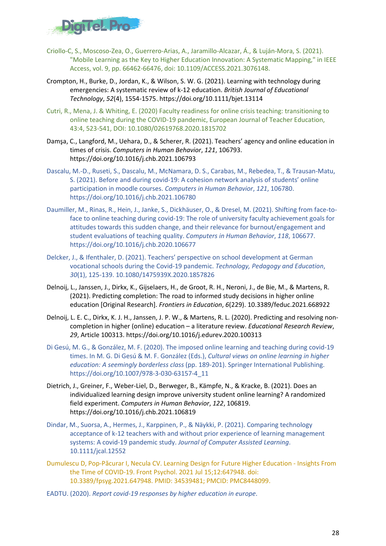

- Criollo-C, S., Moscoso-Zea, O., Guerrero-Arias, A., Jaramillo-Alcazar, Á., & Luján-Mora, S. (2021). "Mobile Learning as the Key to Higher Education Innovation: A Systematic Mapping," in IEEE Access, vol. 9, pp. 66462-66476, doi: 10.1109/ACCESS.2021.3076148.
- Crompton, H., Burke, D., Jordan, K., & Wilson, S. W. G. (2021). Learning with technology during emergencies: A systematic review of k-12 education. *British Journal of Educational Technology*, *52*(4), 1554-1575. https://doi.org/10.1111/bjet.13114
- Cutri, R., Mena, J. & Whiting, E. (2020) Faculty readiness for online crisis teaching: transitioning to online teaching during the COVID-19 pandemic, European Journal of Teacher Education, 43:4, 523-541, DOI: 10.1080/02619768.2020.1815702
- Damşa, C., Langford, M., Uehara, D., & Scherer, R. (2021). Teachers' agency and online education in times of crisis. *Computers in Human Behavior*, *121*, 106793. https://doi.org/10.1016/j.chb.2021.106793
- Dascalu, M.-D., Ruseti, S., Dascalu, M., McNamara, D. S., Carabas, M., Rebedea, T., & Trausan-Matu, S. (2021). Before and during covid-19: A cohesion network analysis of students' online participation in moodle courses. *Computers in Human Behavior*, *121*, 106780. https://doi.org/10.1016/j.chb.2021.106780
- Daumiller, M., Rinas, R., Hein, J., Janke, S., Dickhäuser, O., & Dresel, M. (2021). Shifting from face-toface to online teaching during covid-19: The role of university faculty achievement goals for attitudes towards this sudden change, and their relevance for burnout/engagement and student evaluations of teaching quality. *Computers in Human Behavior*, *118*, 106677. https://doi.org/10.1016/j.chb.2020.106677
- Delcker, J., & Ifenthaler, D. (2021). Teachers' perspective on school development at German vocational schools during the Covid-19 pandemic. *Technology, Pedagogy and Education*, *30*(1), 125-139. 10.1080/1475939X.2020.1857826
- Delnoij, L., Janssen, J., Dirkx, K., Gijselaers, H., de Groot, R. H., Neroni, J., de Bie, M., & Martens, R. (2021). Predicting completion: The road to informed study decisions in higher online education [Original Research]. *Frontiers in Education*, *6*(229). 10.3389/feduc.2021.668922
- Delnoij, L. E. C., Dirkx, K. J. H., Janssen, J. P. W., & Martens, R. L. (2020). Predicting and resolving noncompletion in higher (online) education – a literature review. *Educational Research Review*, *29*, Article 100313. https://doi.org/10.1016/j.edurev.2020.100313
- Di Gesú, M. G., & González, M. F. (2020). The imposed online learning and teaching during covid-19 times. In M. G. Di Gesú & M. F. González (Eds.), *Cultural views on online learning in higher education: A seemingly borderless class* (pp. 189-201). Springer International Publishing. https://doi.org/10.1007/978-3-030-63157-4\_11
- Dietrich, J., Greiner, F., Weber-Liel, D., Berweger, B., Kämpfe, N., & Kracke, B. (2021). Does an individualized learning design improve university student online learning? A randomized field experiment. *Computers in Human Behavior*, *122*, 106819. https://doi.org/10.1016/j.chb.2021.106819
- Dindar, M., Suorsa, A., Hermes, J., Karppinen, P., & Näykki, P. (2021). Comparing technology acceptance of k-12 teachers with and without prior experience of learning management systems: A covid-19 pandemic study. *Journal of Computer Assisted Learning*. 10.1111/jcal.12552
- Dumulescu D, Pop-Păcurar I, Necula CV. Learning Design for Future Higher Education Insights From the Time of COVID-19. Front Psychol. 2021 Jul 15;12:647948. doi: 10.3389/fpsyg.2021.647948. PMID: 34539481; PMCID: PMC8448099.
- EADTU. (2020). *Report covid-19 responses by higher education in europe*.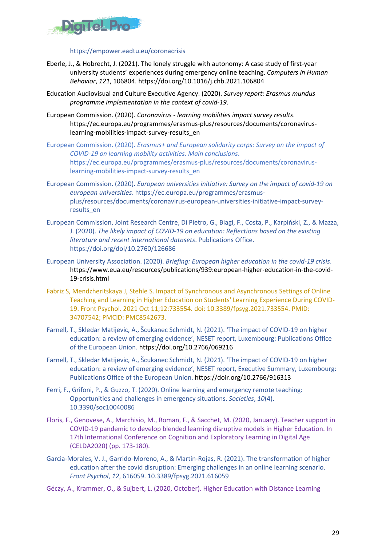

#### https://empower.eadtu.eu/coronacrisis

- Eberle, J., & Hobrecht, J. (2021). The lonely struggle with autonomy: A case study of first-year university students' experiences during emergency online teaching. *Computers in Human Behavior*, *121*, 106804. https://doi.org/10.1016/j.chb.2021.106804
- Education Audiovisual and Culture Executive Agency. (2020). *Survey report: Erasmus mundus programme implementation in the context of covid-19*.
- European Commission. (2020). *Coronavirus - learning mobilities impact survey results*. https://ec.europa.eu/programmes/erasmus-plus/resources/documents/coronaviruslearning-mobilities-impact-survey-results\_en
- European Commission. (2020). *Erasmus+ and European solidarity corps: Survey on the impact of COVID-19 on learning mobility activities. Main conclusions*. https://ec.europa.eu/programmes/erasmus-plus/resources/documents/coronaviruslearning-mobilities-impact-survey-results\_en
- European Commission. (2020). *European universities initiative: Survey on the impact of covid-19 on european universities*. https://ec.europa.eu/programmes/erasmusplus/resources/documents/coronavirus-european-universities-initiative-impact-surveyresults\_en
- European Commission, Joint Research Centre, Di Pietro, G., Biagi, F., Costa, P., Karpiński, Z., & Mazza, J. (2020). *The likely impact of COVID-19 on education: Reflections based on the existing literature and recent international datasets*. Publications Office. https://doi.org/doi/10.2760/126686
- European University Association. (2020). *Briefing: European higher education in the covid-19 crisis*. https://www.eua.eu/resources/publications/939:european-higher-education-in-the-covid-19-crisis.html
- Fabriz S, Mendzheritskaya J, Stehle S. Impact of Synchronous and Asynchronous Settings of Online Teaching and Learning in Higher Education on Students' Learning Experience During COVID-19. Front Psychol. 2021 Oct 11;12:733554. doi: 10.3389/fpsyg.2021.733554. PMID: 34707542; PMCID: PMC8542673.
- Farnell, T., Skledar Matijevic, A., Šcukanec Schmidt, N. (2021). 'The impact of COVID-19 on higher education: a review of emerging evidence', NESET report, Luxembourg: Publications Office of the European Union. https://doi.org/10.2766/069216
- Farnell, T., Skledar Matijevic, A., Šcukanec Schmidt, N. (2021). 'The impact of COVID-19 on higher education: a review of emerging evidence', NESET report, Executive Summary, Luxembourg: Publications Office of the European Union. https://doir.org/10.2766/916313
- Ferri, F., Grifoni, P., & Guzzo, T. (2020). Online learning and emergency remote teaching: Opportunities and challenges in emergency situations. *Societies*, *10*(4). 10.3390/soc10040086
- Floris, F., Genovese, A., Marchisio, M., Roman, F., & Sacchet, M. (2020, January). Teacher support in COVID-19 pandemic to develop blended learning disruptive models in Higher Education. In 17th International Conference on Cognition and Exploratory Learning in Digital Age (CELDA2020) (pp. 173-180).
- Garcia-Morales, V. J., Garrido-Moreno, A., & Martin-Rojas, R. (2021). The transformation of higher education after the covid disruption: Emerging challenges in an online learning scenario. *Front Psychol*, *12*, 616059. 10.3389/fpsyg.2021.616059
- Géczy, A., Krammer, O., & Sujbert, L. (2020, October). Higher Education with Distance Learning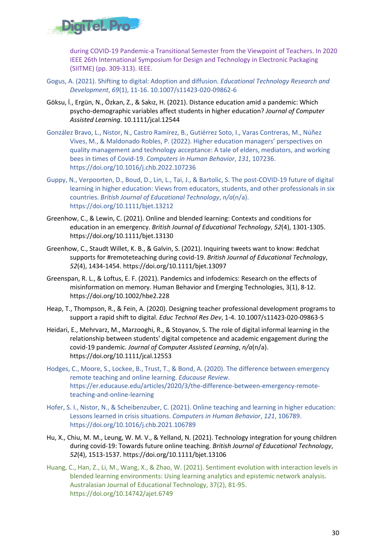

during COVID-19 Pandemic-a Transitional Semester from the Viewpoint of Teachers. In 2020 IEEE 26th International Symposium for Design and Technology in Electronic Packaging (SIITME) (pp. 309-313). IEEE.

- Gogus, A. (2021). Shifting to digital: Adoption and diffusion. *Educational Technology Research and Development*, *69*(1), 11-16. 10.1007/s11423-020-09862-6
- Göksu, İ., Ergün, N., Özkan, Z., & Sakız, H. (2021). Distance education amid a pandemic: Which psycho-demographic variables affect students in higher education? *Journal of Computer Assisted Learning*. 10.1111/jcal.12544
- González Bravo, L., Nistor, N., Castro Ramírez, B., Gutiérrez Soto, I., Varas Contreras, M., Núñez Vives, M., & Maldonado Robles, P. (2022). Higher education managers' perspectives on quality management and technology acceptance: A tale of elders, mediators, and working bees in times of Covid-19. *Computers in Human Behavior*, *131*, 107236. https://doi.org/10.1016/j.chb.2022.107236
- Guppy, N., Verpoorten, D., Boud, D., Lin, L., Tai, J., & Bartolic, S. The post-COVID-19 future of digital learning in higher education: Views from educators, students, and other professionals in six countries. *British Journal of Educational Technology*, *n/a*(n/a). https://doi.org/10.1111/bjet.13212
- Greenhow, C., & Lewin, C. (2021). Online and blended learning: Contexts and conditions for education in an emergency. *British Journal of Educational Technology*, *52*(4), 1301-1305. https://doi.org/10.1111/bjet.13130
- Greenhow, C., Staudt Willet, K. B., & Galvin, S. (2021). Inquiring tweets want to know: #edchat supports for #remoteteaching during covid-19. *British Journal of Educational Technology*, *52*(4), 1434-1454. https://doi.org/10.1111/bjet.13097
- Greenspan, R. L., & Loftus, E. F. (2021). Pandemics and infodemics: Research on the effects of misinformation on memory. Human Behavior and Emerging Technologies, 3(1), 8-12. https://doi.org/10.1002/hbe2.228
- Heap, T., Thompson, R., & Fein, A. (2020). Designing teacher professional development programs to support a rapid shift to digital. *Educ Technol Res Dev*, 1-4. 10.1007/s11423-020-09863-5
- Heidari, E., Mehrvarz, M., Marzooghi, R., & Stoyanov, S. The role of digital informal learning in the relationship between students' digital competence and academic engagement during the covid-19 pandemic. *Journal of Computer Assisted Learning*, *n/a*(n/a). https://doi.org/10.1111/jcal.12553
- Hodges, C., Moore, S., Lockee, B., Trust, T., & Bond, A. (2020). The difference between emergency remote teaching and online learning. *Educause Review*. https://er.educause.edu/articles/2020/3/the-difference-between-emergency-remoteteaching-and-online-learning
- Hofer, S. I., Nistor, N., & Scheibenzuber, C. (2021). Online teaching and learning in higher education: Lessons learned in crisis situations. *Computers in Human Behavior*, *121*, 106789. https://doi.org/10.1016/j.chb.2021.106789
- Hu, X., Chiu, M. M., Leung, W. M. V., & Yelland, N. (2021). Technology integration for young children during covid-19: Towards future online teaching. *British Journal of Educational Technology*, *52*(4), 1513-1537. https://doi.org/10.1111/bjet.13106
- Huang, C., Han, Z., Li, M., Wang, X., & Zhao, W. (2021). Sentiment evolution with interaction levels in blended learning environments: Using learning analytics and epistemic network analysis. Australasian Journal of Educational Technology, 37(2), 81-95. https://doi.org/10.14742/ajet.6749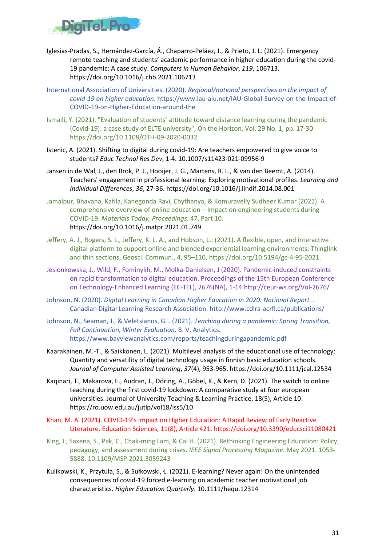

- Iglesias-Pradas, S., Hernández-García, Á., Chaparro-Peláez, J., & Prieto, J. L. (2021). Emergency remote teaching and students' academic performance in higher education during the covid-19 pandemic: A case study. *Computers in Human Behavior*, *119*, 106713. https://doi.org/10.1016/j.chb.2021.106713
- International Association of Universities. (2020). *Regional/national perspectives on the impact of covid-19 on higher education*. https://www.iau-aiu.net/IAU-Global-Survey-on-the-Impact-of-COVID-19-on-Higher-Education-around-the
- Ismaili, Y. (2021). "Evaluation of students' attitude toward distance learning during the pandemic (Covid-19): a case study of ELTE university", On the Horizon, Vol. 29 No. 1, pp. 17-30. https://doi.org/10.1108/OTH-09-2020-0032
- Istenic, A. (2021). Shifting to digital during covid-19: Are teachers empowered to give voice to students? *Educ Technol Res Dev*, 1-4. 10.1007/s11423-021-09956-9
- Jansen in de Wal, J., den Brok, P. J., Hooijer, J. G., Martens, R. L., & van den Beemt, A. (2014). Teachers' engagement in professional learning: Exploring motivational profiles. *Learning and Individual Differences*, *36*, 27-36. https://doi.org/10.1016/j.lindif.2014.08.001
- Jamalpur, Bhavana, Kafila, Kanegonda Ravi, Chythanya, & Komuravelly Sudheer Kumar (2021). A comprehensive overview of online education – Impact on engineering students during COVID-19. *Materials Today, Proceedings*. 47, Part 10. https://doi.org/10.1016/j.matpr.2021.01.749.
- Jeffery, A. J., Rogers, S. L., Jeffery, K. L. A., and Hobson, L.: (2021). A flexible, open, and interactive digital platform to support online and blended experiential learning environments: Thinglink and thin sections, Geosci. Commun., 4, 95–110, https://doi.org/10.5194/gc-4-95-2021.
- Jesionkowska, J., Wild, F., Fominykh, M., Molka-Danielsen, J (2020). Pandemic-induced constraints on rapid transformation to digital education. Proceedings of the 15th European Conference on Technology-Enhanced Learning (EC-TEL), 2676(NA), 1-14.http://ceur-ws.org/Vol-2676/
- Johnson, N. (2020). *Digital Learning in Canadian Higher Education in 2020: National Report.* . Canadian Digital Learning Research Association. http://www.cdlra-acrfl.ca/publications/
- Johnson, N., Seaman, J., & Veletsianos, G. . (2021). *Teaching during a pandemic: Spring Transition, Fall Continuation, Winter Evaluation*. B. V. Analytics. https://www.bayviewanalytics.com/reports/teachingduringapandemic.pdf
- Kaarakainen, M.-T., & Saikkonen, L. (2021). Multilevel analysis of the educational use of technology: Quantity and versatility of digital technology usage in finnish basic education schools. *Journal of Computer Assisted Learning*, *37*(4), 953-965. https://doi.org/10.1111/jcal.12534
- Kaqinari, T., Makarova, E., Audran, J., Döring, A., Göbel, K., & Kern, D. (2021). The switch to online teaching during the first covid-19 lockdown: A comparative study at four european universities. Journal of University Teaching & Learning Practice, 18(5), Article 10. https://ro.uow.edu.au/jutlp/vol18/iss5/10
- Khan, M. A. (2021). COVID-19's Impact on Higher Education: A Rapid Review of Early Reactive Literature. Education Sciences, 11(8), Article 421. https://doi.org/10.3390/educsci11080421
- King, I., Saxena, S., Pak, C., Chak-ming Lam, & Cai H. (2021). Rethinking Engineering Education: Policy, pedagogy, and assessment during crises. *IEEE Signal Processing Magazine*. May 2021. 1053- 5888. 10.1109/MSP.2021.3059243
- Kulikowski, K., Przytuła, S., & Sułkowski, Ł. (2021). E‐learning? Never again! On the unintended consequences of covid-19 forced e-learning on academic teacher motivational job characteristics. *Higher Education Quarterly*. 10.1111/hequ.12314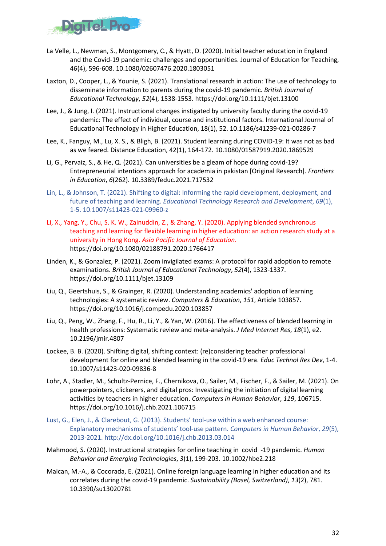

- La Velle, L., Newman, S., Montgomery, C., & Hyatt, D. (2020). Initial teacher education in England and the Covid-19 pandemic: challenges and opportunities. Journal of Education for Teaching, 46(4), 596-608. 10.1080/02607476.2020.1803051
- Laxton, D., Cooper, L., & Younie, S. (2021). Translational research in action: The use of technology to disseminate information to parents during the covid-19 pandemic. *British Journal of Educational Technology*, *52*(4), 1538-1553. https://doi.org/10.1111/bjet.13100
- Lee, J., & Jung, I. (2021). Instructional changes instigated by university faculty during the covid-19 pandemic: The effect of individual, course and institutional factors. International Journal of Educational Technology in Higher Education, 18(1), 52. 10.1186/s41239-021-00286-7
- Lee, K., Fanguy, M., Lu, X. S., & Bligh, B. (2021). Student learning during COVID-19: It was not as bad as we feared. Distance Education, 42(1), 164-172. 10.1080/01587919.2020.1869529
- Li, G., Pervaiz, S., & He, Q. (2021). Can universities be a gleam of hope during covid-19? Entrepreneurial intentions approach for academia in pakistan [Original Research]. *Frontiers in Education*, *6*(262). 10.3389/feduc.2021.717532
- Lin, L., & Johnson, T. (2021). Shifting to digital: Informing the rapid development, deployment, and future of teaching and learning. *Educational Technology Research and Development*, *69*(1), 1-5. 10.1007/s11423-021-09960-z
- Li, X., Yang, Y., Chu, S. K. W., Zainuddin, Z., & Zhang, Y. (2020). Applying blended synchronous teaching and learning for flexible learning in higher education: an action research study at a university in Hong Kong. *Asia Pacific Journal of Education*. https://doi.org/10.1080/02188791.2020.1766417
- Linden, K., & Gonzalez, P. (2021). Zoom invigilated exams: A protocol for rapid adoption to remote examinations. *British Journal of Educational Technology*, *52*(4), 1323-1337. https://doi.org/10.1111/bjet.13109
- Liu, Q., Geertshuis, S., & Grainger, R. (2020). Understanding academics' adoption of learning technologies: A systematic review. *Computers & Education*, *151*, Article 103857. https://doi.org/10.1016/j.compedu.2020.103857
- Liu, Q., Peng, W., Zhang, F., Hu, R., Li, Y., & Yan, W. (2016). The effectiveness of blended learning in health professions: Systematic review and meta-analysis. *J Med Internet Res*, *18*(1), e2. 10.2196/jmir.4807
- Lockee, B. B. (2020). Shifting digital, shifting context: (re)considering teacher professional development for online and blended learning in the covid-19 era. *Educ Technol Res Dev*, 1-4. 10.1007/s11423-020-09836-8
- Lohr, A., Stadler, M., Schultz-Pernice, F., Chernikova, O., Sailer, M., Fischer, F., & Sailer, M. (2021). On powerpointers, clickerers, and digital pros: Investigating the initiation of digital learning activities by teachers in higher education. *Computers in Human Behavior*, *119*, 106715. https://doi.org/10.1016/j.chb.2021.106715
- Lust, G., Elen, J., & Clarebout, G. (2013). Students' tool-use within a web enhanced course: Explanatory mechanisms of students' tool-use pattern. *Computers in Human Behavior*, *29*(5), 2013-2021. http://dx.doi.org/10.1016/j.chb.2013.03.014
- Mahmood, S. (2020). Instructional strategies for online teaching in covid -19 pandemic. *Human Behavior and Emerging Technologies*, *3*(1), 199-203. 10.1002/hbe2.218
- Maican, M.-A., & Cocorada, E. (2021). Online foreign language learning in higher education and its correlates during the covid-19 pandemic. *Sustainability (Basel, Switzerland)*, *13*(2), 781. 10.3390/su13020781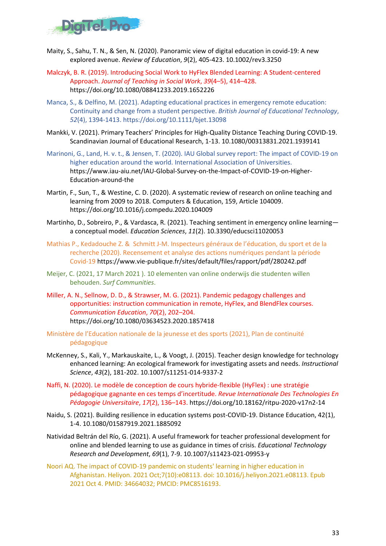

- Maity, S., Sahu, T. N., & Sen, N. (2020). Panoramic view of digital education in covid-19: A new explored avenue. *Review of Education*, *9*(2), 405-423. 10.1002/rev3.3250
- Malczyk, B. R. (2019). Introducing Social Work to HyFlex Blended Learning: A Student-centered Approach. *Journal of Teaching in Social Work*, *39*(4–5), 414–428. https://doi.org/10.1080/08841233.2019.1652226
- Manca, S., & Delfino, M. (2021). Adapting educational practices in emergency remote education: Continuity and change from a student perspective. *British Journal of Educational Technology*, *52*(4), 1394-1413. https://doi.org/10.1111/bjet.13098
- Mankki, V. (2021). Primary Teachers' Principles for High-Quality Distance Teaching During COVID-19. Scandinavian Journal of Educational Research, 1-13. 10.1080/00313831.2021.1939141
- Marinoni, G., Land, H. v. t., & Jensen, T. (2020). IAU Global survey report: The impact of COVID-19 on higher education around the world. International Association of Universities. https://www.iau-aiu.net/IAU-Global-Survey-on-the-Impact-of-COVID-19-on-Higher-Education-around-the
- Martin, F., Sun, T., & Westine, C. D. (2020). A systematic review of research on online teaching and learning from 2009 to 2018. Computers & Education, 159, Article 104009. https://doi.org/10.1016/j.compedu.2020.104009
- Martinho, D., Sobreiro, P., & Vardasca, R. (2021). Teaching sentiment in emergency online learning a conceptual model. *Education Sciences*, *11*(2). 10.3390/educsci11020053
- Mathias P., Kedadouche Z. & Schmitt J-M. Inspecteurs généraux de l'éducation, du sport et de la recherche (2020). Recensement et analyse des actions numériques pendant la période Covid-19 https://www.vie-publique.fr/sites/default/files/rapport/pdf/280242.pdf
- Meijer, C. (2021, 17 March 2021 ). 10 elementen van online onderwijs die studenten willen behouden. *Surf Communities*.
- Miller, A. N., Sellnow, D. D., & Strawser, M. G. (2021). Pandemic pedagogy challenges and opportunities: instruction communication in remote, HyFlex, and BlendFlex courses. *Communication Education*, *70*(2), 202–204. https://doi.org/10.1080/03634523.2020.1857418
- Ministère de l'Education nationale de la jeunesse et des sports (2021), Plan de continuité pédagogique
- McKenney, S., Kali, Y., Markauskaite, L., & Voogt, J. (2015). Teacher design knowledge for technology enhanced learning: An ecological framework for investigating assets and needs. *Instructional Science*, *43*(2), 181-202. 10.1007/s11251-014-9337-2
- Naffi, N. (2020). Le modèle de conception de cours hybride-flexible (HyFlex) : une stratégie pédagogique gagnante en ces temps d'incertitude. *Revue Internationale Des Technologies En Pédagogie Universitaire*, *17*(2), 136–143. https://doi.org/10.18162/ritpu-2020-v17n2-14
- Naidu, S. (2021). Building resilience in education systems post-COVID-19. Distance Education, 42(1), 1-4. 10.1080/01587919.2021.1885092
- Natividad Beltrán del Río, G. (2021). A useful framework for teacher professional development for online and blended learning to use as guidance in times of crisis. *Educational Technology Research and Development*, *69*(1), 7-9. 10.1007/s11423-021-09953-y
- Noori AQ. The impact of COVID-19 pandemic on students' learning in higher education in Afghanistan. Heliyon. 2021 Oct;7(10):e08113. doi: 10.1016/j.heliyon.2021.e08113. Epub 2021 Oct 4. PMID: 34664032; PMCID: PMC8516193.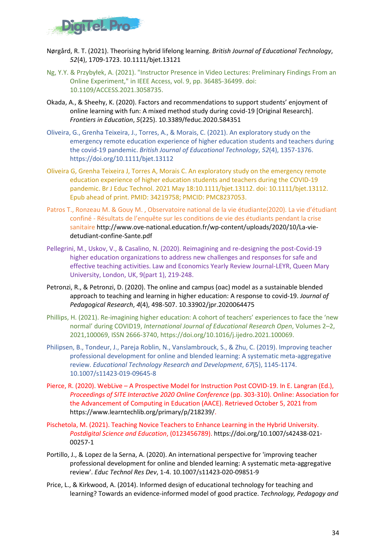

- Nørgård, R. T. (2021). Theorising hybrid lifelong learning. *British Journal of Educational Technology*, *52*(4), 1709-1723. 10.1111/bjet.13121
- Ng, Y.Y. & Przybyłek, A. (2021). "Instructor Presence in Video Lectures: Preliminary Findings From an Online Experiment," in IEEE Access, vol. 9, pp. 36485-36499. doi: 10.1109/ACCESS.2021.3058735.
- Okada, A., & Sheehy, K. (2020). Factors and recommendations to support students' enjoyment of online learning with fun: A mixed method study during covid-19 [Original Research]. *Frontiers in Education*, *5*(225). 10.3389/feduc.2020.584351
- Oliveira, G., Grenha Teixeira, J., Torres, A., & Morais, C. (2021). An exploratory study on the emergency remote education experience of higher education students and teachers during the covid-19 pandemic. *British Journal of Educational Technology*, *52*(4), 1357-1376. https://doi.org/10.1111/bjet.13112
- Oliveira G, Grenha Teixeira J, Torres A, Morais C. An exploratory study on the emergency remote education experience of higher education students and teachers during the COVID-19 pandemic. Br J Educ Technol. 2021 May 18:10.1111/bjet.13112. doi: 10.1111/bjet.13112. Epub ahead of print. PMID: 34219758; PMCID: PMC8237053.
- Patros T., Ronzeau M. & Gouy M. , Observatoire national de la vie étudiante(2020). La vie d'étudiant confiné - Résultats de l'enquête sur les conditions de vie des étudiants pendant la crise sanitaire http://www.ove-national.education.fr/wp-content/uploads/2020/10/La-viedetudiant-confine-Sante.pdf
- Pellegrini, M., Uskov, V., & Casalino, N. (2020). Reimagining and re-designing the post-Covid-19 higher education organizations to address new challenges and responses for safe and effective teaching activities. Law and Economics Yearly Review Journal-LEYR, Queen Mary University, London, UK, 9(part 1), 219-248.
- Petronzi, R., & Petronzi, D. (2020). The online and campus (oac) model as a sustainable blended approach to teaching and learning in higher education: A response to covid-19. *Journal of Pedagogical Research*, *4*(4), 498-507. 10.33902/jpr.2020064475
- Phillips, H. (2021). Re-imagining higher education: A cohort of teachers' experiences to face the 'new normal' during COVID19, *International Journal of Educational Research Open*, Volumes 2–2, 2021,100069, ISSN 2666-3740, https://doi.org/10.1016/j.ijedro.2021.100069.
- Philipsen, B., Tondeur, J., Pareja Roblin, N., Vanslambrouck, S., & Zhu, C. (2019). Improving teacher professional development for online and blended learning: A systematic meta-aggregative review. *Educational Technology Research and Development*, *67*(5), 1145-1174. 10.1007/s11423-019-09645-8
- Pierce, R. (2020). WebLive A Prospective Model for Instruction Post COVID-19. In E. Langran (Ed.), *Proceedings of SITE Interactive 2020 Online Conference* (pp. 303-310). Online: Association for the Advancement of Computing in Education (AACE). Retrieved October 5, 2021 from https://www.learntechlib.org/primary/p/218239/.
- Pischetola, M. (2021). Teaching Novice Teachers to Enhance Learning in the Hybrid University. *Postdigital Science and Education*, (0123456789). https://doi.org/10.1007/s42438-021- 00257-1
- Portillo, J., & Lopez de la Serna, A. (2020). An international perspective for 'improving teacher professional development for online and blended learning: A systematic meta-aggregative review'. *Educ Technol Res Dev*, 1-4. 10.1007/s11423-020-09851-9
- Price, L., & Kirkwood, A. (2014). Informed design of educational technology for teaching and learning? Towards an evidence-informed model of good practice. *Technology, Pedagogy and*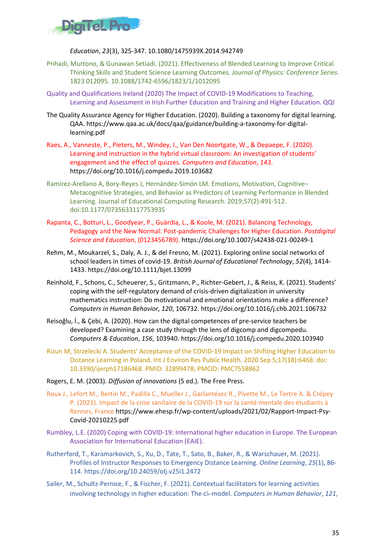

#### *Education*, *23*(3), 325-347. 10.1080/1475939X.2014.942749

- Prihadi, Murtono, & Gunawan Setiadi. (2021). Effectiveness of Blended Learning to Improve Critical Thinking Skills and Student Science Learning Outcomes. *Journal of Physics: Conference Series.*  1823 012095. 10.1088/1742-6596/1823/1/1012095
- Quality and Qualifications Ireland (2020) The Impact of COVID-19 Modifications to Teaching, Learning and Assessment in Irish Further Education and Training and Higher Education. QQI
- The Quality Assurance Agency for Higher Education. (2020). Building a taxonomy for digital learning. QAA. https://www.qaa.ac.uk/docs/qaa/guidance/building-a-taxonomy-for-digitallearning.pdf
- Raes, A., Vanneste, P., Pieters, M., Windey, I., Van Den Noortgate, W., & Depaepe, F. (2020). Learning and instruction in the hybrid virtual classroom: An investigation of students' engagement and the effect of quizzes. *Computers and Education*, *143*. https://doi.org/10.1016/j.compedu.2019.103682
- Ramirez-Arellano A, Bory-Reyes J, Hernández-Simón LM. Emotions, Motivation, Cognitive– Metacognitive Strategies, and Behavior as Predictors of Learning Performance in Blended Learning. Journal of Educational Computing Research. 2019;57(2):491-512. doi:10.1177/0735633117753935
- Rapanta, C., Botturi, L., Goodyear, P., Guàrdia, L., & Koole, M. (2021). Balancing Technology, Pedagogy and the New Normal: Post-pandemic Challenges for Higher Education. *Postdigital Science and Education*, (0123456789). https://doi.org/10.1007/s42438-021-00249-1
- Rehm, M., Moukarzel, S., Daly, A. J., & del Fresno, M. (2021). Exploring online social networks of school leaders in times of covid-19. *British Journal of Educational Technology*, *52*(4), 1414- 1433. https://doi.org/10.1111/bjet.13099
- Reinhold, F., Schons, C., Scheuerer, S., Gritzmann, P., Richter-Gebert, J., & Reiss, K. (2021). Students' coping with the self-regulatory demand of crisis-driven digitalization in university mathematics instruction: Do motivational and emotional orientations make a difference? *Computers in Human Behavior*, *120*, 106732. https://doi.org/10.1016/j.chb.2021.106732
- Reisoğlu, İ., & Çebi, A. (2020). How can the digital competences of pre-service teachers be developed? Examining a case study through the lens of digcomp and digcompedu. *Computers & Education*, *156*, 103940. https://doi.org/10.1016/j.compedu.2020.103940
- Rizun M, Strzelecki A. Students' Acceptance of the COVID-19 Impact on Shifting Higher Education to Distance Learning in Poland. Int J Environ Res Public Health. 2020 Sep 5;17(18):6468. doi: 10.3390/ijerph17186468. PMID: 32899478; PMCID: PMC7558862
- Rogers, E. M. (2003). *Diffusion of innovations* (5 ed.). The Free Press.
- Roux J., Lefort M., Bertin M., Padilla C., Mueller J., Garlantézec R., Pivette M., Le Tertre A. & Crépey P. (2021). Impact de la crise sanitaire de la COVID-19 sur la santé mentale des étudiants à Rennes, France https://www.ehesp.fr/wp-content/uploads/2021/02/Rapport-Impact-Psy-Covid-20210225.pdf
- Rumbley, L.E. (2020) Coping with COVID-19: International higher education in Europe. The European Association for International Education (EAIE).
- Rutherford, T., Karamarkovich, S., Xu, D., Tate, T., Sato, B., Baker, R., & Warschauer, M. (2021). Profiles of Instructor Responses to Emergency Distance Learning. *Online Learning*, *25*(1), 86- 114. https://doi.org/10.24059/olj.v25i1.2472
- Sailer, M., Schultz-Pernice, F., & Fischer, F. (2021). Contextual facilitators for learning activities involving technology in higher education: The c♭-model. *Computers in Human Behavior*, *121*,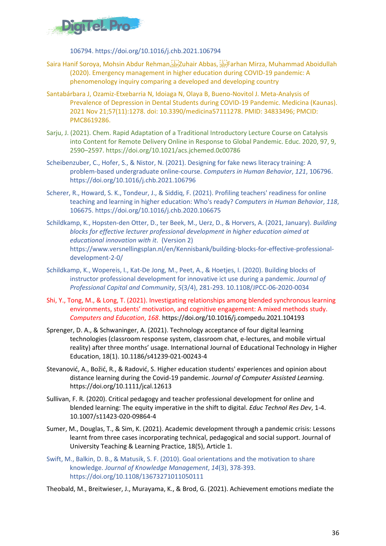

106794. https://doi.org/10.1016/j.chb.2021.106794

- Saira Hanif Soroya, Mohsin Abdur Rehman, Sheyzuhair Abbas, SheyFarhan Mirza, Muhammad Aboidullah (2020). Emergency management in higher education during COVID-19 pandemic: A phenomenology inquiry comparing a developed and developing country
- Santabárbara J, Ozamiz-Etxebarria N, Idoiaga N, Olaya B, Bueno-Novitol J. Meta-Analysis of Prevalence of Depression in Dental Students during COVID-19 Pandemic. Medicina (Kaunas). 2021 Nov 21;57(11):1278. doi: 10.3390/medicina57111278. PMID: 34833496; PMCID: PMC8619286.
- Sarju, J. (2021). Chem. Rapid Adaptation of a Traditional Introductory Lecture Course on Catalysis into Content for Remote Delivery Online in Response to Global Pandemic. Educ. 2020, 97, 9, 2590–2597. https://doi.org/10.1021/acs.jchemed.0c00786
- Scheibenzuber, C., Hofer, S., & Nistor, N. (2021). Designing for fake news literacy training: A problem-based undergraduate online-course. *Computers in Human Behavior*, *121*, 106796. https://doi.org/10.1016/j.chb.2021.106796
- Scherer, R., Howard, S. K., Tondeur, J., & Siddiq, F. (2021). Profiling teachers' readiness for online teaching and learning in higher education: Who's ready? *Computers in Human Behavior*, *118*, 106675. https://doi.org/10.1016/j.chb.2020.106675
- Schildkamp, K., Hopsten-den Otter, D., ter Beek, M., Uerz, D., & Horvers, A. (2021, January). *Building blocks for effective lecturer professional development in higher education aimed at educational innovation with it*. (Version 2) https://www.versnellingsplan.nl/en/Kennisbank/building-blocks-for-effective-professionaldevelopment-2-0/
- Schildkamp, K., Wopereis, I., Kat-De Jong, M., Peet, A., & Hoetjes, I. (2020). Building blocks of instructor professional development for innovative ict use during a pandemic. *Journal of Professional Capital and Community*, *5*(3/4), 281-293. 10.1108/JPCC-06-2020-0034
- Shi, Y., Tong, M., & Long, T. (2021). Investigating relationships among blended synchronous learning environments, students' motivation, and cognitive engagement: A mixed methods study. *Computers and Education*, *168*. https://doi.org/10.1016/j.compedu.2021.104193
- Sprenger, D. A., & Schwaninger, A. (2021). Technology acceptance of four digital learning technologies (classroom response system, classroom chat, e-lectures, and mobile virtual reality) after three months' usage. International Journal of Educational Technology in Higher Education, 18(1). 10.1186/s41239-021-00243-4
- Stevanović, A., Božić, R., & Radović, S. Higher education students' experiences and opinion about distance learning during the Covid-19 pandemic. *Journal of Computer Assisted Learning.* https://doi.org/10.1111/jcal.12613
- Sullivan, F. R. (2020). Critical pedagogy and teacher professional development for online and blended learning: The equity imperative in the shift to digital. *Educ Technol Res Dev*, 1-4. 10.1007/s11423-020-09864-4
- Sumer, M., Douglas, T., & Sim, K. (2021). Academic development through a pandemic crisis: Lessons learnt from three cases incorporating technical, pedagogical and social support. Journal of University Teaching & Learning Practice, 18(5), Article 1.
- Swift, M., Balkin, D. B., & Matusik, S. F. (2010). Goal orientations and the motivation to share knowledge. *Journal of Knowledge Management*, *14*(3), 378-393. https://doi.org/10.1108/13673271011050111

Theobald, M., Breitwieser, J., Murayama, K., & Brod, G. (2021). Achievement emotions mediate the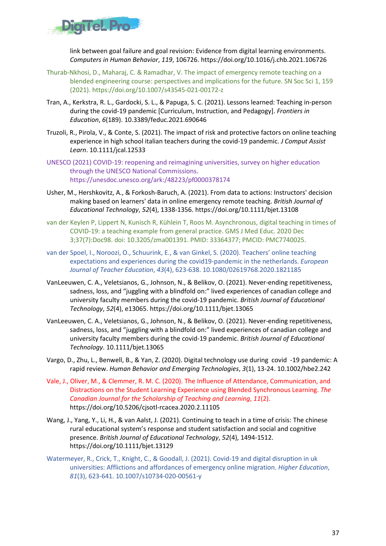

link between goal failure and goal revision: Evidence from digital learning environments. *Computers in Human Behavior*, *119*, 106726. https://doi.org/10.1016/j.chb.2021.106726

- Thurab-Nkhosi, D., Maharaj, C. & Ramadhar, V. The impact of emergency remote teaching on a blended engineering course: perspectives and implications for the future. SN Soc Sci 1, 159 (2021). https://doi.org/10.1007/s43545-021-00172-z
- Tran, A., Kerkstra, R. L., Gardocki, S. L., & Papuga, S. C. (2021). Lessons learned: Teaching in-person during the covid-19 pandemic [Curriculum, Instruction, and Pedagogy]. *Frontiers in Education*, *6*(189). 10.3389/feduc.2021.690646
- Truzoli, R., Pirola, V., & Conte, S. (2021). The impact of risk and protective factors on online teaching experience in high school italian teachers during the covid-19 pandemic. *J Comput Assist Learn*. 10.1111/jcal.12533
- UNESCO (2021) COVID-19: reopening and reimagining universities, survey on higher education through the UNESCO National Commissions. https://unesdoc.unesco.org/ark:/48223/pf0000378174
- Usher, M., Hershkovitz, A., & Forkosh-Baruch, A. (2021). From data to actions: Instructors' decision making based on learners' data in online emergency remote teaching. *British Journal of Educational Technology*, *52*(4), 1338-1356. https://doi.org/10.1111/bjet.13108
- van der Keylen P, Lippert N, Kunisch R, Kühlein T, Roos M. Asynchronous, digital teaching in times of COVID-19: a teaching example from general practice. GMS J Med Educ. 2020 Dec 3;37(7):Doc98. doi: 10.3205/zma001391. PMID: 33364377; PMCID: PMC7740025.
- van der Spoel, I., Noroozi, O., Schuurink, E., & van Ginkel, S. (2020). Teachers' online teaching expectations and experiences during the covid19-pandemic in the netherlands. *European Journal of Teacher Education*, *43*(4), 623-638. 10.1080/02619768.2020.1821185
- VanLeeuwen, C. A., Veletsianos, G., Johnson, N., & Belikov, O. (2021). Never-ending repetitiveness, sadness, loss, and "juggling with a blindfold on:" lived experiences of canadian college and university faculty members during the covid-19 pandemic. *British Journal of Educational Technology*, *52*(4), e13065. https://doi.org/10.1111/bjet.13065
- VanLeeuwen, C. A., Veletsianos, G., Johnson, N., & Belikov, O. (2021). Never-ending repetitiveness, sadness, loss, and "juggling with a blindfold on:" lived experiences of canadian college and university faculty members during the covid-19 pandemic. *British Journal of Educational Technology*. 10.1111/bjet.13065
- Vargo, D., Zhu, L., Benwell, B., & Yan, Z. (2020). Digital technology use during covid -19 pandemic: A rapid review. *Human Behavior and Emerging Technologies*, *3*(1), 13-24. 10.1002/hbe2.242
- Vale, J., Oliver, M., & Clemmer, R. M. C. (2020). The Influence of Attendance, Communication, and Distractions on the Student Learning Experience using Blended Synchronous Learning. *The Canadian Journal for the Scholarship of Teaching and Learning*, *11*(2). https://doi.org/10.5206/cjsotl-rcacea.2020.2.11105
- Wang, J., Yang, Y., Li, H., & van Aalst, J. (2021). Continuing to teach in a time of crisis: The chinese rural educational system's response and student satisfaction and social and cognitive presence. *British Journal of Educational Technology*, *52*(4), 1494-1512. https://doi.org/10.1111/bjet.13129
- Watermeyer, R., Crick, T., Knight, C., & Goodall, J. (2021). Covid-19 and digital disruption in uk universities: Afflictions and affordances of emergency online migration. *Higher Education*, *81*(3), 623-641. 10.1007/s10734-020-00561-y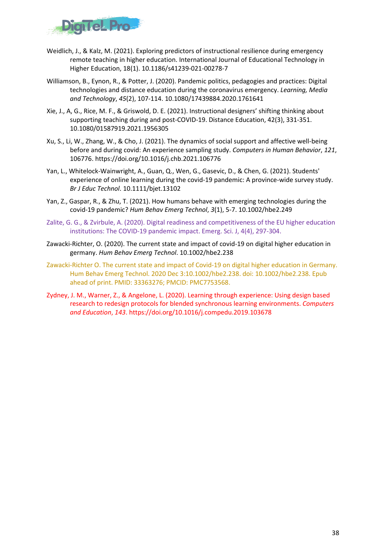

- Weidlich, J., & Kalz, M. (2021). Exploring predictors of instructional resilience during emergency remote teaching in higher education. International Journal of Educational Technology in Higher Education, 18(1). 10.1186/s41239-021-00278-7
- Williamson, B., Eynon, R., & Potter, J. (2020). Pandemic politics, pedagogies and practices: Digital technologies and distance education during the coronavirus emergency. *Learning, Media and Technology*, *45*(2), 107-114. 10.1080/17439884.2020.1761641
- Xie, J., A, G., Rice, M. F., & Griswold, D. E. (2021). Instructional designers' shifting thinking about supporting teaching during and post-COVID-19. Distance Education, 42(3), 331-351. 10.1080/01587919.2021.1956305
- Xu, S., Li, W., Zhang, W., & Cho, J. (2021). The dynamics of social support and affective well-being before and during covid: An experience sampling study. *Computers in Human Behavior*, *121*, 106776. https://doi.org/10.1016/j.chb.2021.106776
- Yan, L., Whitelock-Wainwright, A., Guan, Q., Wen, G., Gasevic, D., & Chen, G. (2021). Students' experience of online learning during the covid-19 pandemic: A province-wide survey study. *Br J Educ Technol*. 10.1111/bjet.13102
- Yan, Z., Gaspar, R., & Zhu, T. (2021). How humans behave with emerging technologies during the covid-19 pandemic? *Hum Behav Emerg Technol*, *3*(1), 5-7. 10.1002/hbe2.249
- Zalite, G. G., & Zvirbule, A. (2020). Digital readiness and competitiveness of the EU higher education institutions: The COVID-19 pandemic impact. Emerg. Sci. J, 4(4), 297-304.
- Zawacki-Richter, O. (2020). The current state and impact of covid-19 on digital higher education in germany. *Hum Behav Emerg Technol*. 10.1002/hbe2.238
- Zawacki-Richter O. The current state and impact of Covid-19 on digital higher education in Germany. Hum Behav Emerg Technol. 2020 Dec 3:10.1002/hbe2.238. doi: 10.1002/hbe2.238. Epub ahead of print. PMID: 33363276; PMCID: PMC7753568.
- Zydney, J. M., Warner, Z., & Angelone, L. (2020). Learning through experience: Using design based research to redesign protocols for blended synchronous learning environments. *Computers and Education*, *143*. https://doi.org/10.1016/j.compedu.2019.103678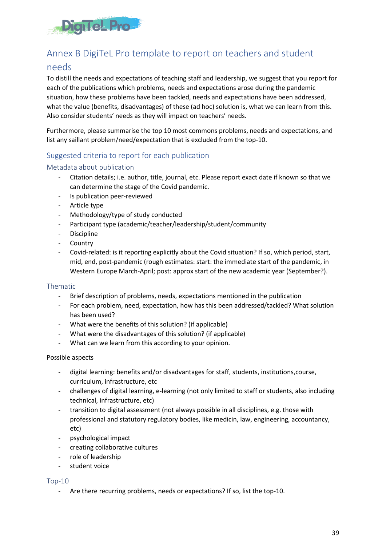

## <span id="page-38-0"></span>Annex B DigiTeL Pro template to report on teachers and student

### needs

To distill the needs and expectations of teaching staff and leadership, we suggest that you report for each of the publications which problems, needs and expectations arose during the pandemic situation, how these problems have been tackled, needs and expectations have been addressed, what the value (benefits, disadvantages) of these (ad hoc) solution is, what we can learn from this. Also consider students' needs as they will impact on teachers' needs.

Furthermore, please summarise the top 10 most commons problems, needs and expectations, and list any saillant problem/need/expectation that is excluded from the top-10.

### Suggested criteria to report for each publication

#### Metadata about publication

- Citation details; i.e. author, title, journal, etc. Please report exact date if known so that we can determine the stage of the Covid pandemic.
- Is publication peer-reviewed
- Article type
- Methodology/type of study conducted
- Participant type (academic/teacher/leadership/student/community
- Discipline
- **Country**
- Covid-related: is it reporting explicitly about the Covid situation? If so, which period, start, mid, end, post-pandemic (rough estimates: start: the immediate start of the pandemic, in Western Europe March-April; post: approx start of the new academic year (September?).

#### Thematic

- Brief description of problems, needs, expectations mentioned in the publication
- For each problem, need, expectation, how has this been addressed/tackled? What solution has been used?
- What were the benefits of this solution? (if applicable)
- What were the disadvantages of this solution? (if applicable)
- What can we learn from this according to your opinion.

#### Possible aspects

- digital learning: benefits and/or disadvantages for staff, students, institutions,course, curriculum, infrastructure, etc
- challenges of digital learning, e-learning (not only limited to staff or students, also including technical, infrastructure, etc)
- transition to digital assessment (not always possible in all disciplines, e.g. those with professional and statutory regulatory bodies, like medicin, law, engineering, accountancy, etc)
- psychological impact
- creating collaborative cultures
- role of leadership
- student voice

#### Top-10

- Are there recurring problems, needs or expectations? If so, list the top-10.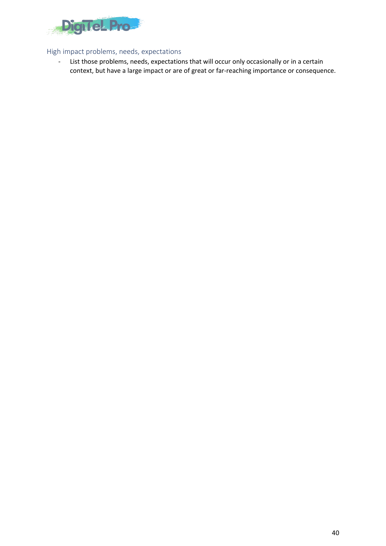

#### High impact problems, needs, expectations

- List those problems, needs, expectations that will occur only occasionally or in a certain context, but have a large impact or are of great or far-reaching importance or consequence.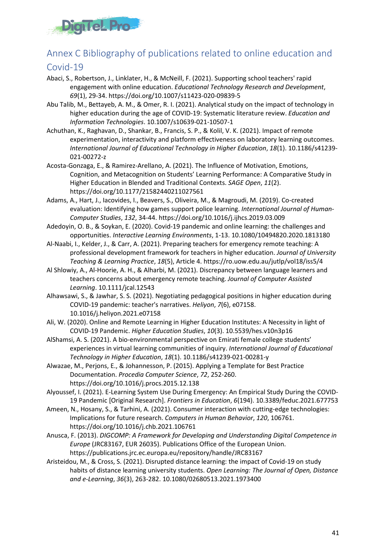

## <span id="page-40-0"></span>Annex C Bibliography of publications related to online education and

### Covid-19

- Abaci, S., Robertson, J., Linklater, H., & McNeill, F. (2021). Supporting school teachers' rapid engagement with online education. *Educational Technology Research and Development*, *69*(1), 29-34. https://doi.org/10.1007/s11423-020-09839-5
- Abu Talib, M., Bettayeb, A. M., & Omer, R. I. (2021). Analytical study on the impact of technology in higher education during the age of COVID-19: Systematic literature review. *Education and Information Technologies*. 10.1007/s10639-021-10507-1
- Achuthan, K., Raghavan, D., Shankar, B., Francis, S. P., & Kolil, V. K. (2021). Impact of remote experimentation, interactivity and platform effectiveness on laboratory learning outcomes. *International Journal of Educational Technology in Higher Education*, *18*(1). 10.1186/s41239- 021-00272-z
- Acosta-Gonzaga, E., & Ramirez-Arellano, A. (2021). The Influence of Motivation, Emotions, Cognition, and Metacognition on Students' Learning Performance: A Comparative Study in Higher Education in Blended and Traditional Contexts. *SAGE Open*, *11*(2). https://doi.org/10.1177/21582440211027561
- Adams, A., Hart, J., Iacovides, I., Beavers, S., Oliveira, M., & Magroudi, M. (2019). Co-created evaluation: Identifying how games support police learning. *International Journal of Human-Computer Studies*, *132*, 34-44. https://doi.org/10.1016/j.ijhcs.2019.03.009
- Adedoyin, O. B., & Soykan, E. (2020). Covid-19 pandemic and online learning: the challenges and opportunities. *Interactive Learning Environments*, 1-13. 10.1080/10494820.2020.1813180
- Al-Naabi, I., Kelder, J., & Carr, A. (2021). Preparing teachers for emergency remote teaching: A professional development framework for teachers in higher education. *Journal of University Teaching & Learning Practice*, *18*(5), Article 4. https://ro.uow.edu.au/jutlp/vol18/iss5/4
- Al Shlowiy, A., Al-Hoorie, A. H., & Alharbi, M. (2021). Discrepancy between language learners and teachers concerns about emergency remote teaching. *Journal of Computer Assisted Learning*. 10.1111/jcal.12543
- Alhawsawi, S., & Jawhar, S. S. (2021). Negotiating pedagogical positions in higher education during COVID-19 pandemic: teacher's narratives. *Heliyon*, *7*(6), e07158. 10.1016/j.heliyon.2021.e07158
- Ali, W. (2020). Online and Remote Learning in Higher Education Institutes: A Necessity in light of COVID-19 Pandemic. *Higher Education Studies*, *10*(3). 10.5539/hes.v10n3p16
- AlShamsi, A. S. (2021). A bio-environmental perspective on Emirati female college students' experiences in virtual learning communities of inquiry. *International Journal of Educational Technology in Higher Education*, *18*(1). 10.1186/s41239-021-00281-y
- Alwazae, M., Perjons, E., & Johannesson, P. (2015). Applying a Template for Best Practice Documentation. *Procedia Computer Science*, *72*, 252-260. https://doi.org/10.1016/j.procs.2015.12.138
- Alyoussef, I. (2021). E-Learning System Use During Emergency: An Empirical Study During the COVID-19 Pandemic [Original Research]. *Frontiers in Education*, *6*(194). 10.3389/feduc.2021.677753
- Ameen, N., Hosany, S., & Tarhini, A. (2021). Consumer interaction with cutting-edge technologies: Implications for future research. *Computers in Human Behavior*, *120*, 106761. https://doi.org/10.1016/j.chb.2021.106761
- Anusca, F. (2013). *DIGCOMP: A Framework for Developing and Understanding Digital Competence in Europe* (JRC83167, EUR 26035). Publications Office of the European Union. https://publications.jrc.ec.europa.eu/repository/handle/JRC83167
- Aristeidou, M., & Cross, S. (2021). Disrupted distance learning: the impact of Covid-19 on study habits of distance learning university students. *Open Learning: The Journal of Open, Distance and e-Learning*, *36*(3), 263-282. 10.1080/02680513.2021.1973400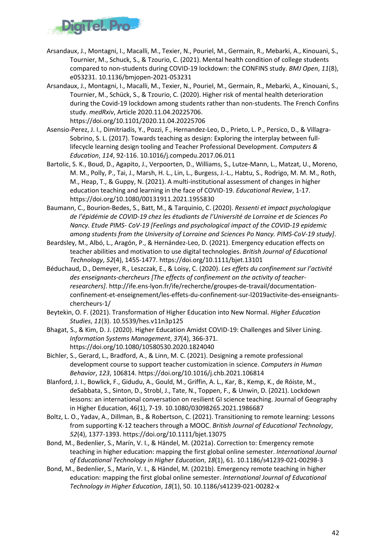

- Arsandaux, J., Montagni, I., Macalli, M., Texier, N., Pouriel, M., Germain, R., Mebarki, A., Kinouani, S., Tournier, M., Schuck, S., & Tzourio, C. (2021). Mental health condition of college students compared to non-students during COVID-19 lockdown: the CONFINS study. *BMJ Open*, *11*(8), e053231. 10.1136/bmjopen-2021-053231
- Arsandaux, J., Montagni, I., Macalli, M., Texier, N., Pouriel, M., Germain, R., Mebarki, A., Kinouani, S., Tournier, M., Schück, S., & Tzourio, C. (2020). Higher risk of mental health deterioration during the Covid-19 lockdown among students rather than non-students. The French Confins study. *medRxiv*, Article 2020.11.04.20225706.

https://doi.org/10.1101/2020.11.04.20225706

- Asensio-Perez, J. I., Dimitriadis, Y., Pozzi, F., Hernandez-Leo, D., Prieto, L. P., Persico, D., & Villagra-Sobrino, S. L. (2017). Towards teaching as design: Exploring the interplay between fulllifecycle learning design tooling and Teacher Professional Development. *Computers & Education*, *114*, 92-116. 10.1016/j.compedu.2017.06.011
- Bartolic, S. K., Boud, D., Agapito, J., Verpoorten, D., Williams, S., Lutze-Mann, L., Matzat, U., Moreno, M. M., Polly, P., Tai, J., Marsh, H. L., Lin, L., Burgess, J.-L., Habtu, S., Rodrigo, M. M. M., Roth, M., Heap, T., & Guppy, N. (2021). A multi-institutional assessment of changes in higher education teaching and learning in the face of COVID-19. *Educational Review*, 1-17. https://doi.org/10.1080/00131911.2021.1955830
- Baumann, C., Bourion-Bedes, S., Batt, M., & Tarquinio, C. (2020). *Ressenti et impact psychologique de l'épidémie de COVID-19 chez les étudiants de l'Université de Lorraine et de Sciences Po Nancy. Etude PIMS- CoV-19 [Feelings and psychological impact of the COVID-19 epidemic among students from the University of Lorraine and Sciences Po Nancy. PIMS-CoV-19 study]*.
- Beardsley, M., Albó, L., Aragón, P., & Hernández-Leo, D. (2021). Emergency education effects on teacher abilities and motivation to use digital technologies. *British Journal of Educational Technology*, *52*(4), 1455-1477. https://doi.org/10.1111/bjet.13101
- Béduchaud, D., Demeyer, R., Leszczak, E., & Loisy, C. (2020). *Les effets du confinement sur l'activité des enseignants-chercheurs [The effects of confinement on the activity of teacherresearchers]*. http://ife.ens-lyon.fr/ife/recherche/groupes-de-travail/documentationconfinement-et-enseignement/les-effets-du-confinement-sur-l2019activite-des-enseignantschercheurs-1/
- Beytekin, O. F. (2021). Transformation of Higher Education into New Normal. *Higher Education Studies*, *11*(3). 10.5539/hes.v11n3p125
- Bhagat, S., & Kim, D. J. (2020). Higher Education Amidst COVID-19: Challenges and Silver Lining. *Information Systems Management*, *37*(4), 366-371. https://doi.org/10.1080/10580530.2020.1824040
- Bichler, S., Gerard, L., Bradford, A., & Linn, M. C. (2021). Designing a remote professional development course to support teacher customization in science. *Computers in Human Behavior*, *123*, 106814. https://doi.org/10.1016/j.chb.2021.106814
- Blanford, J. I., Bowlick, F., Gidudu, A., Gould, M., Griffin, A. L., Kar, B., Kemp, K., de Róiste, M., deSabbata, S., Sinton, D., Strobl, J., Tate, N., Toppen, F., & Unwin, D. (2021). Lockdown lessons: an international conversation on resilient GI science teaching. Journal of Geography in Higher Education, 46(1), 7-19. 10.1080/03098265.2021.1986687
- Boltz, L. O., Yadav, A., Dillman, B., & Robertson, C. (2021). Transitioning to remote learning: Lessons from supporting K-12 teachers through a MOOC. *British Journal of Educational Technology*, *52*(4), 1377-1393. https://doi.org/10.1111/bjet.13075
- Bond, M., Bedenlier, S., Marín, V. I., & Händel, M. (2021a). Correction to: Emergency remote teaching in higher education: mapping the first global online semester. *International Journal of Educational Technology in Higher Education*, *18*(1), 61. 10.1186/s41239-021-00298-3
- Bond, M., Bedenlier, S., Marín, V. I., & Händel, M. (2021b). Emergency remote teaching in higher education: mapping the first global online semester. *International Journal of Educational Technology in Higher Education*, *18*(1), 50. 10.1186/s41239-021-00282-x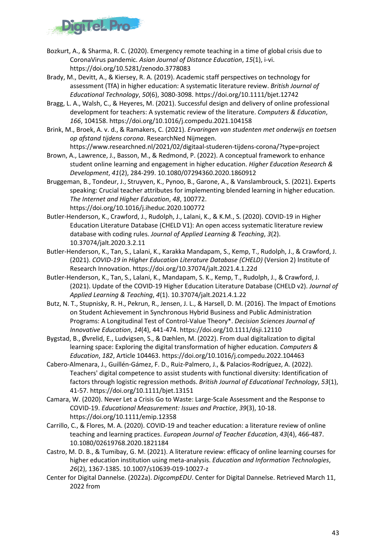

- Bozkurt, A., & Sharma, R. C. (2020). Emergency remote teaching in a time of global crisis due to CoronaVirus pandemic. *Asian Journal of Distance Education*, *15*(1), i-vi. https://doi.org/10.5281/zenodo.3778083
- Brady, M., Devitt, A., & Kiersey, R. A. (2019). Academic staff perspectives on technology for assessment (TfA) in higher education: A systematic literature review. *British Journal of Educational Technology*, *50*(6), 3080-3098. https://doi.org/10.1111/bjet.12742
- Bragg, L. A., Walsh, C., & Heyeres, M. (2021). Successful design and delivery of online professional development for teachers: A systematic review of the literature. *Computers & Education*, *166*, 104158. https://doi.org/10.1016/j.compedu.2021.104158
- Brink, M., Broek, A. v. d., & Ramakers, C. (2021). *Ervaringen van studenten met onderwijs en toetsen op afstand tijdens corona*. ResearchNed Nijmegen.

https://www.researchned.nl/2021/02/digitaal-studeren-tijdens-corona/?type=project

- Brown, A., Lawrence, J., Basson, M., & Redmond, P. (2022). A conceptual framework to enhance student online learning and engagement in higher education. *Higher Education Research & Development*, *41*(2), 284-299. 10.1080/07294360.2020.1860912
- Bruggeman, B., Tondeur, J., Struyven, K., Pynoo, B., Garone, A., & Vanslambrouck, S. (2021). Experts speaking: Crucial teacher attributes for implementing blended learning in higher education. *The Internet and Higher Education*, *48*, 100772. https://doi.org/10.1016/j.iheduc.2020.100772
- Butler-Henderson, K., Crawford, J., Rudolph, J., Lalani, K., & K.M., S. (2020). COVID-19 in Higher Education Literature Database (CHELD V1): An open access systematic literature review database with coding rules. *Journal of Applied Learning & Teaching*, *3*(2). 10.37074/jalt.2020.3.2.11
- Butler-Henderson, K., Tan, S., Lalani, K., Karakka Mandapam, S., Kemp, T., Rudolph, J., & Crawford, J. (2021). *COVID-19 in Higher Education Literature Database (CHELD)* (Version 2) Institute of Research Innovation. https://doi.org/10.37074/jalt.2021.4.1.22d
- Butler-Henderson, K., Tan, S., Lalani, K., Mandapam, S. K., Kemp, T., Rudolph, J., & Crawford, J. (2021). Update of the COVID-19 Higher Education Literature Database (CHELD v2). *Journal of Applied Learning & Teaching*, *4*(1). 10.37074/jalt.2021.4.1.22
- Butz, N. T., Stupnisky, R. H., Pekrun, R., Jensen, J. L., & Harsell, D. M. (2016). The Impact of Emotions on Student Achievement in Synchronous Hybrid Business and Public Administration Programs: A Longitudinal Test of Control-Value Theory\*. *Decision Sciences Journal of Innovative Education*, *14*(4), 441-474. https://doi.org/10.1111/dsji.12110
- Bygstad, B., Øvrelid, E., Ludvigsen, S., & Dæhlen, M. (2022). From dual digitalization to digital learning space: Exploring the digital transformation of higher education. *Computers & Education*, *182*, Article 104463. https://doi.org/10.1016/j.compedu.2022.104463
- Cabero-Almenara, J., Guillén-Gámez, F. D., Ruiz-Palmero, J., & Palacios-Rodríguez, A. (2022). Teachers' digital competence to assist students with functional diversity: Identification of factors through logistic regression methods. *British Journal of Educational Technology*, *53*(1), 41-57. https://doi.org/10.1111/bjet.13151
- Camara, W. (2020). Never Let a Crisis Go to Waste: Large-Scale Assessment and the Response to COVID-19. *Educational Measurement: Issues and Practice*, *39*(3), 10-18. https://doi.org/10.1111/emip.12358
- Carrillo, C., & Flores, M. A. (2020). COVID-19 and teacher education: a literature review of online teaching and learning practices. *European Journal of Teacher Education*, *43*(4), 466-487. 10.1080/02619768.2020.1821184
- Castro, M. D. B., & Tumibay, G. M. (2021). A literature review: efficacy of online learning courses for higher education institution using meta-analysis. *Education and Information Technologies*, *26*(2), 1367-1385. 10.1007/s10639-019-10027-z
- Center for Digital Dannelse. (2022a). *DigcompEDU*. Center for Digital Dannelse. Retrieved March 11, 2022 from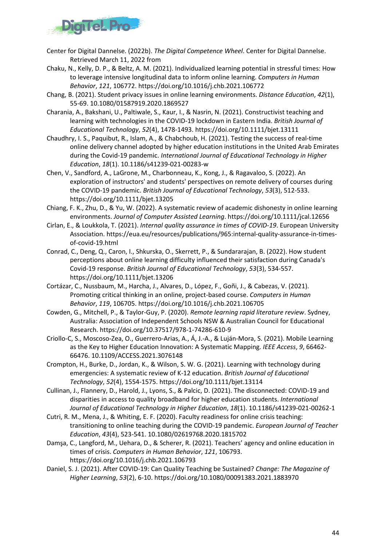

- Center for Digital Dannelse. (2022b). *The Digital Competence Wheel*. Center for Digital Dannelse. Retrieved March 11, 2022 from
- Chaku, N., Kelly, D. P., & Beltz, A. M. (2021). Individualized learning potential in stressful times: How to leverage intensive longitudinal data to inform online learning. *Computers in Human Behavior*, *121*, 106772. https://doi.org/10.1016/j.chb.2021.106772
- Chang, B. (2021). Student privacy issues in online learning environments. *Distance Education*, *42*(1), 55-69. 10.1080/01587919.2020.1869527
- Charania, A., Bakshani, U., Paltiwale, S., Kaur, I., & Nasrin, N. (2021). Constructivist teaching and learning with technologies in the COVID-19 lockdown in Eastern India. *British Journal of Educational Technology*, *52*(4), 1478-1493. https://doi.org/10.1111/bjet.13111
- Chaudhry, I. S., Paquibut, R., Islam, A., & Chabchoub, H. (2021). Testing the success of real-time online delivery channel adopted by higher education institutions in the United Arab Emirates during the Covid-19 pandemic. *International Journal of Educational Technology in Higher Education*, *18*(1). 10.1186/s41239-021-00283-w
- Chen, V., Sandford, A., LaGrone, M., Charbonneau, K., Kong, J., & Ragavaloo, S. (2022). An exploration of instructors' and students' perspectives on remote delivery of courses during the COVID-19 pandemic. *British Journal of Educational Technology*, *53*(3), 512-533. https://doi.org/10.1111/bjet.13205
- Chiang, F. K., Zhu, D., & Yu, W. (2022). A systematic review of academic dishonesty in online learning environments. *Journal of Computer Assisted Learning*. https://doi.org/10.1111/jcal.12656
- Cirlan, E., & Loukkola, T. (2021). *Internal quality assurance in times of COVID-19*. European University Association. https://eua.eu/resources/publications/965:internal-quality-assurance-in-timesof-covid-19.html
- Conrad, C., Deng, Q., Caron, I., Shkurska, O., Skerrett, P., & Sundararajan, B. (2022). How student perceptions about online learning difficulty influenced their satisfaction during Canada's Covid-19 response. *British Journal of Educational Technology*, *53*(3), 534-557. https://doi.org/10.1111/bjet.13206
- Cortázar, C., Nussbaum, M., Harcha, J., Alvares, D., López, F., Goñi, J., & Cabezas, V. (2021). Promoting critical thinking in an online, project-based course. *Computers in Human Behavior*, *119*, 106705. https://doi.org/10.1016/j.chb.2021.106705
- Cowden, G., Mitchell, P., & Taylor-Guy, P. (2020). *Remote learning rapid literature review*. Sydney, Australia: Association of Independent Schools NSW & Australian Council for Educational Research. https://doi.org/10.37517/978-1-74286-610-9
- Criollo-C, S., Moscoso-Zea, O., Guerrero-Arias, A., Á, J.-A., & Luján-Mora, S. (2021). Mobile Learning as the Key to Higher Education Innovation: A Systematic Mapping. *IEEE Access*, *9*, 66462- 66476. 10.1109/ACCESS.2021.3076148
- Crompton, H., Burke, D., Jordan, K., & Wilson, S. W. G. (2021). Learning with technology during emergencies: A systematic review of K-12 education. *British Journal of Educational Technology*, *52*(4), 1554-1575. https://doi.org/10.1111/bjet.13114
- Cullinan, J., Flannery, D., Harold, J., Lyons, S., & Palcic, D. (2021). The disconnected: COVID-19 and disparities in access to quality broadband for higher education students. *International Journal of Educational Technology in Higher Education*, *18*(1). 10.1186/s41239-021-00262-1
- Cutri, R. M., Mena, J., & Whiting, E. F. (2020). Faculty readiness for online crisis teaching: transitioning to online teaching during the COVID-19 pandemic. *European Journal of Teacher Education*, *43*(4), 523-541. 10.1080/02619768.2020.1815702
- Damşa, C., Langford, M., Uehara, D., & Scherer, R. (2021). Teachers' agency and online education in times of crisis. *Computers in Human Behavior*, *121*, 106793. https://doi.org/10.1016/j.chb.2021.106793
- Daniel, S. J. (2021). After COVID-19: Can Quality Teaching be Sustained? *Change: The Magazine of Higher Learning*, *53*(2), 6-10. https://doi.org/10.1080/00091383.2021.1883970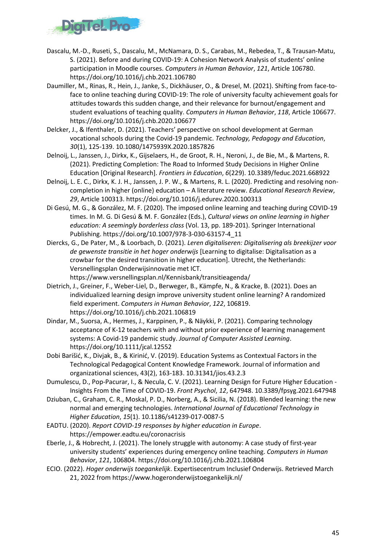

- Dascalu, M.-D., Ruseti, S., Dascalu, M., McNamara, D. S., Carabas, M., Rebedea, T., & Trausan-Matu, S. (2021). Before and during COVID-19: A Cohesion Network Analysis of students' online participation in Moodle courses. *Computers in Human Behavior*, *121*, Article 106780. https://doi.org/10.1016/j.chb.2021.106780
- Daumiller, M., Rinas, R., Hein, J., Janke, S., Dickhäuser, O., & Dresel, M. (2021). Shifting from face-toface to online teaching during COVID-19: The role of university faculty achievement goals for attitudes towards this sudden change, and their relevance for burnout/engagement and student evaluations of teaching quality. *Computers in Human Behavior*, *118*, Article 106677. https://doi.org/10.1016/j.chb.2020.106677
- Delcker, J., & Ifenthaler, D. (2021). Teachers' perspective on school development at German vocational schools during the Covid-19 pandemic. *Technology, Pedagogy and Education*, *30*(1), 125-139. 10.1080/1475939X.2020.1857826
- Delnoij, L., Janssen, J., Dirkx, K., Gijselaers, H., de Groot, R. H., Neroni, J., de Bie, M., & Martens, R. (2021). Predicting Completion: The Road to Informed Study Decisions in Higher Online Education [Original Research]. *Frontiers in Education*, *6*(229). 10.3389/feduc.2021.668922
- Delnoij, L. E. C., Dirkx, K. J. H., Janssen, J. P. W., & Martens, R. L. (2020). Predicting and resolving noncompletion in higher (online) education – A literature review. *Educational Research Review*, *29*, Article 100313. https://doi.org/10.1016/j.edurev.2020.100313
- Di Gesú, M. G., & González, M. F. (2020). The imposed online learning and teaching during COVID-19 times. In M. G. Di Gesú & M. F. González (Eds.), *Cultural views on online learning in higher education: A seemingly borderless class* (Vol. 13, pp. 189-201). Springer International Publishing. https://doi.org/10.1007/978-3-030-63157-4\_11
- Diercks, G., De Pater, M., & Loorbach, D. (2021). *Leren digitaliseren: Digitalisering als breekijzer voor de gewenste transitie in het hoger onderwijs* [Learning to digitalise: Digitalisation as a crowbar for the desired transition in higher education]. Utrecht, the Netherlands: Versnellingsplan Onderwijsinnovatie met ICT.

https://www.versnellingsplan.nl/Kennisbank/transitieagenda/

- Dietrich, J., Greiner, F., Weber-Liel, D., Berweger, B., Kämpfe, N., & Kracke, B. (2021). Does an individualized learning design improve university student online learning? A randomized field experiment. *Computers in Human Behavior*, *122*, 106819. https://doi.org/10.1016/j.chb.2021.106819
- Dindar, M., Suorsa, A., Hermes, J., Karppinen, P., & Näykki, P. (2021). Comparing technology acceptance of K-12 teachers with and without prior experience of learning management systems: A Covid-19 pandemic study. *Journal of Computer Assisted Learning*. https://doi.org/10.1111/jcal.12552
- Dobi Barišić, K., Divjak, B., & Kirinić, V. (2019). Education Systems as Contextual Factors in the Technological Pedagogical Content Knowledge Framework. Journal of information and organizational sciences, 43(2), 163-183. 10.31341/jios.43.2.3
- Dumulescu, D., Pop-Pacurar, I., & Necula, C. V. (2021). Learning Design for Future Higher Education Insights From the Time of COVID-19. *Front Psychol*, *12*, 647948. 10.3389/fpsyg.2021.647948
- Dziuban, C., Graham, C. R., Moskal, P. D., Norberg, A., & Sicilia, N. (2018). Blended learning: the new normal and emerging technologies. *International Journal of Educational Technology in Higher Education*, *15*(1). 10.1186/s41239-017-0087-5
- EADTU. (2020). *Report COVID-19 responses by higher education in Europe*. https://empower.eadtu.eu/coronacrisis
- Eberle, J., & Hobrecht, J. (2021). The lonely struggle with autonomy: A case study of first-year university students' experiences during emergency online teaching. *Computers in Human Behavior*, *121*, 106804. https://doi.org/10.1016/j.chb.2021.106804
- ECIO. (2022). *Hoger onderwijs toegankelijk*. Expertisecentrum Inclusief Onderwijs. Retrieved March 21, 2022 from https://www.hogeronderwijstoegankelijk.nl/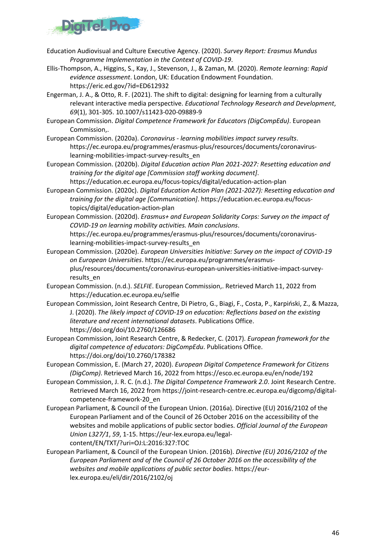

- Education Audiovisual and Culture Executive Agency. (2020). *Survey Report: Erasmus Mundus Programme Implementation in the Context of COVID-19*.
- Ellis-Thompson, A., Higgins, S., Kay, J., Stevenson, J., & Zaman, M. (2020). *Remote learning: Rapid evidence assessment*. London, UK: Education Endowment Foundation. https://eric.ed.gov/?id=ED612932
- Engerman, J. A., & Otto, R. F. (2021). The shift to digital: designing for learning from a culturally relevant interactive media perspective. *Educational Technology Research and Development*, *69*(1), 301-305. 10.1007/s11423-020-09889-9
- European Commission. *Digital Competence Framework for Educators (DigCompEdu)*. European Commission,.
- European Commission. (2020a). *Coronavirus - learning mobilities impact survey results*. https://ec.europa.eu/programmes/erasmus-plus/resources/documents/coronaviruslearning-mobilities-impact-survey-results\_en
- European Commission. (2020b). *Digital Education action Plan 2021-2027: Resetting education and training for the digital age [Commission staff working document]*. https://education.ec.europa.eu/focus-topics/digital/education-action-plan
- European Commission. (2020c). *Digital Education Action Plan (2021-2027): Resetting education and training for the digital age [Communication]*. https://education.ec.europa.eu/focustopics/digital/education-action-plan
- European Commission. (2020d). *Erasmus+ and European Solidarity Corps: Survey on the impact of COVID-19 on learning mobility activities. Main conclusions*. https://ec.europa.eu/programmes/erasmus-plus/resources/documents/coronavirus
	- learning-mobilities-impact-survey-results\_en
- European Commission. (2020e). *European Universities Initiative: Survey on the impact of COVID-19 on European Universities*. https://ec.europa.eu/programmes/erasmusplus/resources/documents/coronavirus-european-universities-initiative-impact-surveyresults\_en
- European Commission. (n.d.). *SELFIE*. European Commission,. Retrieved March 11, 2022 from https://education.ec.europa.eu/selfie
- European Commission, Joint Research Centre, Di Pietro, G., Biagi, F., Costa, P., Karpiński, Z., & Mazza, J. (2020). *The likely impact of COVID-19 on education: Reflections based on the existing literature and recent international datasets*. Publications Office. https://doi.org/doi/10.2760/126686
- European Commission, Joint Research Centre, & Redecker, C. (2017). *European framework for the digital competence of educators: DigCompEdu*. Publications Office. https://doi.org/doi/10.2760/178382
- European Commission, E. (March 27, 2020). *European Digital Competence Framework for Citizens (DigComp)*. Retrieved March 16, 2022 from https://esco.ec.europa.eu/en/node/192
- European Commission, J. R. C. (n.d.). *The Digital Competence Framework 2.0*. Joint Research Centre. Retrieved March 16, 2022 from https://joint-research-centre.ec.europa.eu/digcomp/digitalcompetence-framework-20\_en
- European Parliament, & Council of the European Union. (2016a). Directive (EU) 2016/2102 of the European Parliament and of the Council of 26 October 2016 on the accessibility of the websites and mobile applications of public sector bodies. *Official Journal of the European Union L327/1*, *59*, 1-15. https://eur-lex.europa.eu/legalcontent/EN/TXT/?uri=OJ:L:2016:327:TOC
- European Parliament, & Council of the European Union. (2016b). *Directive (EU) 2016/2102 of the European Parliament and of the Council of 26 October 2016 on the accessibility of the websites and mobile applications of public sector bodies*. https://eurlex.europa.eu/eli/dir/2016/2102/oj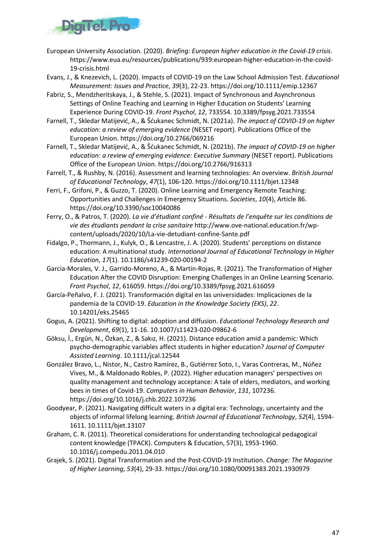

- European University Association. (2020). *Briefing: European higher education in the Covid-19 crisis*. https://www.eua.eu/resources/publications/939:european-higher-education-in-the-covid-19-crisis.html
- Evans, J., & Knezevich, L. (2020). Impacts of COVID-19 on the Law School Admission Test. *Educational Measurement: Issues and Practice*, *39*(3), 22-23. https://doi.org/10.1111/emip.12367
- Fabriz, S., Mendzheritskaya, J., & Stehle, S. (2021). Impact of Synchronous and Asynchronous Settings of Online Teaching and Learning in Higher Education on Students' Learning Experience During COVID-19. *Front Psychol*, *12*, 733554. 10.3389/fpsyg.2021.733554
- Farnell, T., Skledar Matijević, A., & Šćukanec Schmidt, N. (2021a). *The impact of COVID-19 on higher education: a review of emerging evidence* (NESET report). Publications Office of the European Union. https://doi.org/10.2766/069216
- Farnell, T., Skledar Matijević, A., & Šćukanec Schmidt, N. (2021b). *The impact of COVID-19 on higher education: a review of emerging evidence: Executive Summary* (NESET report). Publications Office of the European Union. https://doi.org/10.2766/916313
- Farrell, T., & Rushby, N. (2016). Assessment and learning technologies: An overview. *British Journal of Educational Technology*, *47*(1), 106-120. https://doi.org/10.1111/bjet.12348
- Ferri, F., Grifoni, P., & Guzzo, T. (2020). Online Learning and Emergency Remote Teaching: Opportunities and Challenges in Emergency Situations. *Societies*, *10*(4), Article 86. https://doi.org/10.3390/soc10040086
- Ferry, O., & Patros, T. (2020). *La vie d'étudiant confiné - Résultats de l'enquête sur les conditions de vie des étudiants pendant la crise sanitaire* http://www.ove-national.education.fr/wpcontent/uploads/2020/10/La-vie-detudiant-confine-Sante.pdf
- Fidalgo, P., Thormann, J., Kulyk, O., & Lencastre, J. A. (2020). Students' perceptions on distance education: A multinational study. *International Journal of Educational Technology in Higher Education*, *17*(1). 10.1186/s41239-020-00194-2
- Garcia-Morales, V. J., Garrido-Moreno, A., & Martin-Rojas, R. (2021). The Transformation of Higher Education After the COVID Disruption: Emerging Challenges in an Online Learning Scenario. *Front Psychol*, *12*, 616059. https://doi.org/10.3389/fpsyg.2021.616059
- García-Peñalvo, F. J. (2021). Transformación digital en las universidades: Implicaciones de la pandemia de la COVID-19. *Education in the Knowledge Society (EKS)*, *22*. 10.14201/eks.25465
- Gogus, A. (2021). Shifting to digital: adoption and diffusion. *Educational Technology Research and Development*, *69*(1), 11-16. 10.1007/s11423-020-09862-6
- Göksu, İ., Ergün, N., Özkan, Z., & Sakız, H. (2021). Distance education amid a pandemic: Which psycho-demographic variables affect students in higher education? *Journal of Computer Assisted Learning*. 10.1111/jcal.12544
- González Bravo, L., Nistor, N., Castro Ramírez, B., Gutiérrez Soto, I., Varas Contreras, M., Núñez Vives, M., & Maldonado Robles, P. (2022). Higher education managers' perspectives on quality management and technology acceptance: A tale of elders, mediators, and working bees in times of Covid-19. *Computers in Human Behavior*, *131*, 107236. https://doi.org/10.1016/j.chb.2022.107236
- Goodyear, P. (2021). Navigating difficult waters in a digital era: Technology, uncertainty and the objects of informal lifelong learning. *British Journal of Educational Technology*, *52*(4), 1594- 1611. 10.1111/bjet.13107
- Graham, C. R. (2011). Theoretical considerations for understanding technological pedagogical content knowledge (TPACK). Computers & Education, 57(3), 1953-1960. 10.1016/j.compedu.2011.04.010
- Grajek, S. (2021). Digital Transformation and the Post-COVID-19 Institution. *Change: The Magazine of Higher Learning*, *53*(4), 29-33. https://doi.org/10.1080/00091383.2021.1930979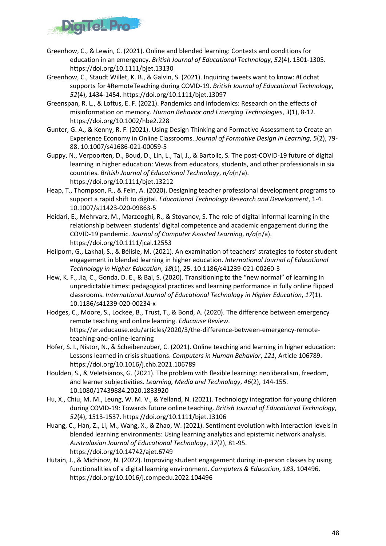

- Greenhow, C., & Lewin, C. (2021). Online and blended learning: Contexts and conditions for education in an emergency. *British Journal of Educational Technology*, *52*(4), 1301-1305. https://doi.org/10.1111/bjet.13130
- Greenhow, C., Staudt Willet, K. B., & Galvin, S. (2021). Inquiring tweets want to know: #Edchat supports for #RemoteTeaching during COVID-19. *British Journal of Educational Technology*, *52*(4), 1434-1454. https://doi.org/10.1111/bjet.13097
- Greenspan, R. L., & Loftus, E. F. (2021). Pandemics and infodemics: Research on the effects of misinformation on memory. *Human Behavior and Emerging Technologies*, *3*(1), 8-12. https://doi.org/10.1002/hbe2.228
- Gunter, G. A., & Kenny, R. F. (2021). Using Design Thinking and Formative Assessment to Create an Experience Economy in Online Classrooms. *Journal of Formative Design in Learning*, *5*(2), 79- 88. 10.1007/s41686-021-00059-5
- Guppy, N., Verpoorten, D., Boud, D., Lin, L., Tai, J., & Bartolic, S. The post-COVID-19 future of digital learning in higher education: Views from educators, students, and other professionals in six countries. *British Journal of Educational Technology*, *n/a*(n/a). https://doi.org/10.1111/bjet.13212
- Heap, T., Thompson, R., & Fein, A. (2020). Designing teacher professional development programs to support a rapid shift to digital. *Educational Technology Research and Development*, 1-4. 10.1007/s11423-020-09863-5
- Heidari, E., Mehrvarz, M., Marzooghi, R., & Stoyanov, S. The role of digital informal learning in the relationship between students' digital competence and academic engagement during the COVID-19 pandemic. *Journal of Computer Assisted Learning*, *n/a*(n/a). https://doi.org/10.1111/jcal.12553
- Heilporn, G., Lakhal, S., & Bélisle, M. (2021). An examination of teachers' strategies to foster student engagement in blended learning in higher education. *International Journal of Educational Technology in Higher Education*, *18*(1), 25. 10.1186/s41239-021-00260-3
- Hew, K. F., Jia, C., Gonda, D. E., & Bai, S. (2020). Transitioning to the "new normal" of learning in unpredictable times: pedagogical practices and learning performance in fully online flipped classrooms. *International Journal of Educational Technology in Higher Education*, *17*(1). 10.1186/s41239-020-00234-x
- Hodges, C., Moore, S., Lockee, B., Trust, T., & Bond, A. (2020). The difference between emergency remote teaching and online learning. *Educause Review*. https://er.educause.edu/articles/2020/3/the-difference-between-emergency-remoteteaching-and-online-learning
- Hofer, S. I., Nistor, N., & Scheibenzuber, C. (2021). Online teaching and learning in higher education: Lessons learned in crisis situations. *Computers in Human Behavior*, *121*, Article 106789. https://doi.org/10.1016/j.chb.2021.106789
- Houlden, S., & Veletsianos, G. (2021). The problem with flexible learning: neoliberalism, freedom, and learner subjectivities. *Learning, Media and Technology*, *46*(2), 144-155. 10.1080/17439884.2020.1833920
- Hu, X., Chiu, M. M., Leung, W. M. V., & Yelland, N. (2021). Technology integration for young children during COVID-19: Towards future online teaching. *British Journal of Educational Technology*, *52*(4), 1513-1537. https://doi.org/10.1111/bjet.13106
- Huang, C., Han, Z., Li, M., Wang, X., & Zhao, W. (2021). Sentiment evolution with interaction levels in blended learning environments: Using learning analytics and epistemic network analysis. *Australasian Journal of Educational Technology*, *37*(2), 81-95. https://doi.org/10.14742/ajet.6749
- Hutain, J., & Michinov, N. (2022). Improving student engagement during in-person classes by using functionalities of a digital learning environment. *Computers & Education*, *183*, 104496. https://doi.org/10.1016/j.compedu.2022.104496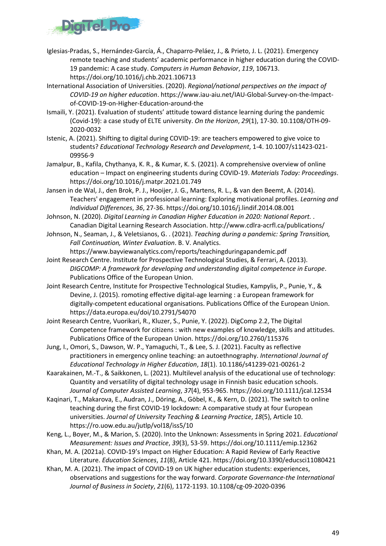

- Iglesias-Pradas, S., Hernández-García, Á., Chaparro-Peláez, J., & Prieto, J. L. (2021). Emergency remote teaching and students' academic performance in higher education during the COVID-19 pandemic: A case study. *Computers in Human Behavior*, *119*, 106713. https://doi.org/10.1016/j.chb.2021.106713
- International Association of Universities. (2020). *Regional/national perspectives on the impact of COVID-19 on higher education*. https://www.iau-aiu.net/IAU-Global-Survey-on-the-Impactof-COVID-19-on-Higher-Education-around-the
- Ismaili, Y. (2021). Evaluation of students' attitude toward distance learning during the pandemic (Covid-19): a case study of ELTE university. *On the Horizon*, *29*(1), 17-30. 10.1108/OTH-09- 2020-0032
- Istenic, A. (2021). Shifting to digital during COVID-19: are teachers empowered to give voice to students? *Educational Technology Research and Development*, 1-4. 10.1007/s11423-021- 09956-9
- Jamalpur, B., Kafila, Chythanya, K. R., & Kumar, K. S. (2021). A comprehensive overview of online education – Impact on engineering students during COVID-19. *Materials Today: Proceedings*. https://doi.org/10.1016/j.matpr.2021.01.749
- Jansen in de Wal, J., den Brok, P. J., Hooijer, J. G., Martens, R. L., & van den Beemt, A. (2014). Teachers' engagement in professional learning: Exploring motivational profiles. *Learning and Individual Differences*, *36*, 27-36. https://doi.org/10.1016/j.lindif.2014.08.001
- Johnson, N. (2020). *Digital Learning in Canadian Higher Education in 2020: National Report.* . Canadian Digital Learning Research Association. http://www.cdlra-acrfl.ca/publications/
- Johnson, N., Seaman, J., & Veletsianos, G. . (2021). *Teaching during a pandemic: Spring Transition, Fall Continuation, Winter Evaluation*. B. V. Analytics.
	- https://www.bayviewanalytics.com/reports/teachingduringapandemic.pdf
- Joint Research Centre. Institute for Prospective Technological Studies, & Ferrari, A. (2013). *DIGCOMP: A framework for developing and understanding digital competence in Europe*. Publications Office of the European Union.
- Joint Research Centre, Institute for Prospective Technological Studies, Kampylis, P., Punie, Y., & Devine, J. (2015). romoting effective digital-age learning : a European framework for digitally-competent educational organisations. Publications Office of the European Union. https://data.europa.eu/doi/10.2791/54070
- Joint Research Centre, Vuorikari, R., Kluzer, S., Punie, Y. (2022). DigComp 2.2, The Digital Competence framework for citizens : with new examples of knowledge, skills and attitudes. Publications Office of the European Union. https://doi.org/10.2760/115376
- Jung, I., Omori, S., Dawson, W. P., Yamaguchi, T., & Lee, S. J. (2021). Faculty as reflective practitioners in emergency online teaching: an autoethnography. *International Journal of Educational Technology in Higher Education*, *18*(1). 10.1186/s41239-021-00261-2
- Kaarakainen, M.-T., & Saikkonen, L. (2021). Multilevel analysis of the educational use of technology: Quantity and versatility of digital technology usage in Finnish basic education schools. *Journal of Computer Assisted Learning*, *37*(4), 953-965. https://doi.org/10.1111/jcal.12534
- Kaqinari, T., Makarova, E., Audran, J., Döring, A., Göbel, K., & Kern, D. (2021). The switch to online teaching during the first COVID-19 lockdown: A comparative study at four European universities. *Journal of University Teaching & Learning Practice*, *18*(5), Article 10. https://ro.uow.edu.au/jutlp/vol18/iss5/10
- Keng, L., Boyer, M., & Marion, S. (2020). Into the Unknown: Assessments in Spring 2021. *Educational Measurement: Issues and Practice*, *39*(3), 53-59. https://doi.org/10.1111/emip.12362
- Khan, M. A. (2021a). COVID-19's Impact on Higher Education: A Rapid Review of Early Reactive Literature. *Education Sciences*, *11*(8), Article 421. https://doi.org/10.3390/educsci11080421
- Khan, M. A. (2021). The impact of COVID-19 on UK higher education students: experiences, observations and suggestions for the way forward. *Corporate Governance-the International Journal of Business in Society*, *21*(6), 1172-1193. 10.1108/cg-09-2020-0396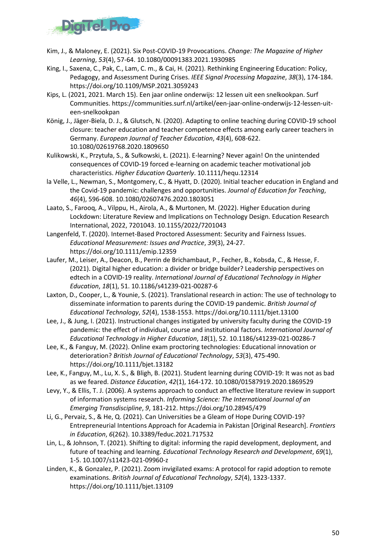

- Kim, J., & Maloney, E. (2021). Six Post-COVID-19 Provocations. *Change: The Magazine of Higher Learning*, *53*(4), 57-64. 10.1080/00091383.2021.1930985
- King, I., Saxena, C., Pak, C., Lam, C. m., & Cai, H. (2021). Rethinking Engineering Education: Policy, Pedagogy, and Assessment During Crises. *IEEE Signal Processing Magazine*, *38*(3), 174-184. https://doi.org/10.1109/MSP.2021.3059243
- Kips, L. (2021, 2021. March 15). Een jaar online onderwijs: 12 lessen uit een snelkookpan. Surf Communities. https://communities.surf.nl/artikel/een-jaar-online-onderwijs-12-lessen-uiteen-snelkookpan
- König, J., Jäger-Biela, D. J., & Glutsch, N. (2020). Adapting to online teaching during COVID-19 school closure: teacher education and teacher competence effects among early career teachers in Germany. *European Journal of Teacher Education*, *43*(4), 608-622. 10.1080/02619768.2020.1809650
- Kulikowski, K., Przytuła, S., & Sułkowski, Ł. (2021). E‐learning? Never again! On the unintended consequences of COVID-19 forced e-learning on academic teacher motivational job characteristics. *Higher Education Quarterly*. 10.1111/hequ.12314
- la Velle, L., Newman, S., Montgomery, C., & Hyatt, D. (2020). Initial teacher education in England and the Covid-19 pandemic: challenges and opportunities. *Journal of Education for Teaching*, *46*(4), 596-608. 10.1080/02607476.2020.1803051
- Laato, S., Farooq, A., Vilppu, H., Airola, A., & Murtonen, M. (2022). Higher Education during Lockdown: Literature Review and Implications on Technology Design. Education Research International, 2022, 7201043. 10.1155/2022/7201043
- Langenfeld, T. (2020). Internet-Based Proctored Assessment: Security and Fairness Issues. *Educational Measurement: Issues and Practice*, *39*(3), 24-27. https://doi.org/10.1111/emip.12359
- Laufer, M., Leiser, A., Deacon, B., Perrin de Brichambaut, P., Fecher, B., Kobsda, C., & Hesse, F. (2021). Digital higher education: a divider or bridge builder? Leadership perspectives on edtech in a COVID-19 reality. *International Journal of Educational Technology in Higher Education*, *18*(1), 51. 10.1186/s41239-021-00287-6
- Laxton, D., Cooper, L., & Younie, S. (2021). Translational research in action: The use of technology to disseminate information to parents during the COVID-19 pandemic. *British Journal of Educational Technology*, *52*(4), 1538-1553. https://doi.org/10.1111/bjet.13100
- Lee, J., & Jung, I. (2021). Instructional changes instigated by university faculty during the COVID-19 pandemic: the effect of individual, course and institutional factors. *International Journal of Educational Technology in Higher Education*, *18*(1), 52. 10.1186/s41239-021-00286-7
- Lee, K., & Fanguy, M. (2022). Online exam proctoring technologies: Educational innovation or deterioration? *British Journal of Educational Technology*, *53*(3), 475-490. https://doi.org/10.1111/bjet.13182
- Lee, K., Fanguy, M., Lu, X. S., & Bligh, B. (2021). Student learning during COVID-19: It was not as bad as we feared. *Distance Education*, *42*(1), 164-172. 10.1080/01587919.2020.1869529
- Levy, Y., & Ellis, T. J. (2006). A systems approach to conduct an effective literature review in support of information systems research. *Informing Science: The International Journal of an Emerging Transdiscipline*, *9*, 181-212. https://doi.org/10.28945/479
- Li, G., Pervaiz, S., & He, Q. (2021). Can Universities be a Gleam of Hope During COVID-19? Entrepreneurial Intentions Approach for Academia in Pakistan [Original Research]. *Frontiers in Education*, *6*(262). 10.3389/feduc.2021.717532
- Lin, L., & Johnson, T. (2021). Shifting to digital: informing the rapid development, deployment, and future of teaching and learning. *Educational Technology Research and Development*, *69*(1), 1-5. 10.1007/s11423-021-09960-z
- Linden, K., & Gonzalez, P. (2021). Zoom invigilated exams: A protocol for rapid adoption to remote examinations. *British Journal of Educational Technology*, *52*(4), 1323-1337. https://doi.org/10.1111/bjet.13109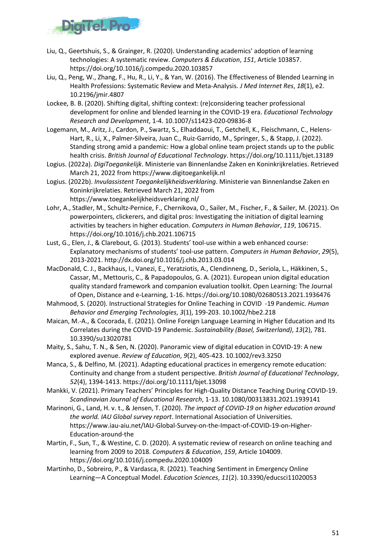

- Liu, Q., Geertshuis, S., & Grainger, R. (2020). Understanding academics' adoption of learning technologies: A systematic review. *Computers & Education*, *151*, Article 103857. https://doi.org/10.1016/j.compedu.2020.103857
- Liu, Q., Peng, W., Zhang, F., Hu, R., Li, Y., & Yan, W. (2016). The Effectiveness of Blended Learning in Health Professions: Systematic Review and Meta-Analysis. *J Med Internet Res*, *18*(1), e2. 10.2196/jmir.4807
- Lockee, B. B. (2020). Shifting digital, shifting context: (re)considering teacher professional development for online and blended learning in the COVID-19 era. *Educational Technology Research and Development*, 1-4. 10.1007/s11423-020-09836-8
- Logemann, M., Aritz, J., Cardon, P., Swartz, S., Elhaddaoui, T., Getchell, K., Fleischmann, C., Helens-Hart, R., Li, X., Palmer-Silveira, Juan C., Ruiz-Garrido, M., Springer, S., & Stapp, J. (2022). Standing strong amid a pandemic: How a global online team project stands up to the public health crisis. *British Journal of Educational Technology*. https://doi.org/10.1111/bjet.13189
- Logius. (2022a). *DigiToegankelijk*. Ministerie van Binnenlandse Zaken en Koninkrijkrelaties. Retrieved March 21, 2022 from https://www.digitoegankelijk.nl
- Logius. (2022b). *Invulassistent Toegankelijkheidsverklaring*. Ministerie van Binnenlandse Zaken en Koninkrijkrelaties. Retrieved March 21, 2022 from https://www.toegankelijkheidsverklaring.nl/
- Lohr, A., Stadler, M., Schultz-Pernice, F., Chernikova, O., Sailer, M., Fischer, F., & Sailer, M. (2021). On powerpointers, clickerers, and digital pros: Investigating the initiation of digital learning activities by teachers in higher education. *Computers in Human Behavior*, *119*, 106715. https://doi.org/10.1016/j.chb.2021.106715
- Lust, G., Elen, J., & Clarebout, G. (2013). Students' tool-use within a web enhanced course: Explanatory mechanisms of students' tool-use pattern. *Computers in Human Behavior*, *29*(5), 2013-2021. http://dx.doi.org/10.1016/j.chb.2013.03.014
- MacDonald, C. J., Backhaus, I., Vanezi, E., Yeratziotis, A., Clendinneng, D., Seriola, L., Häkkinen, S., Cassar, M., Mettouris, C., & Papadopoulos, G. A. (2021). European union digital education quality standard framework and companion evaluation toolkit. Open Learning: The Journal of Open, Distance and e-Learning, 1-16. https://doi.org/10.1080/02680513.2021.1936476
- Mahmood, S. (2020). Instructional Strategies for Online Teaching in COVID -19 Pandemic. *Human Behavior and Emerging Technologies*, *3*(1), 199-203. 10.1002/hbe2.218
- Maican, M.-A., & Cocorada, E. (2021). Online Foreign Language Learning in Higher Education and Its Correlates during the COVID-19 Pandemic. *Sustainability (Basel, Switzerland)*, *13*(2), 781. 10.3390/su13020781
- Maity, S., Sahu, T. N., & Sen, N. (2020). Panoramic view of digital education in COVID-19: A new explored avenue. *Review of Education*, *9*(2), 405-423. 10.1002/rev3.3250
- Manca, S., & Delfino, M. (2021). Adapting educational practices in emergency remote education: Continuity and change from a student perspective. *British Journal of Educational Technology*, *52*(4), 1394-1413. https://doi.org/10.1111/bjet.13098
- Mankki, V. (2021). Primary Teachers' Principles for High-Quality Distance Teaching During COVID-19. *Scandinavian Journal of Educational Research*, 1-13. 10.1080/00313831.2021.1939141
- Marinoni, G., Land, H. v. t., & Jensen, T. (2020). *The impact of COVID-19 on higher education around the world. IAU Global survey report*. International Association of Universities. https://www.iau-aiu.net/IAU-Global-Survey-on-the-Impact-of-COVID-19-on-Higher-Education-around-the
- Martin, F., Sun, T., & Westine, C. D. (2020). A systematic review of research on online teaching and learning from 2009 to 2018. *Computers & Education*, *159*, Article 104009. https://doi.org/10.1016/j.compedu.2020.104009
- Martinho, D., Sobreiro, P., & Vardasca, R. (2021). Teaching Sentiment in Emergency Online Learning—A Conceptual Model. *Education Sciences*, *11*(2). 10.3390/educsci11020053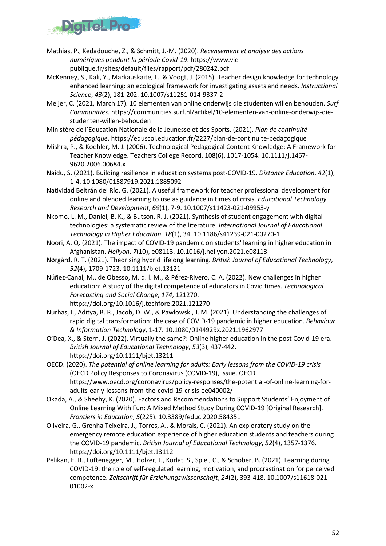

- Mathias, P., Kedadouche, Z., & Schmitt, J.-M. (2020). *Recensement et analyse des actions numériques pendant la période Covid-19*. https://www.viepublique.fr/sites/default/files/rapport/pdf/280242.pdf
- McKenney, S., Kali, Y., Markauskaite, L., & Voogt, J. (2015). Teacher design knowledge for technology enhanced learning: an ecological framework for investigating assets and needs. *Instructional Science*, *43*(2), 181-202. 10.1007/s11251-014-9337-2
- Meijer, C. (2021, March 17). 10 elementen van online onderwijs die studenten willen behouden. *Surf Communities*. https://communities.surf.nl/artikel/10-elementen-van-online-onderwijs-diestudenten-willen-behouden
- Ministère de l'Education Nationale de la Jeunesse et des Sports. (2021). *Plan de continuité pédagogique*. https://eduscol.education.fr/2227/plan-de-continuite-pedagogique
- Mishra, P., & Koehler, M. J. (2006). Technological Pedagogical Content Knowledge: A Framework for Teacher Knowledge. Teachers College Record, 108(6), 1017-1054. 10.1111/j.1467- 9620.2006.00684.x
- Naidu, S. (2021). Building resilience in education systems post-COVID-19. *Distance Education*, *42*(1), 1-4. 10.1080/01587919.2021.1885092
- Natividad Beltrán del Río, G. (2021). A useful framework for teacher professional development for online and blended learning to use as guidance in times of crisis. *Educational Technology Research and Development*, *69*(1), 7-9. 10.1007/s11423-021-09953-y
- Nkomo, L. M., Daniel, B. K., & Butson, R. J. (2021). Synthesis of student engagement with digital technologies: a systematic review of the literature. *International Journal of Educational Technology in Higher Education*, *18*(1), 34. 10.1186/s41239-021-00270-1
- Noori, A. Q. (2021). The impact of COVID-19 pandemic on students' learning in higher education in Afghanistan. *Heliyon*, *7*(10), e08113. 10.1016/j.heliyon.2021.e08113
- Nørgård, R. T. (2021). Theorising hybrid lifelong learning. *British Journal of Educational Technology*, *52*(4), 1709-1723. 10.1111/bjet.13121
- Núñez-Canal, M., de Obesso, M. d. l. M., & Pérez-Rivero, C. A. (2022). New challenges in higher education: A study of the digital competence of educators in Covid times. *Technological Forecasting and Social Change*, *174*, 121270.

```
https://doi.org/10.1016/j.techfore.2021.121270
```
- Nurhas, I., Aditya, B. R., Jacob, D. W., & Pawlowski, J. M. (2021). Understanding the challenges of rapid digital transformation: the case of COVID-19 pandemic in higher education. *Behaviour & Information Technology*, 1-17. 10.1080/0144929x.2021.1962977
- O'Dea, X., & Stern, J. (2022). Virtually the same?: Online higher education in the post Covid-19 era. *British Journal of Educational Technology*, *53*(3), 437-442. https://doi.org/10.1111/bjet.13211
- OECD. (2020). *The potential of online learning for adults: Early lessons from the COVID-19 crisis* (OECD Policy Responses to Coronavirus (COVID-19), Issue. OECD. https://www.oecd.org/coronavirus/policy-responses/the-potential-of-online-learning-foradults-early-lessons-from-the-covid-19-crisis-ee040002/
- Okada, A., & Sheehy, K. (2020). Factors and Recommendations to Support Students' Enjoyment of Online Learning With Fun: A Mixed Method Study During COVID-19 [Original Research]. *Frontiers in Education*, *5*(225). 10.3389/feduc.2020.584351
- Oliveira, G., Grenha Teixeira, J., Torres, A., & Morais, C. (2021). An exploratory study on the emergency remote education experience of higher education students and teachers during the COVID-19 pandemic. *British Journal of Educational Technology*, *52*(4), 1357-1376. https://doi.org/10.1111/bjet.13112
- Pelikan, E. R., Lüftenegger, M., Holzer, J., Korlat, S., Spiel, C., & Schober, B. (2021). Learning during COVID-19: the role of self-regulated learning, motivation, and procrastination for perceived competence. *Zeitschrift für Erziehungswissenschaft*, *24*(2), 393-418. 10.1007/s11618-021- 01002-x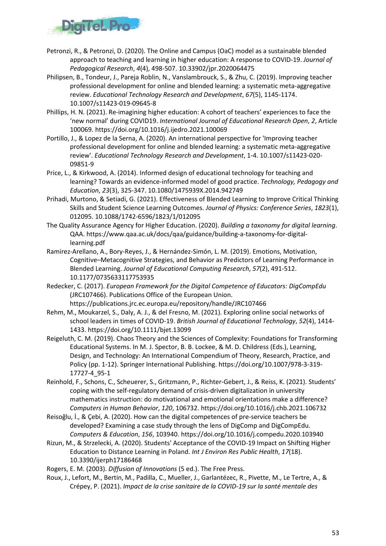

- Petronzi, R., & Petronzi, D. (2020). The Online and Campus (OaC) model as a sustainable blended approach to teaching and learning in higher education: A response to COVID-19. *Journal of Pedagogical Research*, *4*(4), 498-507. 10.33902/jpr.2020064475
- Philipsen, B., Tondeur, J., Pareja Roblin, N., Vanslambrouck, S., & Zhu, C. (2019). Improving teacher professional development for online and blended learning: a systematic meta-aggregative review. *Educational Technology Research and Development*, *67*(5), 1145-1174. 10.1007/s11423-019-09645-8
- Phillips, H. N. (2021). Re-imagining higher education: A cohort of teachers' experiences to face the 'new normal' during COVID19. *International Journal of Educational Research Open*, *2*, Article 100069. https://doi.org/10.1016/j.ijedro.2021.100069
- Portillo, J., & Lopez de la Serna, A. (2020). An international perspective for 'Improving teacher professional development for online and blended learning: a systematic meta-aggregative review'. *Educational Technology Research and Development*, 1-4. 10.1007/s11423-020- 09851-9
- Price, L., & Kirkwood, A. (2014). Informed design of educational technology for teaching and learning? Towards an evidence-informed model of good practice. *Technology, Pedagogy and Education*, *23*(3), 325-347. 10.1080/1475939X.2014.942749
- Prihadi, Murtono, & Setiadi, G. (2021). Effectiveness of Blended Learning to Improve Critical Thinking Skills and Student Science Learning Outcomes. *Journal of Physics: Conference Series*, *1823*(1), 012095. 10.1088/1742-6596/1823/1/012095
- The Quality Assurance Agency for Higher Education. (2020). *Building a taxonomy for digital learning*. QAA. https://www.qaa.ac.uk/docs/qaa/guidance/building-a-taxonomy-for-digitallearning.pdf
- Ramirez-Arellano, A., Bory-Reyes, J., & Hernández-Simón, L. M. (2019). Emotions, Motivation, Cognitive–Metacognitive Strategies, and Behavior as Predictors of Learning Performance in Blended Learning. *Journal of Educational Computing Research*, *57*(2), 491-512. 10.1177/0735633117753935
- Redecker, C. (2017). *European Framework for the Digital Competence of Educators: DigCompEdu* (JRC107466). Publications Office of the European Union. https://publications.jrc.ec.europa.eu/repository/handle/JRC107466
- Rehm, M., Moukarzel, S., Daly, A. J., & del Fresno, M. (2021). Exploring online social networks of school leaders in times of COVID-19. *British Journal of Educational Technology*, *52*(4), 1414- 1433. https://doi.org/10.1111/bjet.13099
- Reigeluth, C. M. (2019). Chaos Theory and the Sciences of Complexity: Foundations for Transforming Educational Systems. In M. J. Spector, B. B. Lockee, & M. D. Childress (Eds.), Learning, Design, and Technology: An International Compendium of Theory, Research, Practice, and Policy (pp. 1-12). Springer International Publishing. https://doi.org/10.1007/978-3-319- 17727-4\_95-1
- Reinhold, F., Schons, C., Scheuerer, S., Gritzmann, P., Richter-Gebert, J., & Reiss, K. (2021). Students' coping with the self-regulatory demand of crisis-driven digitalization in university mathematics instruction: do motivational and emotional orientations make a difference? *Computers in Human Behavior*, *120*, 106732. https://doi.org/10.1016/j.chb.2021.106732
- Reisoğlu, İ., & Çebi, A. (2020). How can the digital competences of pre-service teachers be developed? Examining a case study through the lens of DigComp and DigCompEdu. *Computers & Education*, *156*, 103940. https://doi.org/10.1016/j.compedu.2020.103940
- Rizun, M., & Strzelecki, A. (2020). Students' Acceptance of the COVID-19 Impact on Shifting Higher Education to Distance Learning in Poland. *Int J Environ Res Public Health*, *17*(18). 10.3390/ijerph17186468
- Rogers, E. M. (2003). *Diffusion of Innovations* (5 ed.). The Free Press.
- Roux, J., Lefort, M., Bertin, M., Padilla, C., Mueller, J., Garlantézec, R., Pivette, M., Le Tertre, A., & Crépey, P. (2021). *Impact de la crise sanitaire de la COVID-19 sur la santé mentale des*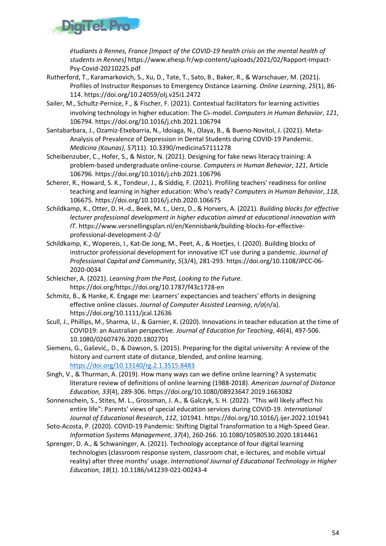

*étudiants à Rennes, France [Impact of the COVID-19 health crisis on the mental health of students in Rennes]* https://www.ehesp.fr/wp-content/uploads/2021/02/Rapport-Impact-Psy-Covid-20210225.pdf

- Rutherford, T., Karamarkovich, S., Xu, D., Tate, T., Sato, B., Baker, R., & Warschauer, M. (2021). Profiles of Instructor Responses to Emergency Distance Learning. *Online Learning*, *25*(1), 86- 114. https://doi.org/10.24059/olj.v25i1.2472
- Sailer, M., Schultz-Pernice, F., & Fischer, F. (2021). Contextual facilitators for learning activities involving technology in higher education: The C♭-model. *Computers in Human Behavior*, *121*, 106794. https://doi.org/10.1016/j.chb.2021.106794
- Santabarbara, J., Ozamiz-Etxebarria, N., Idoiaga, N., Olaya, B., & Bueno-Novitol, J. (2021). Meta-Analysis of Prevalence of Depression in Dental Students during COVID-19 Pandemic. *Medicina (Kaunas)*, *57*(11). 10.3390/medicina57111278
- Scheibenzuber, C., Hofer, S., & Nistor, N. (2021). Designing for fake news literacy training: A problem-based undergraduate online-course. *Computers in Human Behavior*, *121*, Article 106796. https://doi.org/10.1016/j.chb.2021.106796
- Scherer, R., Howard, S. K., Tondeur, J., & Siddiq, F. (2021). Profiling teachers' readiness for online teaching and learning in higher education: Who's ready? *Computers in Human Behavior*, *118*, 106675. https://doi.org/10.1016/j.chb.2020.106675
- Schildkamp, K., Otter, D. H.-d., Beek, M. t., Uerz, D., & Horvers, A. (2021). *Building blocks for effective lecturer professional development in higher education aimed at educational innovation with IT*. https://www.versnellingsplan.nl/en/Kennisbank/building-blocks-for-effectiveprofessional-development-2-0/
- Schildkamp, K., Wopereis, I., Kat-De Jong, M., Peet, A., & Hoetjes, I. (2020). Building blocks of instructor professional development for innovative ICT use during a pandemic. *Journal of Professional Capital and Community*, *5*(3/4), 281-293. https://doi.org/10.1108/JPCC-06- 2020-0034
- Schleicher, A. (2021). *Learning from the Past, Looking to the Future*. https://doi.org/https://doi.org/10.1787/f43c1728-en
- Schmitz, B., & Hanke, K. Engage me: Learners' expectancies and teachers' efforts in designing effective online classes. *Journal of Computer Assisted Learning*, *n/a*(n/a). https://doi.org/10.1111/jcal.12636
- Scull, J., Phillips, M., Sharma, U., & Garnier, K. (2020). Innovations in teacher education at the time of COVID19: an Australian perspective. *Journal of Education for Teaching*, *46*(4), 497-506. 10.1080/02607476.2020.1802701
- Siemens, G., Gašević,, D., & Dawson, S. (2015). Preparing for the digital university: A review of the history and current state of distance, blended, and online learning. <https://doi.org/10.13140/rg.2.1.3515.8483>
- Singh, V., & Thurman, A. (2019). How many ways can we define online learning? A systematic literature review of definitions of online learning (1988-2018). *American Journal of Distance Education, 33*(4), 289-306. https://doi.org/10.1080/08923647.2019.1663082
- Sonnenschein, S., Stites, M. L., Grossman, J. A., & Galczyk, S. H. (2022). "This will likely affect his entire life": Parents' views of special education services during COVID-19. *International Journal of Educational Research*, *112*, 101941. https://doi.org/10.1016/j.ijer.2022.101941
- Soto-Acosta, P. (2020). COVID-19 Pandemic: Shifting Digital Transformation to a High-Speed Gear. *Information Systems Management*, *37*(4), 260-266. 10.1080/10580530.2020.1814461
- Sprenger, D. A., & Schwaninger, A. (2021). Technology acceptance of four digital learning technologies (classroom response system, classroom chat, e-lectures, and mobile virtual reality) after three months' usage. *International Journal of Educational Technology in Higher Education*, *18*(1). 10.1186/s41239-021-00243-4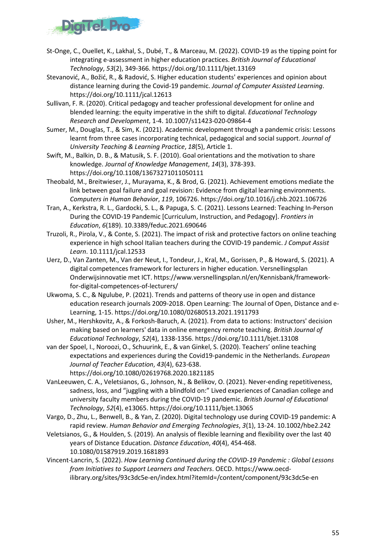

- St-Onge, C., Ouellet, K., Lakhal, S., Dubé, T., & Marceau, M. (2022). COVID-19 as the tipping point for integrating e-assessment in higher education practices. *British Journal of Educational Technology*, *53*(2), 349-366. https://doi.org/10.1111/bjet.13169
- Stevanović, A., Božić, R., & Radović, S. Higher education students' experiences and opinion about distance learning during the Covid-19 pandemic. *Journal of Computer Assisted Learning*. https://doi.org/10.1111/jcal.12613
- Sullivan, F. R. (2020). Critical pedagogy and teacher professional development for online and blended learning: the equity imperative in the shift to digital. *Educational Technology Research and Development*, 1-4. 10.1007/s11423-020-09864-4
- Sumer, M., Douglas, T., & Sim, K. (2021). Academic development through a pandemic crisis: Lessons learnt from three cases incorporating technical, pedagogical and social support. *Journal of University Teaching & Learning Practice*, *18*(5), Article 1.
- Swift, M., Balkin, D. B., & Matusik, S. F. (2010). Goal orientations and the motivation to share knowledge. *Journal of Knowledge Management*, *14*(3), 378-393. https://doi.org/10.1108/13673271011050111
- Theobald, M., Breitwieser, J., Murayama, K., & Brod, G. (2021). Achievement emotions mediate the link between goal failure and goal revision: Evidence from digital learning environments. *Computers in Human Behavior*, *119*, 106726. https://doi.org/10.1016/j.chb.2021.106726
- Tran, A., Kerkstra, R. L., Gardocki, S. L., & Papuga, S. C. (2021). Lessons Learned: Teaching In-Person During the COVID-19 Pandemic [Curriculum, Instruction, and Pedagogy]. *Frontiers in Education*, *6*(189). 10.3389/feduc.2021.690646
- Truzoli, R., Pirola, V., & Conte, S. (2021). The impact of risk and protective factors on online teaching experience in high school Italian teachers during the COVID-19 pandemic. *J Comput Assist Learn*. 10.1111/jcal.12533
- Uerz, D., Van Zanten, M., Van der Neut, I., Tondeur, J., Kral, M., Gorissen, P., & Howard, S. (2021). A digital competences framework for lecturers in higher education. Versnellingsplan Onderwijsinnovatie met ICT. https://www.versnellingsplan.nl/en/Kennisbank/frameworkfor-digital-competences-of-lecturers/
- Ukwoma, S. C., & Ngulube, P. (2021). Trends and patterns of theory use in open and distance education research journals 2009-2018. Open Learning: The Journal of Open, Distance and e-Learning, 1-15. https://doi.org/10.1080/02680513.2021.1911793
- Usher, M., Hershkovitz, A., & Forkosh-Baruch, A. (2021). From data to actions: Instructors' decision making based on learners' data in online emergency remote teaching. *British Journal of Educational Technology*, *52*(4), 1338-1356. https://doi.org/10.1111/bjet.13108
- van der Spoel, I., Noroozi, O., Schuurink, E., & van Ginkel, S. (2020). Teachers' online teaching expectations and experiences during the Covid19-pandemic in the Netherlands. *European Journal of Teacher Education*, *43*(4), 623-638.
	- https://doi.org/10.1080/02619768.2020.1821185
- VanLeeuwen, C. A., Veletsianos, G., Johnson, N., & Belikov, O. (2021). Never-ending repetitiveness, sadness, loss, and "juggling with a blindfold on:" Lived experiences of Canadian college and university faculty members during the COVID-19 pandemic. *British Journal of Educational Technology*, *52*(4), e13065. https://doi.org/10.1111/bjet.13065
- Vargo, D., Zhu, L., Benwell, B., & Yan, Z. (2020). Digital technology use during COVID-19 pandemic: A rapid review. *Human Behavior and Emerging Technologies*, *3*(1), 13-24. 10.1002/hbe2.242
- Veletsianos, G., & Houlden, S. (2019). An analysis of flexible learning and flexibility over the last 40 years of Distance Education. *Distance Education*, *40*(4), 454-468. 10.1080/01587919.2019.1681893
- Vincent-Lancrin, S. (2022). *How Learning Continued during the COVID-19 Pandemic : Global Lessons from Initiatives to Support Learners and Teachers*. OECD. https://www.oecdilibrary.org/sites/93c3dc5e-en/index.html?itemId=/content/component/93c3dc5e-en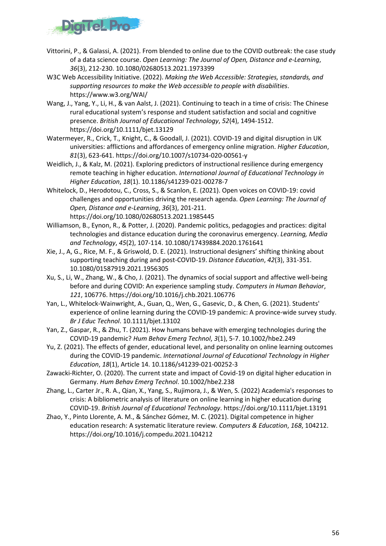

- Vittorini, P., & Galassi, A. (2021). From blended to online due to the COVID outbreak: the case study of a data science course. *Open Learning: The Journal of Open, Distance and e-Learning*, *36*(3), 212-230. 10.1080/02680513.2021.1973399
- W3C Web Accessibility Initiative. (2022). *Making the Web Accessible: Strategies, standards, and supporting resources to make the Web accessible to people with disabilities*. https://www.w3.org/WAI/
- Wang, J., Yang, Y., Li, H., & van Aalst, J. (2021). Continuing to teach in a time of crisis: The Chinese rural educational system's response and student satisfaction and social and cognitive presence. *British Journal of Educational Technology*, *52*(4), 1494-1512. https://doi.org/10.1111/bjet.13129
- Watermeyer, R., Crick, T., Knight, C., & Goodall, J. (2021). COVID-19 and digital disruption in UK universities: afflictions and affordances of emergency online migration. *Higher Education*, *81*(3), 623-641. https://doi.org/10.1007/s10734-020-00561-y
- Weidlich, J., & Kalz, M. (2021). Exploring predictors of instructional resilience during emergency remote teaching in higher education. *International Journal of Educational Technology in Higher Education*, *18*(1). 10.1186/s41239-021-00278-7
- Whitelock, D., Herodotou, C., Cross, S., & Scanlon, E. (2021). Open voices on COVID-19: covid challenges and opportunities driving the research agenda. *Open Learning: The Journal of Open, Distance and e-Learning*, *36*(3), 201-211. https://doi.org/10.1080/02680513.2021.1985445
- Williamson, B., Eynon, R., & Potter, J. (2020). Pandemic politics, pedagogies and practices: digital technologies and distance education during the coronavirus emergency. *Learning, Media and Technology*, *45*(2), 107-114. 10.1080/17439884.2020.1761641
- Xie, J., A, G., Rice, M. F., & Griswold, D. E. (2021). Instructional designers' shifting thinking about supporting teaching during and post-COVID-19. *Distance Education*, *42*(3), 331-351. 10.1080/01587919.2021.1956305
- Xu, S., Li, W., Zhang, W., & Cho, J. (2021). The dynamics of social support and affective well-being before and during COVID: An experience sampling study. *Computers in Human Behavior*, *121*, 106776. https://doi.org/10.1016/j.chb.2021.106776
- Yan, L., Whitelock-Wainwright, A., Guan, Q., Wen, G., Gasevic, D., & Chen, G. (2021). Students' experience of online learning during the COVID-19 pandemic: A province-wide survey study. *Br J Educ Technol*. 10.1111/bjet.13102
- Yan, Z., Gaspar, R., & Zhu, T. (2021). How humans behave with emerging technologies during the COVID-19 pandemic? *Hum Behav Emerg Technol*, *3*(1), 5-7. 10.1002/hbe2.249
- Yu, Z. (2021). The effects of gender, educational level, and personality on online learning outcomes during the COVID-19 pandemic. *International Journal of Educational Technology in Higher Education*, *18*(1), Article 14. 10.1186/s41239-021-00252-3
- Zawacki-Richter, O. (2020). The current state and impact of Covid-19 on digital higher education in Germany. *Hum Behav Emerg Technol*. 10.1002/hbe2.238
- Zhang, L., Carter Jr., R. A., Qian, X., Yang, S., Rujimora, J., & Wen, S. (2022) Academia's responses to crisis: A bibliometric analysis of literature on online learning in higher education during COVID-19. *British Journal of Educational Technology*. https://doi.org/10.1111/bjet.13191
- Zhao, Y., Pinto Llorente, A. M., & Sánchez Gómez, M. C. (2021). Digital competence in higher education research: A systematic literature review. *Computers & Education*, *168*, 104212. https://doi.org/10.1016/j.compedu.2021.104212